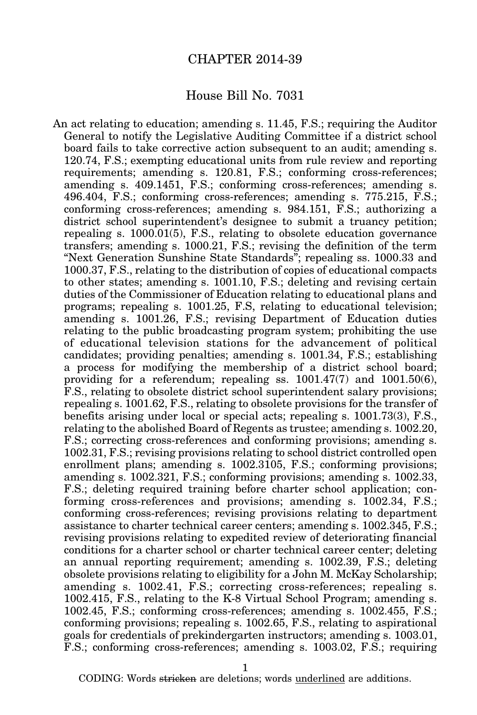## CHAPTER 2014-39

## House Bill No. 7031

An act relating to education; amending s. 11.45, F.S.; requiring the Auditor General to notify the Legislative Auditing Committee if a district school board fails to take corrective action subsequent to an audit; amending s. 120.74, F.S.; exempting educational units from rule review and reporting requirements; amending s. 120.81, F.S.; conforming cross-references; amending s. 409.1451, F.S.; conforming cross-references; amending s. 496.404, F.S.; conforming cross-references; amending s. 775.215, F.S.; conforming cross-references; amending s. 984.151, F.S.; authorizing a district school superintendent's designee to submit a truancy petition; repealing s. 1000.01(5), F.S., relating to obsolete education governance transfers; amending s. 1000.21, F.S.; revising the definition of the term "Next Generation Sunshine State Standards"; repealing ss. 1000.33 and 1000.37, F.S., relating to the distribution of copies of educational compacts to other states; amending s. 1001.10, F.S.; deleting and revising certain duties of the Commissioner of Education relating to educational plans and programs; repealing s. 1001.25, F.S, relating to educational television; amending s. 1001.26, F.S.; revising Department of Education duties relating to the public broadcasting program system; prohibiting the use of educational television stations for the advancement of political candidates; providing penalties; amending s. 1001.34, F.S.; establishing a process for modifying the membership of a district school board; providing for a referendum; repealing ss.  $1001.47(7)$  and  $1001.50(6)$ , F.S., relating to obsolete district school superintendent salary provisions; repealing s. 1001.62, F.S., relating to obsolete provisions for the transfer of benefits arising under local or special acts; repealing s. 1001.73(3), F.S., relating to the abolished Board of Regents as trustee; amending s. 1002.20, F.S.; correcting cross-references and conforming provisions; amending s. 1002.31, F.S.; revising provisions relating to school district controlled open enrollment plans; amending s. 1002.3105, F.S.; conforming provisions; amending s. 1002.321, F.S.; conforming provisions; amending s. 1002.33, F.S.; deleting required training before charter school application; conforming cross-references and provisions; amending s. 1002.34, F.S.; conforming cross-references; revising provisions relating to department assistance to charter technical career centers; amending s. 1002.345, F.S.; revising provisions relating to expedited review of deteriorating financial conditions for a charter school or charter technical career center; deleting an annual reporting requirement; amending s. 1002.39, F.S.; deleting obsolete provisions relating to eligibility for a John M. McKay Scholarship; amending s. 1002.41, F.S.; correcting cross-references; repealing s. 1002.415, F.S., relating to the K-8 Virtual School Program; amending s. 1002.45, F.S.; conforming cross-references; amending s. 1002.455, F.S.; conforming provisions; repealing s. 1002.65, F.S., relating to aspirational goals for credentials of prekindergarten instructors; amending s. 1003.01, F.S.; conforming cross-references; amending s. 1003.02, F.S.; requiring

1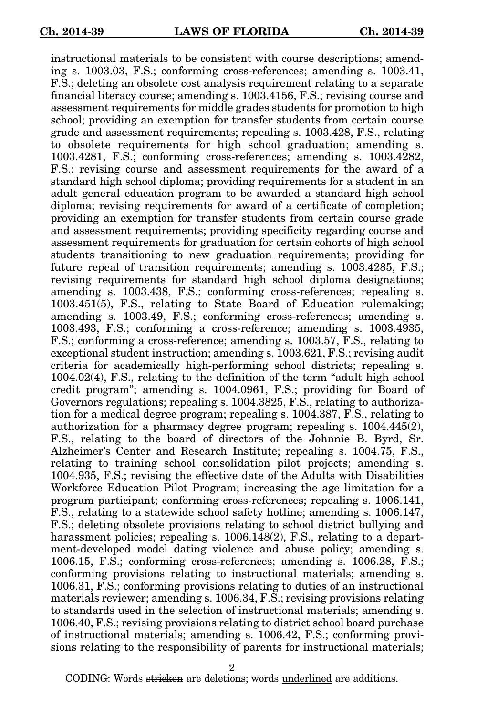instructional materials to be consistent with course descriptions; amending s. 1003.03, F.S.; conforming cross-references; amending s. 1003.41, F.S.; deleting an obsolete cost analysis requirement relating to a separate financial literacy course; amending s. 1003.4156, F.S.; revising course and assessment requirements for middle grades students for promotion to high school; providing an exemption for transfer students from certain course grade and assessment requirements; repealing s. 1003.428, F.S., relating to obsolete requirements for high school graduation; amending s. 1003.4281, F.S.; conforming cross-references; amending s. 1003.4282, F.S.; revising course and assessment requirements for the award of a standard high school diploma; providing requirements for a student in an adult general education program to be awarded a standard high school diploma; revising requirements for award of a certificate of completion; providing an exemption for transfer students from certain course grade and assessment requirements; providing specificity regarding course and assessment requirements for graduation for certain cohorts of high school students transitioning to new graduation requirements; providing for future repeal of transition requirements; amending s. 1003.4285, F.S.; revising requirements for standard high school diploma designations; amending s. 1003.438, F.S.; conforming cross-references; repealing s. 1003.451(5), F.S., relating to State Board of Education rulemaking; amending s. 1003.49, F.S.; conforming cross-references; amending s. 1003.493, F.S.; conforming a cross-reference; amending s. 1003.4935, F.S.; conforming a cross-reference; amending s. 1003.57, F.S., relating to exceptional student instruction; amending s. 1003.621, F.S.; revising audit criteria for academically high-performing school districts; repealing s. 1004.02(4), F.S., relating to the definition of the term "adult high school credit program"; amending s. 1004.0961, F.S.; providing for Board of Governors regulations; repealing s. 1004.3825, F.S., relating to authorization for a medical degree program; repealing s. 1004.387, F.S., relating to authorization for a pharmacy degree program; repealing s. 1004.445(2), F.S., relating to the board of directors of the Johnnie B. Byrd, Sr. Alzheimer's Center and Research Institute; repealing s. 1004.75, F.S., relating to training school consolidation pilot projects; amending s. 1004.935, F.S.; revising the effective date of the Adults with Disabilities Workforce Education Pilot Program; increasing the age limitation for a program participant; conforming cross-references; repealing s. 1006.141, F.S., relating to a statewide school safety hotline; amending s. 1006.147, F.S.; deleting obsolete provisions relating to school district bullying and harassment policies; repealing s. 1006.148(2), F.S., relating to a department-developed model dating violence and abuse policy; amending s. 1006.15, F.S.; conforming cross-references; amending s. 1006.28, F.S.; conforming provisions relating to instructional materials; amending s. 1006.31, F.S.; conforming provisions relating to duties of an instructional materials reviewer; amending s. 1006.34, F.S.; revising provisions relating to standards used in the selection of instructional materials; amending s. 1006.40, F.S.; revising provisions relating to district school board purchase of instructional materials; amending s. 1006.42, F.S.; conforming provisions relating to the responsibility of parents for instructional materials;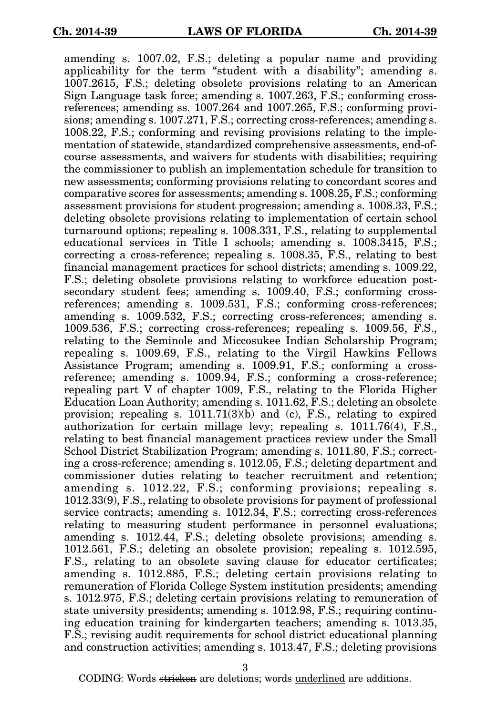amending s. 1007.02, F.S.; deleting a popular name and providing applicability for the term "student with a disability"; amending s. 1007.2615, F.S.; deleting obsolete provisions relating to an American Sign Language task force; amending s. 1007.263, F.S.; conforming crossreferences; amending ss. 1007.264 and 1007.265, F.S.; conforming provisions; amending s. 1007.271, F.S.; correcting cross-references; amending s. 1008.22, F.S.; conforming and revising provisions relating to the implementation of statewide, standardized comprehensive assessments, end-ofcourse assessments, and waivers for students with disabilities; requiring the commissioner to publish an implementation schedule for transition to new assessments; conforming provisions relating to concordant scores and comparative scores for assessments; amending s. 1008.25, F.S.; conforming assessment provisions for student progression; amending s. 1008.33, F.S.; deleting obsolete provisions relating to implementation of certain school turnaround options; repealing s. 1008.331, F.S., relating to supplemental educational services in Title I schools; amending s. 1008.3415, F.S.; correcting a cross-reference; repealing s. 1008.35, F.S., relating to best financial management practices for school districts; amending s. 1009.22, F.S.; deleting obsolete provisions relating to workforce education postsecondary student fees; amending s. 1009.40, F.S.; conforming crossreferences; amending s. 1009.531, F.S.; conforming cross-references; amending s. 1009.532, F.S.; correcting cross-references; amending s. 1009.536, F.S.; correcting cross-references; repealing s. 1009.56, F.S., relating to the Seminole and Miccosukee Indian Scholarship Program; repealing s. 1009.69, F.S., relating to the Virgil Hawkins Fellows Assistance Program; amending s. 1009.91, F.S.; conforming a crossreference; amending s. 1009.94, F.S.; conforming a cross-reference; repealing part V of chapter 1009, F.S., relating to the Florida Higher Education Loan Authority; amending s. 1011.62, F.S.; deleting an obsolete provision; repealing s.  $1011.71(3)(b)$  and (c), F.S., relating to expired authorization for certain millage levy; repealing s. 1011.76(4), F.S., relating to best financial management practices review under the Small School District Stabilization Program; amending s. 1011.80, F.S.; correcting a cross-reference; amending s. 1012.05, F.S.; deleting department and commissioner duties relating to teacher recruitment and retention; amending s. 1012.22, F.S.; conforming provisions; repealing s. 1012.33(9), F.S., relating to obsolete provisions for payment of professional service contracts; amending s. 1012.34, F.S.; correcting cross-references relating to measuring student performance in personnel evaluations; amending s. 1012.44, F.S.; deleting obsolete provisions; amending s. 1012.561, F.S.; deleting an obsolete provision; repealing s. 1012.595, F.S., relating to an obsolete saving clause for educator certificates; amending s. 1012.885, F.S.; deleting certain provisions relating to remuneration of Florida College System institution presidents; amending s. 1012.975, F.S.; deleting certain provisions relating to remuneration of state university presidents; amending s. 1012.98, F.S.; requiring continuing education training for kindergarten teachers; amending s. 1013.35, F.S.; revising audit requirements for school district educational planning and construction activities; amending s. 1013.47, F.S.; deleting provisions

3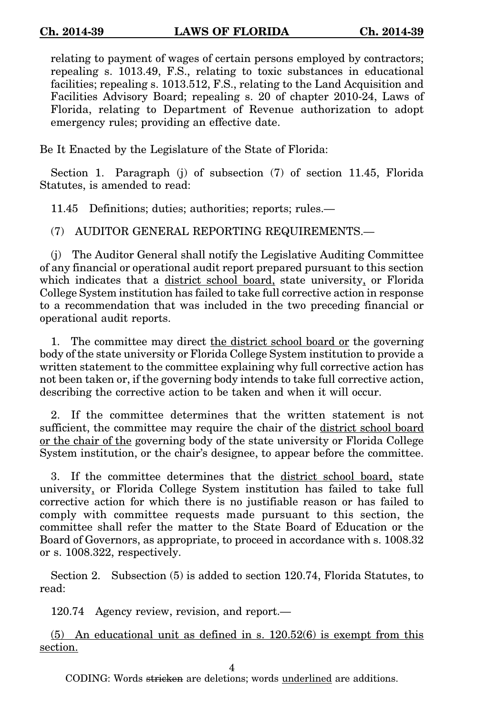relating to payment of wages of certain persons employed by contractors; repealing s. 1013.49, F.S., relating to toxic substances in educational facilities; repealing s. 1013.512, F.S., relating to the Land Acquisition and Facilities Advisory Board; repealing s. 20 of chapter 2010-24, Laws of Florida, relating to Department of Revenue authorization to adopt emergency rules; providing an effective date.

Be It Enacted by the Legislature of the State of Florida:

Section 1. Paragraph (j) of subsection (7) of section 11.45, Florida Statutes, is amended to read:

11.45 Definitions; duties; authorities; reports; rules.—

(7) AUDITOR GENERAL REPORTING REQUIREMENTS.—

(j) The Auditor General shall notify the Legislative Auditing Committee of any financial or operational audit report prepared pursuant to this section which indicates that a district school board, state university, or Florida College System institution has failed to take full corrective action in response to a recommendation that was included in the two preceding financial or operational audit reports.

1. The committee may direct the district school board or the governing body of the state university or Florida College System institution to provide a written statement to the committee explaining why full corrective action has not been taken or, if the governing body intends to take full corrective action, describing the corrective action to be taken and when it will occur.

2. If the committee determines that the written statement is not sufficient, the committee may require the chair of the district school board or the chair of the governing body of the state university or Florida College System institution, or the chair's designee, to appear before the committee.

3. If the committee determines that the district school board, state university, or Florida College System institution has failed to take full corrective action for which there is no justifiable reason or has failed to comply with committee requests made pursuant to this section, the committee shall refer the matter to the State Board of Education or the Board of Governors, as appropriate, to proceed in accordance with s. 1008.32 or s. 1008.322, respectively.

Section 2. Subsection (5) is added to section 120.74, Florida Statutes, to read:

120.74 Agency review, revision, and report.—

(5) An educational unit as defined in s. 120.52(6) is exempt from this section.

4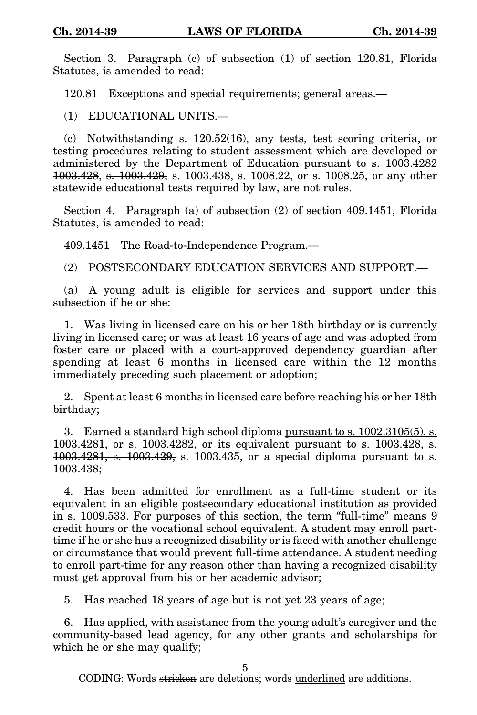Section 3. Paragraph (c) of subsection (1) of section 120.81, Florida Statutes, is amended to read:

120.81 Exceptions and special requirements; general areas.—

(1) EDUCATIONAL UNITS.—

(c) Notwithstanding s. 120.52(16), any tests, test scoring criteria, or testing procedures relating to student assessment which are developed or administered by the Department of Education pursuant to s. 1003.4282 1003.428, s. 1003.429, s. 1003.438, s. 1008.22, or s. 1008.25, or any other statewide educational tests required by law, are not rules.

Section 4. Paragraph (a) of subsection (2) of section 409.1451, Florida Statutes, is amended to read:

409.1451 The Road-to-Independence Program.—

(2) POSTSECONDARY EDUCATION SERVICES AND SUPPORT.—

(a) A young adult is eligible for services and support under this subsection if he or she:

1. Was living in licensed care on his or her 18th birthday or is currently living in licensed care; or was at least 16 years of age and was adopted from foster care or placed with a court-approved dependency guardian after spending at least 6 months in licensed care within the 12 months immediately preceding such placement or adoption;

2. Spent at least 6 months in licensed care before reaching his or her 18th birthday;

3. Earned a standard high school diploma pursuant to s. 1002.3105(5), s. 1003.4281, or s. 1003.4282, or its equivalent pursuant to s. 1003.428, s. 1003.4281, s. 1003.429, s. 1003.435, or a special diploma pursuant to s. 1003.438;

4. Has been admitted for enrollment as a full-time student or its equivalent in an eligible postsecondary educational institution as provided in s. 1009.533. For purposes of this section, the term "full-time" means 9 credit hours or the vocational school equivalent. A student may enroll parttime if he or she has a recognized disability or is faced with another challenge or circumstance that would prevent full-time attendance. A student needing to enroll part-time for any reason other than having a recognized disability must get approval from his or her academic advisor;

5. Has reached 18 years of age but is not yet 23 years of age;

6. Has applied, with assistance from the young adult's caregiver and the community-based lead agency, for any other grants and scholarships for which he or she may qualify;

5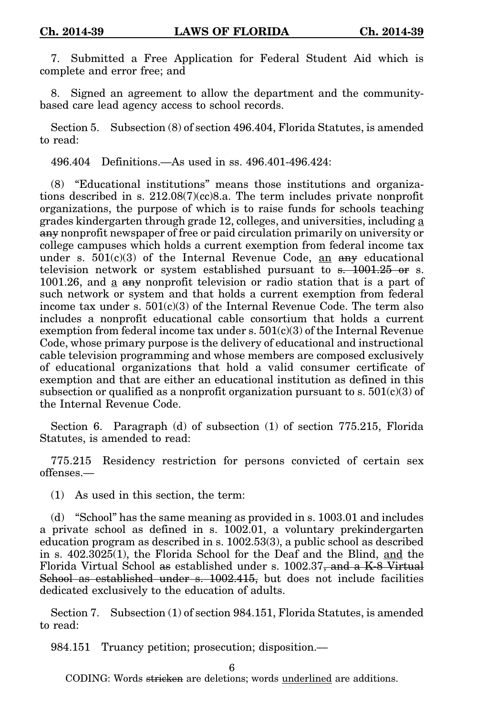7. Submitted a Free Application for Federal Student Aid which is complete and error free; and

8. Signed an agreement to allow the department and the communitybased care lead agency access to school records.

Section 5. Subsection (8) of section 496.404, Florida Statutes, is amended to read:

496.404 Definitions.—As used in ss. 496.401-496.424:

(8) "Educational institutions" means those institutions and organizations described in s.  $212.08(7)(cc)$ 8.a. The term includes private nonprofit organizations, the purpose of which is to raise funds for schools teaching grades kindergarten through grade 12, colleges, and universities, including a any nonprofit newspaper of free or paid circulation primarily on university or college campuses which holds a current exemption from federal income tax under s.  $501(c)(3)$  of the Internal Revenue Code, an any educational television network or system established pursuant to  $s$ .  $1001.25$  or s. 1001.26, and a any nonprofit television or radio station that is a part of such network or system and that holds a current exemption from federal income tax under s.  $501(c)(3)$  of the Internal Revenue Code. The term also includes a nonprofit educational cable consortium that holds a current exemption from federal income tax under s.  $501(c)(3)$  of the Internal Revenue Code, whose primary purpose is the delivery of educational and instructional cable television programming and whose members are composed exclusively of educational organizations that hold a valid consumer certificate of exemption and that are either an educational institution as defined in this subsection or qualified as a nonprofit organization pursuant to s.  $501(c)(3)$  of the Internal Revenue Code.

Section 6. Paragraph (d) of subsection (1) of section 775.215, Florida Statutes, is amended to read:

775.215 Residency restriction for persons convicted of certain sex offenses.—

(1) As used in this section, the term:

(d) "School" has the same meaning as provided in s. 1003.01 and includes a private school as defined in s. 1002.01, a voluntary prekindergarten education program as described in s. 1002.53(3), a public school as described in s. 402.3025(1), the Florida School for the Deaf and the Blind, and the Florida Virtual School as established under s. 1002.37, and a K-8 Virtual School as established under s. 1002.415, but does not include facilities dedicated exclusively to the education of adults.

Section 7. Subsection (1) of section 984.151, Florida Statutes, is amended to read:

984.151 Truancy petition; prosecution; disposition.—

6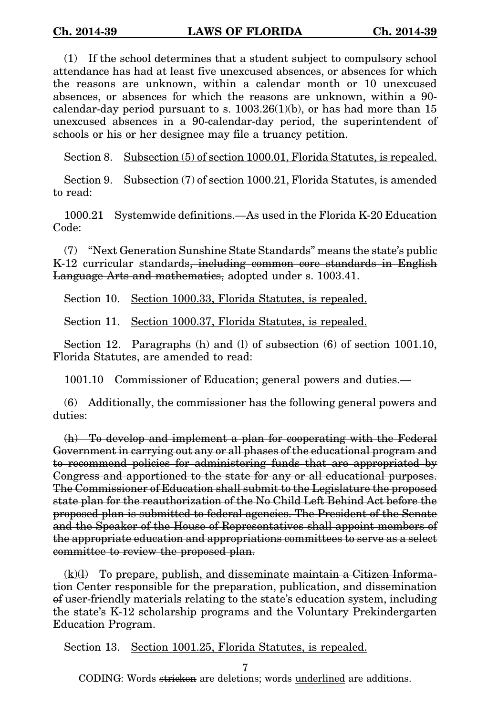(1) If the school determines that a student subject to compulsory school attendance has had at least five unexcused absences, or absences for which the reasons are unknown, within a calendar month or 10 unexcused absences, or absences for which the reasons are unknown, within a 90 calendar-day period pursuant to s.  $1003.26(1)(b)$ , or has had more than 15 unexcused absences in a 90-calendar-day period, the superintendent of schools <u>or his or her designee</u> may file a truancy petition.

Section 8. Subsection (5) of section 1000.01, Florida Statutes, is repealed.

Section 9. Subsection (7) of section 1000.21, Florida Statutes, is amended to read:

1000.21 Systemwide definitions.—As used in the Florida K-20 Education Code:

(7) "Next Generation Sunshine State Standards" means the state's public K-12 curricular standards, including common core standards in English Language Arts and mathematics, adopted under s. 1003.41.

Section 10. Section 1000.33, Florida Statutes, is repealed.

Section 11. Section 1000.37, Florida Statutes, is repealed.

Section 12. Paragraphs (h) and (l) of subsection (6) of section 1001.10, Florida Statutes, are amended to read:

1001.10 Commissioner of Education; general powers and duties.—

(6) Additionally, the commissioner has the following general powers and duties:

(h) To develop and implement a plan for cooperating with the Federal Government in carrying out any or all phases of the educational program and to recommend policies for administering funds that are appropriated by Congress and apportioned to the state for any or all educational purposes. The Commissioner of Education shall submit to the Legislature the proposed state plan for the reauthorization of the No Child Left Behind Act before the proposed plan is submitted to federal agencies. The President of the Senate and the Speaker of the House of Representatives shall appoint members of the appropriate education and appropriations committees to serve as a select committee to review the proposed plan.

 $(k)(H)$  To prepare, publish, and disseminate maintain a Citizen Information Center responsible for the preparation, publication, and dissemination of user-friendly materials relating to the state's education system, including the state's K-12 scholarship programs and the Voluntary Prekindergarten Education Program.

Section 13. Section 1001.25, Florida Statutes, is repealed.

7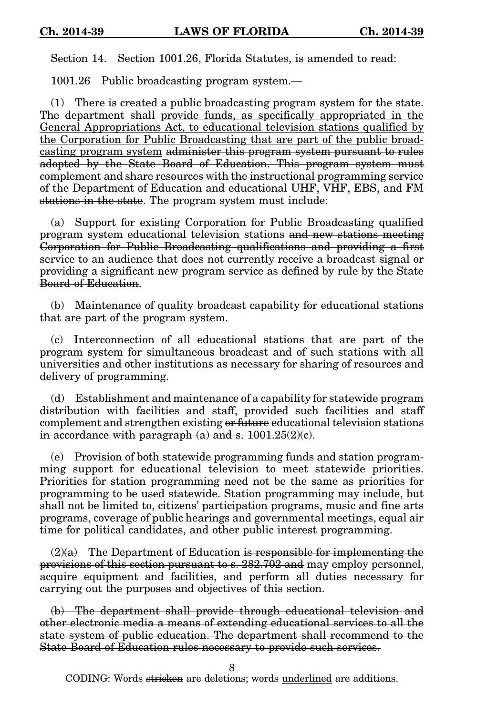Section 14. Section 1001.26, Florida Statutes, is amended to read:

1001.26 Public broadcasting program system.—

(1) There is created a public broadcasting program system for the state. The department shall provide funds, as specifically appropriated in the General Appropriations Act, to educational television stations qualified by the Corporation for Public Broadcasting that are part of the public broadcasting program system administer this program system pursuant to rules adopted by the State Board of Education. This program system must complement and share resources with the instructional programming service of the Department of Education and educational UHF, VHF, EBS, and FM stations in the state. The program system must include:

(a) Support for existing Corporation for Public Broadcasting qualified program system educational television stations and new stations meeting Corporation for Public Broadcasting qualifications and providing a first service to an audience that does not currently receive a broadcast signal or providing a significant new program service as defined by rule by the State Board of Education.

(b) Maintenance of quality broadcast capability for educational stations that are part of the program system.

(c) Interconnection of all educational stations that are part of the program system for simultaneous broadcast and of such stations with all universities and other institutions as necessary for sharing of resources and delivery of programming.

(d) Establishment and maintenance of a capability for statewide program distribution with facilities and staff, provided such facilities and staff complement and strengthen existing or future educational television stations in accordance with paragraph  $(a)$  and s.  $1001.25(2)(e)$ .

(e) Provision of both statewide programming funds and station programming support for educational television to meet statewide priorities. Priorities for station programming need not be the same as priorities for programming to be used statewide. Station programming may include, but shall not be limited to, citizens' participation programs, music and fine arts programs, coverage of public hearings and governmental meetings, equal air time for political candidates, and other public interest programming.

 $(2)(a)$  The Department of Education is responsible for implementing the provisions of this section pursuant to s. 282.702 and may employ personnel, acquire equipment and facilities, and perform all duties necessary for carrying out the purposes and objectives of this section.

(b) The department shall provide through educational television and other electronic media a means of extending educational services to all the state system of public education. The department shall recommend to the State Board of Education rules necessary to provide such services.

8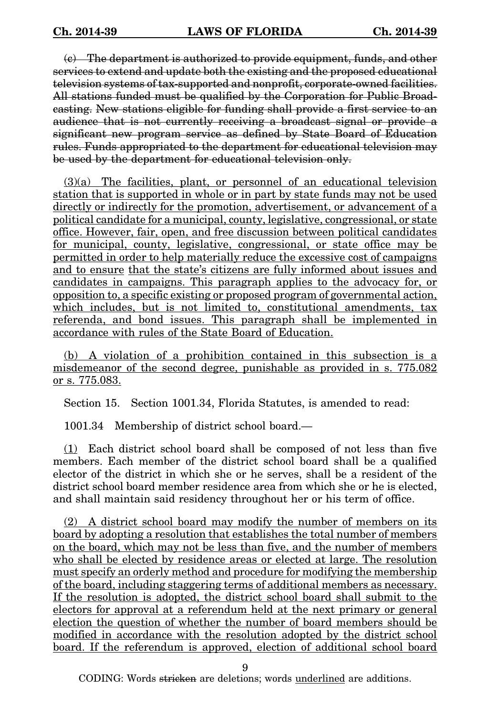(c) The department is authorized to provide equipment, funds, and other services to extend and update both the existing and the proposed educational television systems of tax-supported and nonprofit, corporate-owned facilities. All stations funded must be qualified by the Corporation for Public Broadcasting. New stations eligible for funding shall provide a first service to an audience that is not currently receiving a broadcast signal or provide a significant new program service as defined by State Board of Education rules. Funds appropriated to the department for educational television may be used by the department for educational television only.

(3)(a) The facilities, plant, or personnel of an educational television station that is supported in whole or in part by state funds may not be used directly or indirectly for the promotion, advertisement, or advancement of a political candidate for a municipal, county, legislative, congressional, or state office. However, fair, open, and free discussion between political candidates for municipal, county, legislative, congressional, or state office may be permitted in order to help materially reduce the excessive cost of campaigns and to ensure that the state's citizens are fully informed about issues and candidates in campaigns. This paragraph applies to the advocacy for, or opposition to, a specific existing or proposed program of governmental action, which includes, but is not limited to, constitutional amendments, tax referenda, and bond issues. This paragraph shall be implemented in accordance with rules of the State Board of Education.

(b) A violation of a prohibition contained in this subsection is a misdemeanor of the second degree, punishable as provided in s. 775.082 or s. 775.083.

Section 15. Section 1001.34, Florida Statutes, is amended to read:

1001.34 Membership of district school board.—

(1) Each district school board shall be composed of not less than five members. Each member of the district school board shall be a qualified elector of the district in which she or he serves, shall be a resident of the district school board member residence area from which she or he is elected, and shall maintain said residency throughout her or his term of office.

(2) A district school board may modify the number of members on its board by adopting a resolution that establishes the total number of members on the board, which may not be less than five, and the number of members who shall be elected by residence areas or elected at large. The resolution must specify an orderly method and procedure for modifying the membership of the board, including staggering terms of additional members as necessary. If the resolution is adopted, the district school board shall submit to the electors for approval at a referendum held at the next primary or general election the question of whether the number of board members should be modified in accordance with the resolution adopted by the district school board. If the referendum is approved, election of additional school board

 $\mathbf Q$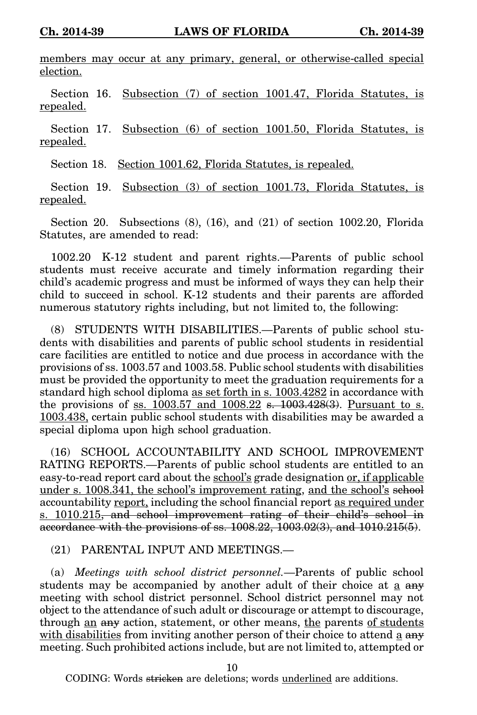members may occur at any primary, general, or otherwise-called special election.

Section 16. Subsection (7) of section 1001.47, Florida Statutes, is repealed.

Section 17. Subsection (6) of section 1001.50, Florida Statutes, is repealed.

Section 18. Section 1001.62, Florida Statutes, is repealed.

Section 19. Subsection (3) of section 1001.73, Florida Statutes, is repealed.

Section 20. Subsections (8), (16), and (21) of section 1002.20, Florida Statutes, are amended to read:

1002.20 K-12 student and parent rights.—Parents of public school students must receive accurate and timely information regarding their child's academic progress and must be informed of ways they can help their child to succeed in school. K-12 students and their parents are afforded numerous statutory rights including, but not limited to, the following:

(8) STUDENTS WITH DISABILITIES.—Parents of public school students with disabilities and parents of public school students in residential care facilities are entitled to notice and due process in accordance with the provisions of ss. 1003.57 and 1003.58. Public school students with disabilities must be provided the opportunity to meet the graduation requirements for a standard high school diploma as set forth in s. 1003.4282 in accordance with the provisions of <u>ss. 1003.57 and 1008.22</u> s.  $1003.428(3)$ . Pursuant to s. 1003.438, certain public school students with disabilities may be awarded a special diploma upon high school graduation.

(16) SCHOOL ACCOUNTABILITY AND SCHOOL IMPROVEMENT RATING REPORTS.—Parents of public school students are entitled to an easy-to-read report card about the school's grade designation or, if applicable under s. 1008.341, the school's improvement rating, and the school's sehool accountability report, including the school financial report as required under s. 1010.215, and school improvement rating of their child's school in accordance with the provisions of ss. 1008.22, 1003.02(3), and 1010.215(5).

(21) PARENTAL INPUT AND MEETINGS.—

(a) Meetings with school district personnel.—Parents of public school students may be accompanied by another adult of their choice at a any meeting with school district personnel. School district personnel may not object to the attendance of such adult or discourage or attempt to discourage, through an any action, statement, or other means, the parents of students with disabilities from inviting another person of their choice to attend a any meeting. Such prohibited actions include, but are not limited to, attempted or

10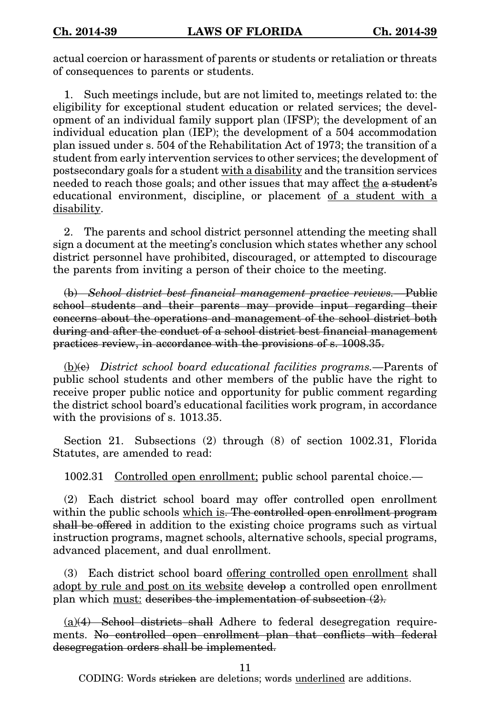actual coercion or harassment of parents or students or retaliation or threats of consequences to parents or students.

1. Such meetings include, but are not limited to, meetings related to: the eligibility for exceptional student education or related services; the development of an individual family support plan (IFSP); the development of an individual education plan (IEP); the development of a 504 accommodation plan issued under s. 504 of the Rehabilitation Act of 1973; the transition of a student from early intervention services to other services; the development of postsecondary goals for a student with a disability and the transition services needed to reach those goals; and other issues that may affect the a student's educational environment, discipline, or placement of a student with a disability.

2. The parents and school district personnel attending the meeting shall sign a document at the meeting's conclusion which states whether any school district personnel have prohibited, discouraged, or attempted to discourage the parents from inviting a person of their choice to the meeting.

(b) School district best financial management practice reviews.—Public school students and their parents may provide input regarding their concerns about the operations and management of the school district both during and after the conduct of a school district best financial management practices review, in accordance with the provisions of s. 1008.35.

 $(b)(e)$  District school board educational facilities programs.—Parents of public school students and other members of the public have the right to receive proper public notice and opportunity for public comment regarding the district school board's educational facilities work program, in accordance with the provisions of s. 1013.35.

Section 21. Subsections (2) through (8) of section 1002.31, Florida Statutes, are amended to read:

1002.31 Controlled open enrollment; public school parental choice.—

(2) Each district school board may offer controlled open enrollment within the public schools which is. The controlled open enrollment program shall be offered in addition to the existing choice programs such as virtual instruction programs, magnet schools, alternative schools, special programs, advanced placement, and dual enrollment.

(3) Each district school board offering controlled open enrollment shall adopt by rule and post on its website develop a controlled open enrollment plan which must: describes the implementation of subsection (2).

 $(a)(4)$  School districts shall Adhere to federal desegregation requirements. No controlled open enrollment plan that conflicts with federal desegregation orders shall be implemented.

11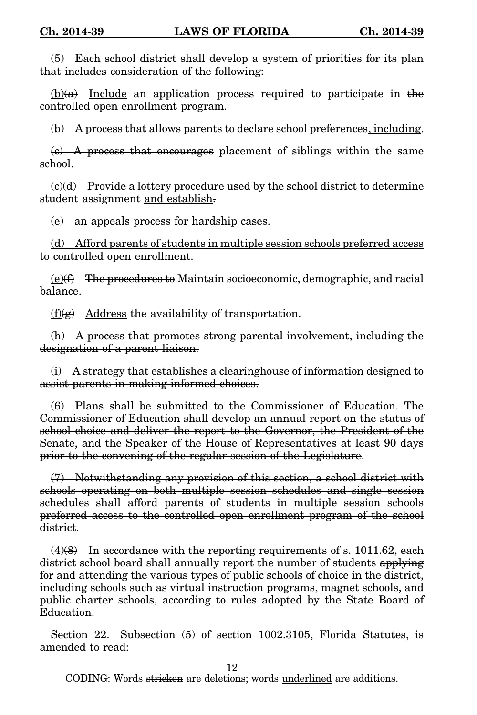(5) Each school district shall develop a system of priorities for its plan that includes consideration of the following:

 $(b)(a)$  Include an application process required to participate in the controlled open enrollment program.

 $(b)$  A process that allows parents to declare school preferences, including.

(c) A process that encourages placement of siblings within the same school.

 $(c)(d)$  Provide a lottery procedure used by the school district to determine student assignment and establish.

(e) an appeals process for hardship cases.

(d) Afford parents of students in multiple session schools preferred access to controlled open enrollment.

 $(e)(f)$  The procedures to Maintain socioeconomic, demographic, and racial balance.

 $(f)(g)$  Address the availability of transportation.

(h) A process that promotes strong parental involvement, including the designation of a parent liaison.

 $(i)$  A strategy that establishes a clearinghouse of information designed to assist parents in making informed choices.

(6) Plans shall be submitted to the Commissioner of Education. The Commissioner of Education shall develop an annual report on the status of school choice and deliver the report to the Governor, the President of the Senate, and the Speaker of the House of Representatives at least 90 days prior to the convening of the regular session of the Legislature.

(7) Notwithstanding any provision of this section, a school district with schools operating on both multiple session schedules and single session schedules shall afford parents of students in multiple session schools preferred access to the controlled open enrollment program of the school district.

 $(4)$ (8) In accordance with the reporting requirements of s. 1011.62, each district school board shall annually report the number of students applying for and attending the various types of public schools of choice in the district, including schools such as virtual instruction programs, magnet schools, and public charter schools, according to rules adopted by the State Board of Education.

Section 22. Subsection (5) of section 1002.3105, Florida Statutes, is amended to read:

12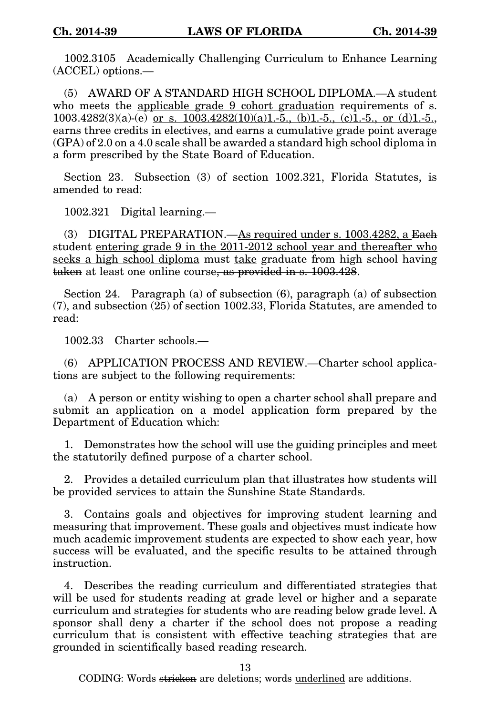1002.3105 Academically Challenging Curriculum to Enhance Learning (ACCEL) options.—

(5) AWARD OF A STANDARD HIGH SCHOOL DIPLOMA.—A student who meets the applicable grade 9 cohort graduation requirements of s.  $1003.4282(3)(a)-(e)$  or s.  $1003.4282(10)(a)1.-5$ , (b)1.-5, (c)1.-5, or (d)1.-5, earns three credits in electives, and earns a cumulative grade point average (GPA) of 2.0 on a 4.0 scale shall be awarded a standard high school diploma in a form prescribed by the State Board of Education.

Section 23. Subsection (3) of section 1002.321, Florida Statutes, is amended to read:

1002.321 Digital learning.—

(3) DIGITAL PREPARATION.—As required under s. 1003.4282, a Each student entering grade 9 in the 2011-2012 school year and thereafter who seeks a high school diploma must take graduate from high school having taken at least one online course, as provided in s. 1003.428.

Section 24. Paragraph (a) of subsection (6), paragraph (a) of subsection (7), and subsection (25) of section 1002.33, Florida Statutes, are amended to read:

1002.33 Charter schools.—

(6) APPLICATION PROCESS AND REVIEW.—Charter school applications are subject to the following requirements:

(a) A person or entity wishing to open a charter school shall prepare and submit an application on a model application form prepared by the Department of Education which:

1. Demonstrates how the school will use the guiding principles and meet the statutorily defined purpose of a charter school.

2. Provides a detailed curriculum plan that illustrates how students will be provided services to attain the Sunshine State Standards.

3. Contains goals and objectives for improving student learning and measuring that improvement. These goals and objectives must indicate how much academic improvement students are expected to show each year, how success will be evaluated, and the specific results to be attained through instruction.

4. Describes the reading curriculum and differentiated strategies that will be used for students reading at grade level or higher and a separate curriculum and strategies for students who are reading below grade level. A sponsor shall deny a charter if the school does not propose a reading curriculum that is consistent with effective teaching strategies that are grounded in scientifically based reading research.

13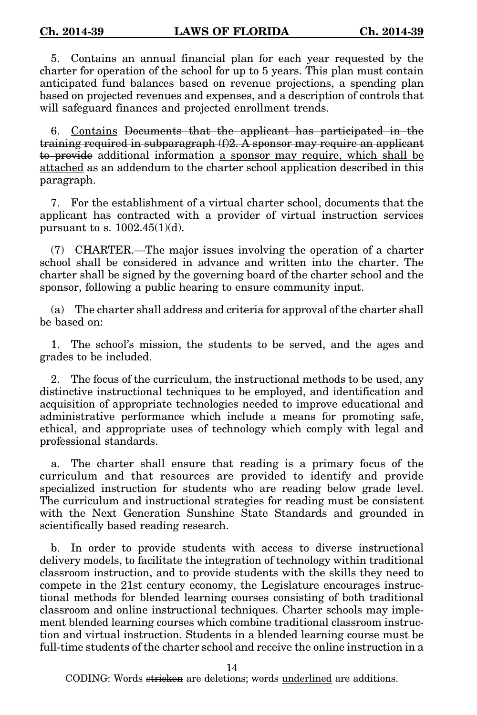5. Contains an annual financial plan for each year requested by the charter for operation of the school for up to 5 years. This plan must contain anticipated fund balances based on revenue projections, a spending plan based on projected revenues and expenses, and a description of controls that will safeguard finances and projected enrollment trends.

6. Contains Documents that the applicant has participated in the training required in subparagraph (f)2. A sponsor may require an applicant to provide additional information a sponsor may require, which shall be attached as an addendum to the charter school application described in this paragraph.

7. For the establishment of a virtual charter school, documents that the applicant has contracted with a provider of virtual instruction services pursuant to s.  $1002.45(1)(d)$ .

(7) CHARTER.—The major issues involving the operation of a charter school shall be considered in advance and written into the charter. The charter shall be signed by the governing board of the charter school and the sponsor, following a public hearing to ensure community input.

(a) The charter shall address and criteria for approval of the charter shall be based on:

1. The school's mission, the students to be served, and the ages and grades to be included.

2. The focus of the curriculum, the instructional methods to be used, any distinctive instructional techniques to be employed, and identification and acquisition of appropriate technologies needed to improve educational and administrative performance which include a means for promoting safe, ethical, and appropriate uses of technology which comply with legal and professional standards.

a. The charter shall ensure that reading is a primary focus of the curriculum and that resources are provided to identify and provide specialized instruction for students who are reading below grade level. The curriculum and instructional strategies for reading must be consistent with the Next Generation Sunshine State Standards and grounded in scientifically based reading research.

b. In order to provide students with access to diverse instructional delivery models, to facilitate the integration of technology within traditional classroom instruction, and to provide students with the skills they need to compete in the 21st century economy, the Legislature encourages instructional methods for blended learning courses consisting of both traditional classroom and online instructional techniques. Charter schools may implement blended learning courses which combine traditional classroom instruction and virtual instruction. Students in a blended learning course must be full-time students of the charter school and receive the online instruction in a

14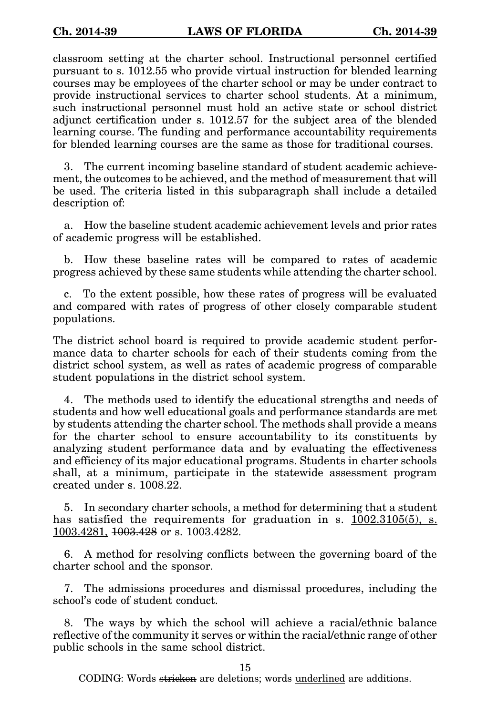classroom setting at the charter school. Instructional personnel certified pursuant to s. 1012.55 who provide virtual instruction for blended learning courses may be employees of the charter school or may be under contract to provide instructional services to charter school students. At a minimum, such instructional personnel must hold an active state or school district adjunct certification under s. 1012.57 for the subject area of the blended learning course. The funding and performance accountability requirements for blended learning courses are the same as those for traditional courses.

3. The current incoming baseline standard of student academic achievement, the outcomes to be achieved, and the method of measurement that will be used. The criteria listed in this subparagraph shall include a detailed description of:

a. How the baseline student academic achievement levels and prior rates of academic progress will be established.

b. How these baseline rates will be compared to rates of academic progress achieved by these same students while attending the charter school.

c. To the extent possible, how these rates of progress will be evaluated and compared with rates of progress of other closely comparable student populations.

The district school board is required to provide academic student performance data to charter schools for each of their students coming from the district school system, as well as rates of academic progress of comparable student populations in the district school system.

4. The methods used to identify the educational strengths and needs of students and how well educational goals and performance standards are met by students attending the charter school. The methods shall provide a means for the charter school to ensure accountability to its constituents by analyzing student performance data and by evaluating the effectiveness and efficiency of its major educational programs. Students in charter schools shall, at a minimum, participate in the statewide assessment program created under s. 1008.22.

5. In secondary charter schools, a method for determining that a student has satisfied the requirements for graduation in s.  $1002.3105(5)$ , s. 1003.4281, 1003.428 or s. 1003.4282.

6. A method for resolving conflicts between the governing board of the charter school and the sponsor.

7. The admissions procedures and dismissal procedures, including the school's code of student conduct.

8. The ways by which the school will achieve a racial/ethnic balance reflective of the community it serves or within the racial/ethnic range of other public schools in the same school district.

15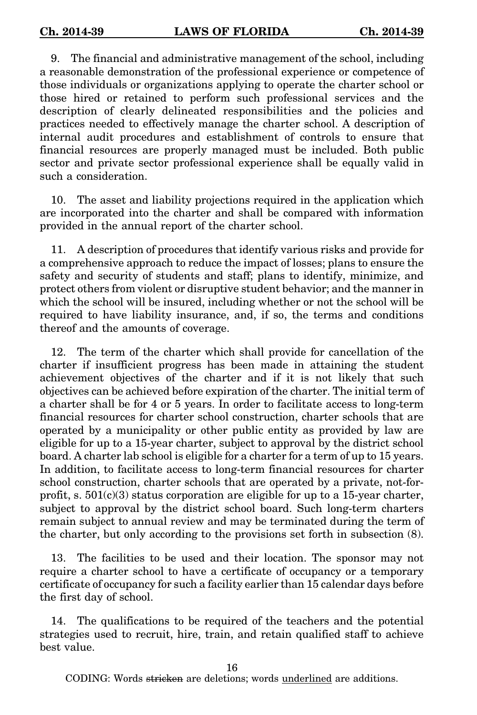9. The financial and administrative management of the school, including a reasonable demonstration of the professional experience or competence of those individuals or organizations applying to operate the charter school or those hired or retained to perform such professional services and the description of clearly delineated responsibilities and the policies and practices needed to effectively manage the charter school. A description of internal audit procedures and establishment of controls to ensure that financial resources are properly managed must be included. Both public sector and private sector professional experience shall be equally valid in such a consideration.

10. The asset and liability projections required in the application which are incorporated into the charter and shall be compared with information provided in the annual report of the charter school.

11. A description of procedures that identify various risks and provide for a comprehensive approach to reduce the impact of losses; plans to ensure the safety and security of students and staff; plans to identify, minimize, and protect others from violent or disruptive student behavior; and the manner in which the school will be insured, including whether or not the school will be required to have liability insurance, and, if so, the terms and conditions thereof and the amounts of coverage.

12. The term of the charter which shall provide for cancellation of the charter if insufficient progress has been made in attaining the student achievement objectives of the charter and if it is not likely that such objectives can be achieved before expiration of the charter. The initial term of a charter shall be for 4 or 5 years. In order to facilitate access to long-term financial resources for charter school construction, charter schools that are operated by a municipality or other public entity as provided by law are eligible for up to a 15-year charter, subject to approval by the district school board. A charter lab school is eligible for a charter for a term of up to 15 years. In addition, to facilitate access to long-term financial resources for charter school construction, charter schools that are operated by a private, not-forprofit, s.  $501(c)(3)$  status corporation are eligible for up to a 15-year charter, subject to approval by the district school board. Such long-term charters remain subject to annual review and may be terminated during the term of the charter, but only according to the provisions set forth in subsection (8).

13. The facilities to be used and their location. The sponsor may not require a charter school to have a certificate of occupancy or a temporary certificate of occupancy for such a facility earlier than 15 calendar days before the first day of school.

14. The qualifications to be required of the teachers and the potential strategies used to recruit, hire, train, and retain qualified staff to achieve best value.

16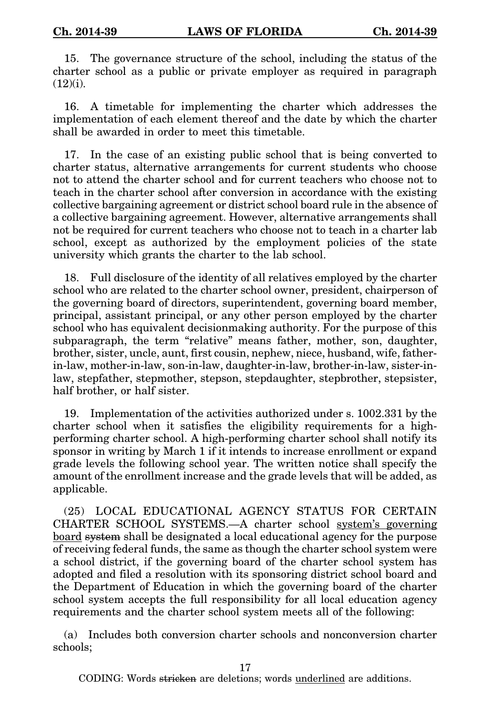15. The governance structure of the school, including the status of the charter school as a public or private employer as required in paragraph  $(12)(i)$ .

16. A timetable for implementing the charter which addresses the implementation of each element thereof and the date by which the charter shall be awarded in order to meet this timetable.

17. In the case of an existing public school that is being converted to charter status, alternative arrangements for current students who choose not to attend the charter school and for current teachers who choose not to teach in the charter school after conversion in accordance with the existing collective bargaining agreement or district school board rule in the absence of a collective bargaining agreement. However, alternative arrangements shall not be required for current teachers who choose not to teach in a charter lab school, except as authorized by the employment policies of the state university which grants the charter to the lab school.

18. Full disclosure of the identity of all relatives employed by the charter school who are related to the charter school owner, president, chairperson of the governing board of directors, superintendent, governing board member, principal, assistant principal, or any other person employed by the charter school who has equivalent decisionmaking authority. For the purpose of this subparagraph, the term "relative" means father, mother, son, daughter, brother, sister, uncle, aunt, first cousin, nephew, niece, husband, wife, fatherin-law, mother-in-law, son-in-law, daughter-in-law, brother-in-law, sister-inlaw, stepfather, stepmother, stepson, stepdaughter, stepbrother, stepsister, half brother, or half sister.

19. Implementation of the activities authorized under s. 1002.331 by the charter school when it satisfies the eligibility requirements for a highperforming charter school. A high-performing charter school shall notify its sponsor in writing by March 1 if it intends to increase enrollment or expand grade levels the following school year. The written notice shall specify the amount of the enrollment increase and the grade levels that will be added, as applicable.

(25) LOCAL EDUCATIONAL AGENCY STATUS FOR CERTAIN CHARTER SCHOOL SYSTEMS.—A charter school system's governing board system shall be designated a local educational agency for the purpose of receiving federal funds, the same as though the charter school system were a school district, if the governing board of the charter school system has adopted and filed a resolution with its sponsoring district school board and the Department of Education in which the governing board of the charter school system accepts the full responsibility for all local education agency requirements and the charter school system meets all of the following:

(a) Includes both conversion charter schools and nonconversion charter schools;

17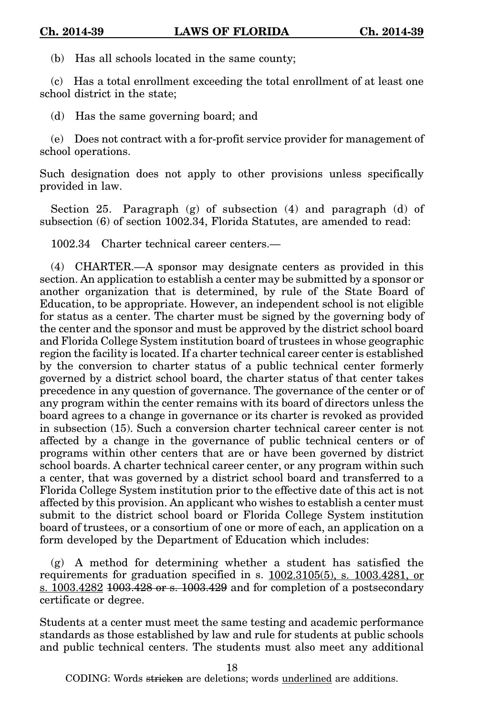(b) Has all schools located in the same county;

(c) Has a total enrollment exceeding the total enrollment of at least one school district in the state;

(d) Has the same governing board; and

(e) Does not contract with a for-profit service provider for management of school operations.

Such designation does not apply to other provisions unless specifically provided in law.

Section 25. Paragraph (g) of subsection (4) and paragraph (d) of subsection (6) of section 1002.34, Florida Statutes, are amended to read:

1002.34 Charter technical career centers.—

(4) CHARTER.—A sponsor may designate centers as provided in this section. An application to establish a center may be submitted by a sponsor or another organization that is determined, by rule of the State Board of Education, to be appropriate. However, an independent school is not eligible for status as a center. The charter must be signed by the governing body of the center and the sponsor and must be approved by the district school board and Florida College System institution board of trustees in whose geographic region the facility is located. If a charter technical career center is established by the conversion to charter status of a public technical center formerly governed by a district school board, the charter status of that center takes precedence in any question of governance. The governance of the center or of any program within the center remains with its board of directors unless the board agrees to a change in governance or its charter is revoked as provided in subsection (15). Such a conversion charter technical career center is not affected by a change in the governance of public technical centers or of programs within other centers that are or have been governed by district school boards. A charter technical career center, or any program within such a center, that was governed by a district school board and transferred to a Florida College System institution prior to the effective date of this act is not affected by this provision. An applicant who wishes to establish a center must submit to the district school board or Florida College System institution board of trustees, or a consortium of one or more of each, an application on a form developed by the Department of Education which includes:

(g) A method for determining whether a student has satisfied the requirements for graduation specified in s. 1002.3105(5), s. 1003.4281, or s.  $1003.4282$   $\frac{1003.428 \text{ or } s. 1003.429}$  and for completion of a postsecondary certificate or degree.

Students at a center must meet the same testing and academic performance standards as those established by law and rule for students at public schools and public technical centers. The students must also meet any additional

18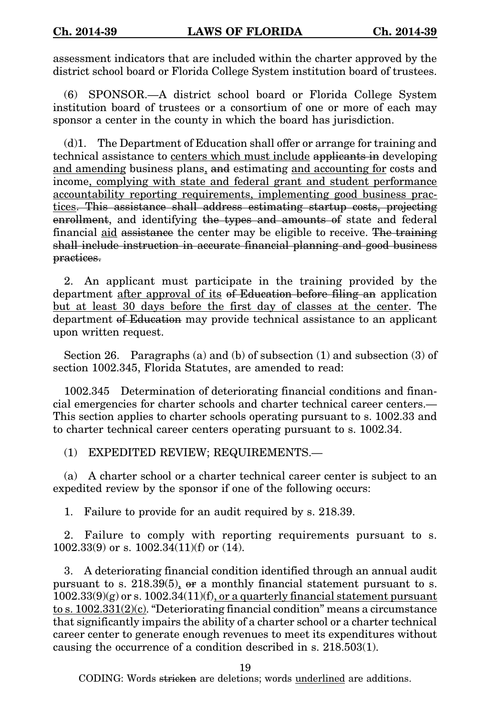assessment indicators that are included within the charter approved by the district school board or Florida College System institution board of trustees.

(6) SPONSOR.—A district school board or Florida College System institution board of trustees or a consortium of one or more of each may sponsor a center in the county in which the board has jurisdiction.

(d)1. The Department of Education shall offer or arrange for training and technical assistance to centers which must include applicants in developing and amending business plans, and estimating and accounting for costs and income, complying with state and federal grant and student performance accountability reporting requirements, implementing good business practices. This assistance shall address estimating startup costs, projecting enrollment, and identifying the types and amounts of state and federal financial aid assistance the center may be eligible to receive. The training shall include instruction in accurate financial planning and good business practices.

2. An applicant must participate in the training provided by the department after approval of its of Education before filing an application but at least 30 days before the first day of classes at the center. The department of Education may provide technical assistance to an applicant upon written request.

Section 26. Paragraphs (a) and (b) of subsection (1) and subsection (3) of section 1002.345, Florida Statutes, are amended to read:

1002.345 Determination of deteriorating financial conditions and financial emergencies for charter schools and charter technical career centers.— This section applies to charter schools operating pursuant to s. 1002.33 and to charter technical career centers operating pursuant to s. 1002.34.

(1) EXPEDITED REVIEW; REQUIREMENTS.—

(a) A charter school or a charter technical career center is subject to an expedited review by the sponsor if one of the following occurs:

1. Failure to provide for an audit required by s. 218.39.

2. Failure to comply with reporting requirements pursuant to s. 1002.33(9) or s. 1002.34(11)(f) or (14).

3. A deteriorating financial condition identified through an annual audit pursuant to s.  $218.39(5)$ ,  $\theta$  a monthly financial statement pursuant to s.  $1002.33(9)(g)$  or s.  $1002.34(11)(f)$ , or a quarterly financial statement pursuant  $\frac{\text{to } 1002.331(2)(c)}{c}$ . "Deteriorating financial condition" means a circumstance that significantly impairs the ability of a charter school or a charter technical career center to generate enough revenues to meet its expenditures without causing the occurrence of a condition described in s. 218.503(1).

19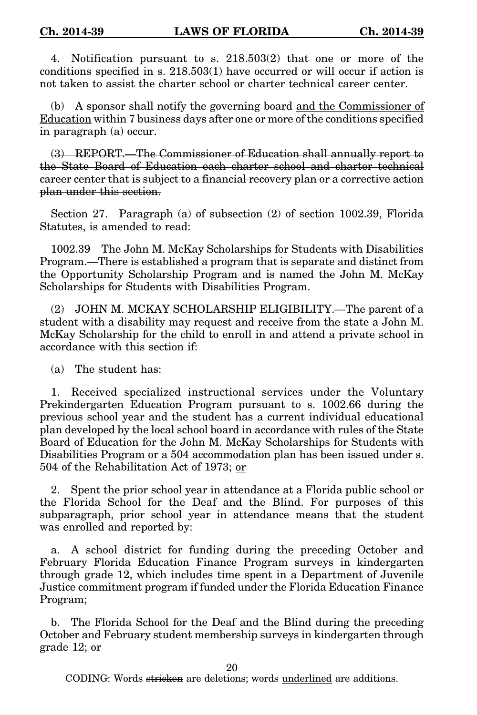4. Notification pursuant to s. 218.503(2) that one or more of the conditions specified in s. 218.503(1) have occurred or will occur if action is not taken to assist the charter school or charter technical career center.

(b) A sponsor shall notify the governing board and the Commissioner of Education within 7 business days after one or more of the conditions specified in paragraph (a) occur.

(3) REPORT.—The Commissioner of Education shall annually report to the State Board of Education each charter school and charter technical career center that is subject to a financial recovery plan or a corrective action plan under this section.

Section 27. Paragraph (a) of subsection (2) of section 1002.39, Florida Statutes, is amended to read:

1002.39 The John M. McKay Scholarships for Students with Disabilities Program.—There is established a program that is separate and distinct from the Opportunity Scholarship Program and is named the John M. McKay Scholarships for Students with Disabilities Program.

(2) JOHN M. MCKAY SCHOLARSHIP ELIGIBILITY.—The parent of a student with a disability may request and receive from the state a John M. McKay Scholarship for the child to enroll in and attend a private school in accordance with this section if:

(a) The student has:

1. Received specialized instructional services under the Voluntary Prekindergarten Education Program pursuant to s. 1002.66 during the previous school year and the student has a current individual educational plan developed by the local school board in accordance with rules of the State Board of Education for the John M. McKay Scholarships for Students with Disabilities Program or a 504 accommodation plan has been issued under s. 504 of the Rehabilitation Act of 1973; or

2. Spent the prior school year in attendance at a Florida public school or the Florida School for the Deaf and the Blind. For purposes of this subparagraph, prior school year in attendance means that the student was enrolled and reported by:

a. A school district for funding during the preceding October and February Florida Education Finance Program surveys in kindergarten through grade 12, which includes time spent in a Department of Juvenile Justice commitment program if funded under the Florida Education Finance Program;

b. The Florida School for the Deaf and the Blind during the preceding October and February student membership surveys in kindergarten through grade 12; or

20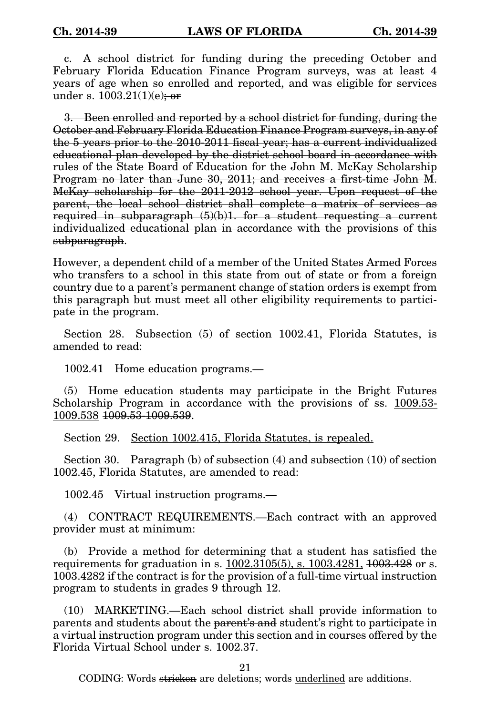c. A school district for funding during the preceding October and February Florida Education Finance Program surveys, was at least 4 years of age when so enrolled and reported, and was eligible for services under s.  $1003.21(1)(e)$ ; or

3. Been enrolled and reported by a school district for funding, during the October and February Florida Education Finance Program surveys, in any of the 5 years prior to the 2010-2011 fiscal year; has a current individualized educational plan developed by the district school board in accordance with rules of the State Board of Education for the John M. McKay Scholarship Program no later than June 30, 2011; and receives a first-time John M. McKay scholarship for the 2011-2012 school year. Upon request of the parent, the local school district shall complete a matrix of services as required in subparagraph  $(5)(b)1$ . for a student requesting a current individualized educational plan in accordance with the provisions of this subparagraph.

However, a dependent child of a member of the United States Armed Forces who transfers to a school in this state from out of state or from a foreign country due to a parent's permanent change of station orders is exempt from this paragraph but must meet all other eligibility requirements to participate in the program.

Section 28. Subsection (5) of section 1002.41, Florida Statutes, is amended to read:

1002.41 Home education programs.—

(5) Home education students may participate in the Bright Futures Scholarship Program in accordance with the provisions of ss. 1009.53- 1009.538 1009.53-1009.539.

Section 29. Section 1002.415, Florida Statutes, is repealed.

Section 30. Paragraph (b) of subsection (4) and subsection (10) of section 1002.45, Florida Statutes, are amended to read:

1002.45 Virtual instruction programs.—

(4) CONTRACT REQUIREMENTS.—Each contract with an approved provider must at minimum:

(b) Provide a method for determining that a student has satisfied the requirements for graduation in s.  $1002.3105(5)$ , s.  $1003.4281$ ,  $1003.428$  or s. 1003.4282 if the contract is for the provision of a full-time virtual instruction program to students in grades 9 through 12.

(10) MARKETING.—Each school district shall provide information to parents and students about the parent's and student's right to participate in a virtual instruction program under this section and in courses offered by the Florida Virtual School under s. 1002.37.

21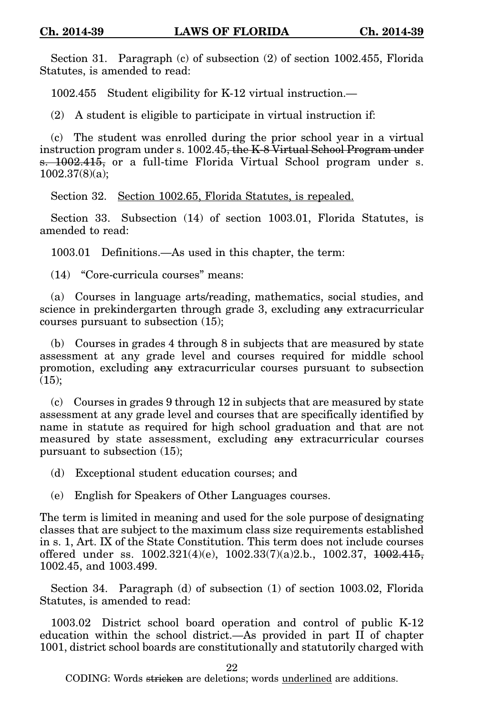Section 31. Paragraph (c) of subsection (2) of section 1002.455, Florida Statutes, is amended to read:

1002.455 Student eligibility for K-12 virtual instruction.—

(2) A student is eligible to participate in virtual instruction if:

(c) The student was enrolled during the prior school year in a virtual instruction program under s. 1002.45, the K-8 Virtual School Program under s. 1002.415, or a full-time Florida Virtual School program under s. 1002.37(8)(a);

Section 32. Section 1002.65, Florida Statutes, is repealed.

Section 33. Subsection (14) of section 1003.01, Florida Statutes, is amended to read:

1003.01 Definitions.—As used in this chapter, the term:

(14) "Core-curricula courses" means:

(a) Courses in language arts/reading, mathematics, social studies, and science in prekindergarten through grade 3, excluding any extracurricular courses pursuant to subsection (15);

(b) Courses in grades 4 through 8 in subjects that are measured by state assessment at any grade level and courses required for middle school promotion, excluding any extracurricular courses pursuant to subsection  $(15);$ 

(c) Courses in grades 9 through 12 in subjects that are measured by state assessment at any grade level and courses that are specifically identified by name in statute as required for high school graduation and that are not measured by state assessment, excluding any extracurricular courses pursuant to subsection (15);

(d) Exceptional student education courses; and

(e) English for Speakers of Other Languages courses.

The term is limited in meaning and used for the sole purpose of designating classes that are subject to the maximum class size requirements established in s. 1, Art. IX of the State Constitution. This term does not include courses offered under ss. 1002.321(4)(e), 1002.33(7)(a)2.b., 1002.37, 1002.415, 1002.45, and 1003.499.

Section 34. Paragraph (d) of subsection (1) of section 1003.02, Florida Statutes, is amended to read:

1003.02 District school board operation and control of public K-12 education within the school district.—As provided in part II of chapter 1001, district school boards are constitutionally and statutorily charged with

22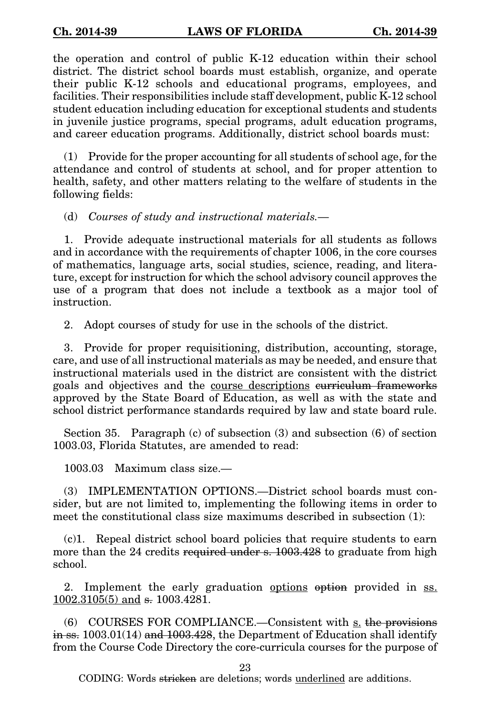the operation and control of public K-12 education within their school district. The district school boards must establish, organize, and operate their public K-12 schools and educational programs, employees, and facilities. Their responsibilities include staff development, public K-12 school student education including education for exceptional students and students in juvenile justice programs, special programs, adult education programs, and career education programs. Additionally, district school boards must:

(1) Provide for the proper accounting for all students of school age, for the attendance and control of students at school, and for proper attention to health, safety, and other matters relating to the welfare of students in the following fields:

(d) Courses of study and instructional materials.—

1. Provide adequate instructional materials for all students as follows and in accordance with the requirements of chapter 1006, in the core courses of mathematics, language arts, social studies, science, reading, and literature, except for instruction for which the school advisory council approves the use of a program that does not include a textbook as a major tool of instruction.

2. Adopt courses of study for use in the schools of the district.

3. Provide for proper requisitioning, distribution, accounting, storage, care, and use of all instructional materials as may be needed, and ensure that instructional materials used in the district are consistent with the district goals and objectives and the course descriptions curriculum frameworks approved by the State Board of Education, as well as with the state and school district performance standards required by law and state board rule.

Section 35. Paragraph (c) of subsection (3) and subsection (6) of section 1003.03, Florida Statutes, are amended to read:

1003.03 Maximum class size.—

(3) IMPLEMENTATION OPTIONS.—District school boards must consider, but are not limited to, implementing the following items in order to meet the constitutional class size maximums described in subsection (1):

(c)1. Repeal district school board policies that require students to earn more than the 24 credits required under s. 1003.428 to graduate from high school.

2. Implement the early graduation options option provided in ss. 1002.3105(5) and s. 1003.4281.

(6) COURSES FOR COMPLIANCE.—Consistent with s. the provisions in ss. 1003.01(14) and 1003.428, the Department of Education shall identify from the Course Code Directory the core-curricula courses for the purpose of

23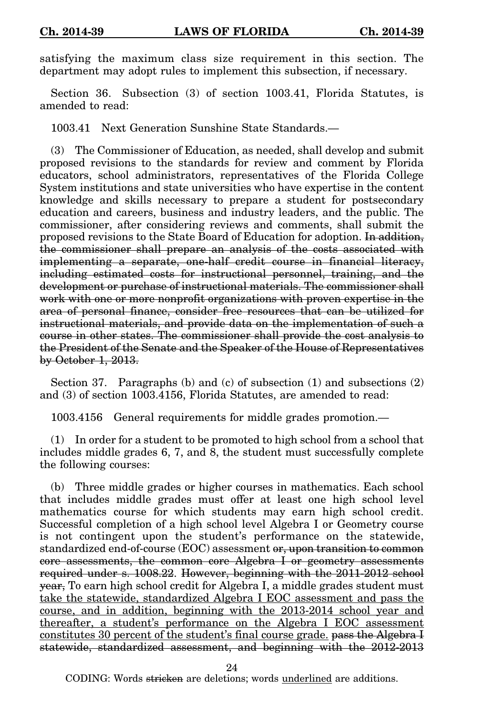satisfying the maximum class size requirement in this section. The department may adopt rules to implement this subsection, if necessary.

Section 36. Subsection (3) of section 1003.41, Florida Statutes, is amended to read:

1003.41 Next Generation Sunshine State Standards.—

(3) The Commissioner of Education, as needed, shall develop and submit proposed revisions to the standards for review and comment by Florida educators, school administrators, representatives of the Florida College System institutions and state universities who have expertise in the content knowledge and skills necessary to prepare a student for postsecondary education and careers, business and industry leaders, and the public. The commissioner, after considering reviews and comments, shall submit the proposed revisions to the State Board of Education for adoption. In addition, the commissioner shall prepare an analysis of the costs associated with implementing a separate, one-half credit course in financial literacy, including estimated costs for instructional personnel, training, and the development or purchase of instructional materials. The commissioner shall work with one or more nonprofit organizations with proven expertise in the area of personal finance, consider free resources that can be utilized for instructional materials, and provide data on the implementation of such a course in other states. The commissioner shall provide the cost analysis to the President of the Senate and the Speaker of the House of Representatives by October 1, 2013.

Section 37. Paragraphs (b) and (c) of subsection (1) and subsections (2) and (3) of section 1003.4156, Florida Statutes, are amended to read:

1003.4156 General requirements for middle grades promotion.—

(1) In order for a student to be promoted to high school from a school that includes middle grades 6, 7, and 8, the student must successfully complete the following courses:

(b) Three middle grades or higher courses in mathematics. Each school that includes middle grades must offer at least one high school level mathematics course for which students may earn high school credit. Successful completion of a high school level Algebra I or Geometry course is not contingent upon the student's performance on the statewide, standardized end-of-course (EOC) assessment or, upon transition to common core assessments, the common core Algebra I or geometry assessments required under s. 1008.22. However, beginning with the 2011-2012 school year, To earn high school credit for Algebra I, a middle grades student must take the statewide, standardized Algebra I EOC assessment and pass the course, and in addition, beginning with the 2013-2014 school year and thereafter, a student's performance on the Algebra I EOC assessment constitutes 30 percent of the student's final course grade. pass the Algebra I statewide, standardized assessment, and beginning with the 2012-2013

24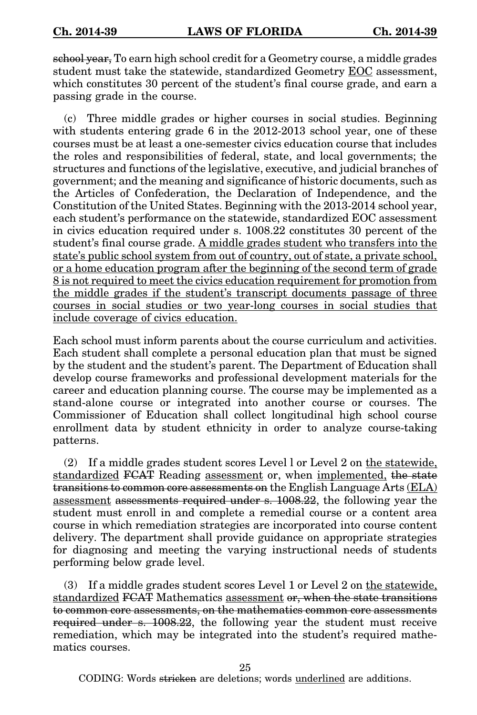school year, To earn high school credit for a Geometry course, a middle grades student must take the statewide, standardized Geometry EOC assessment, which constitutes 30 percent of the student's final course grade, and earn a passing grade in the course.

(c) Three middle grades or higher courses in social studies. Beginning with students entering grade 6 in the 2012-2013 school year, one of these courses must be at least a one-semester civics education course that includes the roles and responsibilities of federal, state, and local governments; the structures and functions of the legislative, executive, and judicial branches of government; and the meaning and significance of historic documents, such as the Articles of Confederation, the Declaration of Independence, and the Constitution of the United States. Beginning with the 2013-2014 school year, each student's performance on the statewide, standardized EOC assessment in civics education required under s. 1008.22 constitutes 30 percent of the student's final course grade. A middle grades student who transfers into the state's public school system from out of country, out of state, a private school, or a home education program after the beginning of the second term of grade 8 is not required to meet the civics education requirement for promotion from the middle grades if the student's transcript documents passage of three courses in social studies or two year-long courses in social studies that include coverage of civics education.

Each school must inform parents about the course curriculum and activities. Each student shall complete a personal education plan that must be signed by the student and the student's parent. The Department of Education shall develop course frameworks and professional development materials for the career and education planning course. The course may be implemented as a stand-alone course or integrated into another course or courses. The Commissioner of Education shall collect longitudinal high school course enrollment data by student ethnicity in order to analyze course-taking patterns.

(2) If a middle grades student scores Level l or Level 2 on the statewide, standardized FCAT Reading assessment or, when implemented, the state transitions to common core assessments on the English Language Arts (ELA) assessment assessments required under s. 1008.22, the following year the student must enroll in and complete a remedial course or a content area course in which remediation strategies are incorporated into course content delivery. The department shall provide guidance on appropriate strategies for diagnosing and meeting the varying instructional needs of students performing below grade level.

(3) If a middle grades student scores Level 1 or Level 2 on the statewide, standardized FCAT Mathematics assessment or, when the state transitions to common core assessments, on the mathematics common core assessments required under s. 1008.22, the following year the student must receive remediation, which may be integrated into the student's required mathematics courses.

25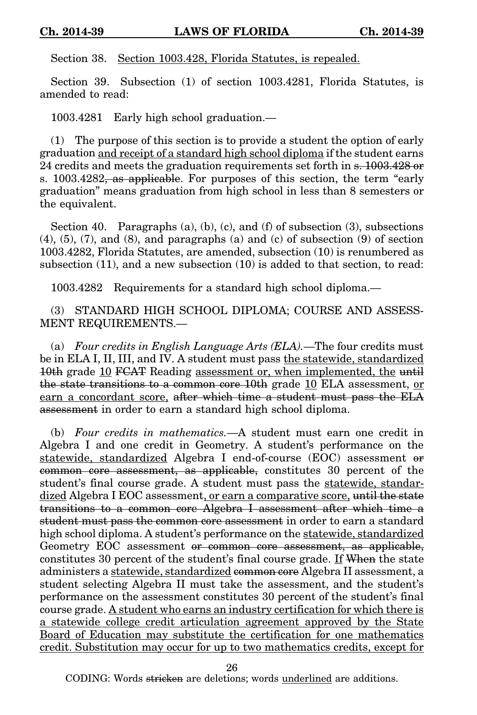Section 38. Section 1003.428, Florida Statutes, is repealed.

Section 39. Subsection (1) of section 1003.4281, Florida Statutes, is amended to read:

1003.4281 Early high school graduation.—

(1) The purpose of this section is to provide a student the option of early graduation and receipt of a standard high school diploma if the student earns 24 credits and meets the graduation requirements set forth in s. 1003.428 or s. 1003.4282, as applicable. For purposes of this section, the term "early" graduation" means graduation from high school in less than 8 semesters or the equivalent.

Section 40. Paragraphs (a), (b), (c), and (f) of subsection  $(3)$ , subsections  $(4)$ ,  $(5)$ ,  $(7)$ , and  $(8)$ , and paragraphs  $(a)$  and  $(c)$  of subsection  $(9)$  of section 1003.4282, Florida Statutes, are amended, subsection (10) is renumbered as subsection (11), and a new subsection (10) is added to that section, to read:

1003.4282 Requirements for a standard high school diploma.—

(3) STANDARD HIGH SCHOOL DIPLOMA; COURSE AND ASSESS-MENT REQUIREMENTS.—

(a) Four credits in English Language Arts  $(ELA)$ . The four credits must be in ELA I, II, III, and IV. A student must pass the statewide, standardized 10th grade 10 FCAT Reading assessment or, when implemented, the until the state transitions to a common core 10th grade 10 ELA assessment, or earn a concordant score, after which time a student must pass the ELA assessment in order to earn a standard high school diploma.

(b) Four credits in mathematics.—A student must earn one credit in Algebra I and one credit in Geometry. A student's performance on the statewide, standardized Algebra I end-of-course (EOC) assessment or common core assessment, as applicable, constitutes 30 percent of the student's final course grade. A student must pass the statewide, standardized Algebra I EOC assessment, or earn a comparative score, until the state transitions to a common core Algebra I assessment after which time a student must pass the common core assessment in order to earn a standard high school diploma. A student's performance on the statewide, standardized Geometry EOC assessment or common core assessment, as applicable, constitutes 30 percent of the student's final course grade. If When the state administers a statewide, standardized common core Algebra II assessment, a student selecting Algebra II must take the assessment, and the student's performance on the assessment constitutes 30 percent of the student's final course grade. A student who earns an industry certification for which there is a statewide college credit articulation agreement approved by the State Board of Education may substitute the certification for one mathematics credit. Substitution may occur for up to two mathematics credits, except for

26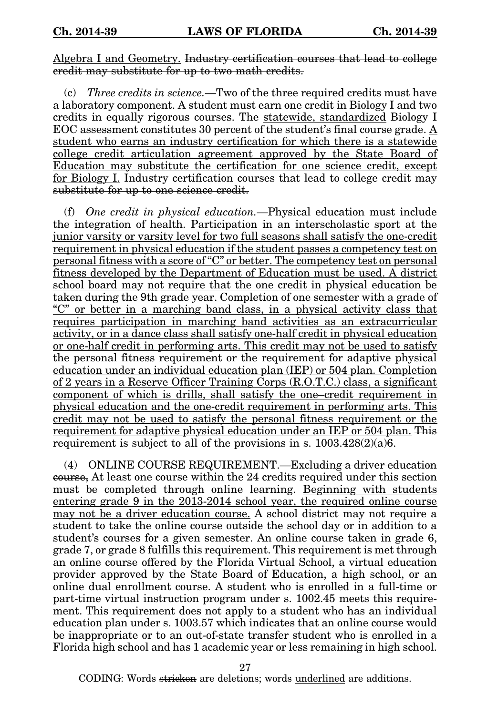Algebra I and Geometry. Industry certification courses that lead to college credit may substitute for up to two math credits.

(c) Three credits in science.—Two of the three required credits must have a laboratory component. A student must earn one credit in Biology I and two credits in equally rigorous courses. The statewide, standardized Biology I EOC assessment constitutes 30 percent of the student's final course grade. A student who earns an industry certification for which there is a statewide college credit articulation agreement approved by the State Board of Education may substitute the certification for one science credit, except for Biology I. Industry certification courses that lead to college credit may substitute for up to one science credit.

(f) One credit in physical education.—Physical education must include the integration of health. Participation in an interscholastic sport at the junior varsity or varsity level for two full seasons shall satisfy the one-credit requirement in physical education if the student passes a competency test on personal fitness with a score of "C" or better. The competency test on personal fitness developed by the Department of Education must be used. A district school board may not require that the one credit in physical education be taken during the 9th grade year. Completion of one semester with a grade of "C" or better in a marching band class, in a physical activity class that requires participation in marching band activities as an extracurricular activity, or in a dance class shall satisfy one-half credit in physical education or one-half credit in performing arts. This credit may not be used to satisfy the personal fitness requirement or the requirement for adaptive physical education under an individual education plan (IEP) or 504 plan. Completion of 2 years in a Reserve Officer Training Corps (R.O.T.C.) class, a significant component of which is drills, shall satisfy the one–credit requirement in physical education and the one-credit requirement in performing arts. This credit may not be used to satisfy the personal fitness requirement or the requirement for adaptive physical education under an IEP or 504 plan. This requirement is subject to all of the provisions in s.  $1003.428(2)(a)6$ .

(4) ONLINE COURSE REQUIREMENT.—Excluding a driver education course, At least one course within the 24 credits required under this section must be completed through online learning. Beginning with students entering grade 9 in the 2013-2014 school year, the required online course may not be a driver education course. A school district may not require a student to take the online course outside the school day or in addition to a student's courses for a given semester. An online course taken in grade 6, grade 7, or grade 8 fulfills this requirement. This requirement is met through an online course offered by the Florida Virtual School, a virtual education provider approved by the State Board of Education, a high school, or an online dual enrollment course. A student who is enrolled in a full-time or part-time virtual instruction program under s. 1002.45 meets this requirement. This requirement does not apply to a student who has an individual education plan under s. 1003.57 which indicates that an online course would be inappropriate or to an out-of-state transfer student who is enrolled in a Florida high school and has 1 academic year or less remaining in high school.

27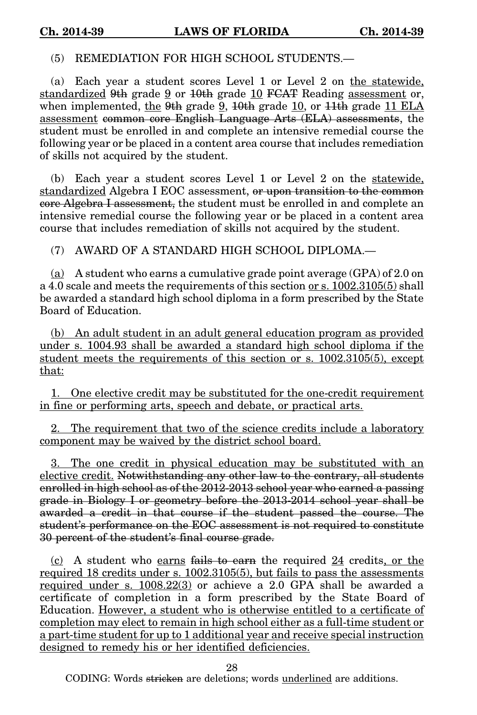## (5) REMEDIATION FOR HIGH SCHOOL STUDENTS.—

(a) Each year a student scores Level 1 or Level 2 on the statewide, standardized <del>9th</del> grade 9 or <del>10th</del> grade 10 FCAT Reading assessment or, when implemented, the  $9th$  grade  $9$ ,  $10th$  grade  $10$ , or  $11th$  grade  $11$  ELA assessment common core English Language Arts (ELA) assessments, the student must be enrolled in and complete an intensive remedial course the following year or be placed in a content area course that includes remediation of skills not acquired by the student.

(b) Each year a student scores Level 1 or Level 2 on the statewide, standardized Algebra I EOC assessment, or upon transition to the common core Algebra I assessment, the student must be enrolled in and complete an intensive remedial course the following year or be placed in a content area course that includes remediation of skills not acquired by the student.

(7) AWARD OF A STANDARD HIGH SCHOOL DIPLOMA.—

(a) A student who earns a cumulative grade point average (GPA) of 2.0 on a 4.0 scale and meets the requirements of this section or s. 1002.3105(5) shall be awarded a standard high school diploma in a form prescribed by the State Board of Education.

(b) An adult student in an adult general education program as provided under s. 1004.93 shall be awarded a standard high school diploma if the student meets the requirements of this section or s. 1002.3105(5), except that:

1. One elective credit may be substituted for the one-credit requirement in fine or performing arts, speech and debate, or practical arts.

2. The requirement that two of the science credits include a laboratory component may be waived by the district school board.

3. The one credit in physical education may be substituted with an elective credit. Notwithstanding any other law to the contrary, all students enrolled in high school as of the 2012-2013 school year who earned a passing grade in Biology I or geometry before the 2013-2014 school year shall be awarded a credit in that course if the student passed the course. The student's performance on the EOC assessment is not required to constitute 30 percent of the student's final course grade.

 $(c)$  A student who earns fails to earn the required  $24$  credits, or the required 18 credits under s. 1002.3105(5), but fails to pass the assessments required under s. 1008.22(3) or achieve a 2.0 GPA shall be awarded a certificate of completion in a form prescribed by the State Board of Education. However, a student who is otherwise entitled to a certificate of completion may elect to remain in high school either as a full-time student or a part-time student for up to 1 additional year and receive special instruction designed to remedy his or her identified deficiencies.

28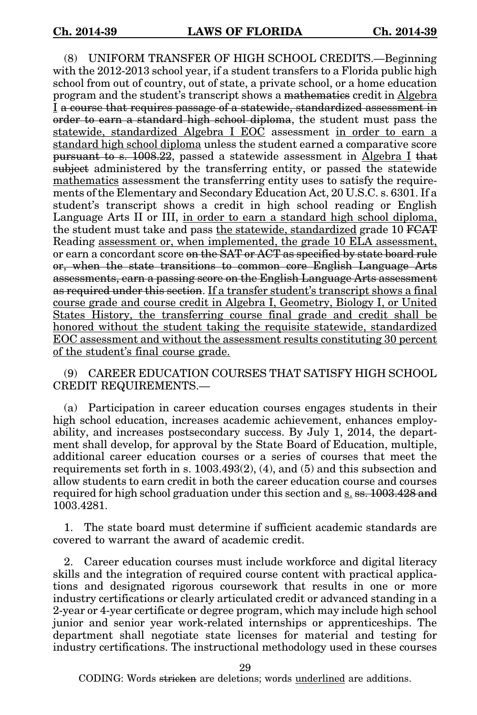(8) UNIFORM TRANSFER OF HIGH SCHOOL CREDITS.—Beginning with the 2012-2013 school year, if a student transfers to a Florida public high school from out of country, out of state, a private school, or a home education program and the student's transcript shows a mathematics credit in Algebra I a course that requires passage of a statewide, standardized assessment in order to earn a standard high school diploma, the student must pass the statewide, standardized Algebra I EOC assessment in order to earn a standard high school diploma unless the student earned a comparative score pursuant to s. 1008.22, passed a statewide assessment in Algebra I that subject administered by the transferring entity, or passed the statewide mathematics assessment the transferring entity uses to satisfy the requirements of the Elementary and Secondary Education Act, 20 U.S.C. s. 6301. If a student's transcript shows a credit in high school reading or English Language Arts II or III, in order to earn a standard high school diploma, the student must take and pass the statewide, standardized grade 10 FCAT Reading assessment or, when implemented, the grade 10 ELA assessment, or earn a concordant score on the SAT or ACT as specified by state board rule or, when the state transitions to common core English Language Arts assessments, earn a passing score on the English Language Arts assessment as required under this section. If a transfer student's transcript shows a final course grade and course credit in Algebra I, Geometry, Biology I, or United States History, the transferring course final grade and credit shall be honored without the student taking the requisite statewide, standardized EOC assessment and without the assessment results constituting 30 percent of the student's final course grade.

(9) CAREER EDUCATION COURSES THAT SATISFY HIGH SCHOOL CREDIT REQUIREMENTS.—

(a) Participation in career education courses engages students in their high school education, increases academic achievement, enhances employability, and increases postsecondary success. By July 1, 2014, the department shall develop, for approval by the State Board of Education, multiple, additional career education courses or a series of courses that meet the requirements set forth in s. 1003.493(2), (4), and (5) and this subsection and allow students to earn credit in both the career education course and courses required for high school graduation under this section and s. ss. 1003.428 and 1003.4281.

1. The state board must determine if sufficient academic standards are covered to warrant the award of academic credit.

2. Career education courses must include workforce and digital literacy skills and the integration of required course content with practical applications and designated rigorous coursework that results in one or more industry certifications or clearly articulated credit or advanced standing in a 2-year or 4-year certificate or degree program, which may include high school junior and senior year work-related internships or apprenticeships. The department shall negotiate state licenses for material and testing for industry certifications. The instructional methodology used in these courses

29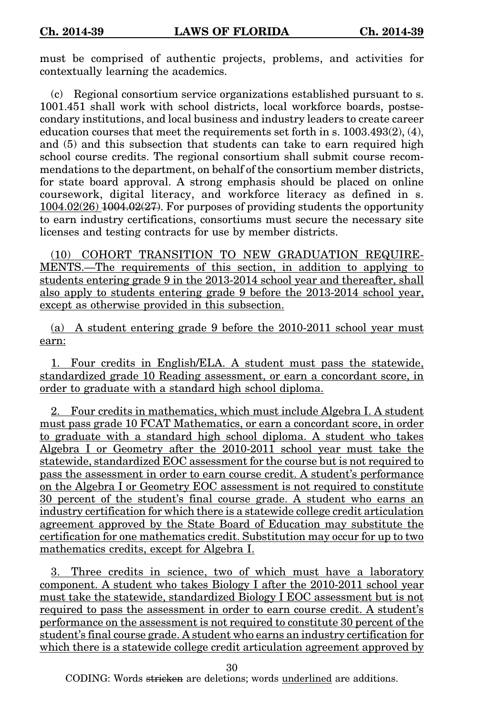must be comprised of authentic projects, problems, and activities for contextually learning the academics.

(c) Regional consortium service organizations established pursuant to s. 1001.451 shall work with school districts, local workforce boards, postsecondary institutions, and local business and industry leaders to create career education courses that meet the requirements set forth in s. 1003.493(2), (4), and (5) and this subsection that students can take to earn required high school course credits. The regional consortium shall submit course recommendations to the department, on behalf of the consortium member districts, for state board approval. A strong emphasis should be placed on online coursework, digital literacy, and workforce literacy as defined in s. 1004.02(26) 1004.02(27). For purposes of providing students the opportunity to earn industry certifications, consortiums must secure the necessary site licenses and testing contracts for use by member districts.

(10) COHORT TRANSITION TO NEW GRADUATION REQUIRE-MENTS.—The requirements of this section, in addition to applying to students entering grade 9 in the 2013-2014 school year and thereafter, shall also apply to students entering grade 9 before the 2013-2014 school year, except as otherwise provided in this subsection.

(a) A student entering grade 9 before the 2010-2011 school year must earn:

1. Four credits in English/ELA. A student must pass the statewide, standardized grade 10 Reading assessment, or earn a concordant score, in order to graduate with a standard high school diploma.

2. Four credits in mathematics, which must include Algebra I. A student must pass grade 10 FCAT Mathematics, or earn a concordant score, in order to graduate with a standard high school diploma. A student who takes Algebra I or Geometry after the 2010-2011 school year must take the statewide, standardized EOC assessment for the course but is not required to pass the assessment in order to earn course credit. A student's performance on the Algebra I or Geometry EOC assessment is not required to constitute 30 percent of the student's final course grade. A student who earns an industry certification for which there is a statewide college credit articulation agreement approved by the State Board of Education may substitute the certification for one mathematics credit. Substitution may occur for up to two mathematics credits, except for Algebra I.

3. Three credits in science, two of which must have a laboratory component. A student who takes Biology I after the 2010-2011 school year must take the statewide, standardized Biology I EOC assessment but is not required to pass the assessment in order to earn course credit. A student's performance on the assessment is not required to constitute 30 percent of the student's final course grade. A student who earns an industry certification for which there is a statewide college credit articulation agreement approved by

30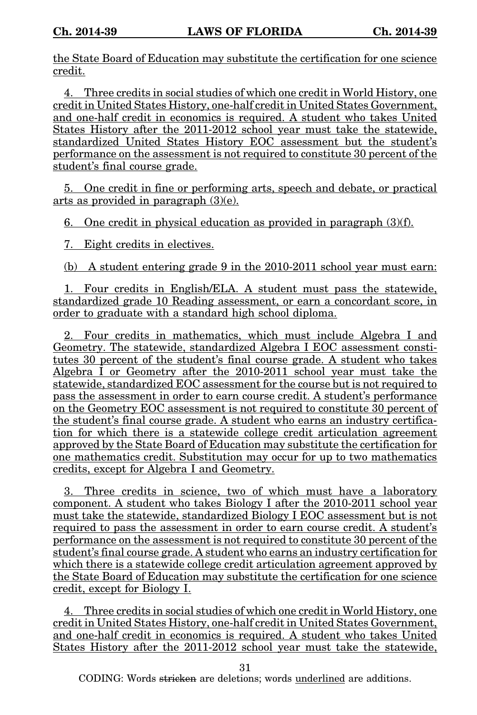the State Board of Education may substitute the certification for one science credit.

4. Three credits in social studies of which one credit in World History, one credit in United States History, one-half credit in United States Government, and one-half credit in economics is required. A student who takes United States History after the 2011-2012 school year must take the statewide, standardized United States History EOC assessment but the student's performance on the assessment is not required to constitute 30 percent of the student's final course grade.

5. One credit in fine or performing arts, speech and debate, or practical arts as provided in paragraph (3)(e).

6. One credit in physical education as provided in paragraph (3)(f).

7. Eight credits in electives.

(b) A student entering grade 9 in the 2010-2011 school year must earn:

1. Four credits in English/ELA. A student must pass the statewide, standardized grade 10 Reading assessment, or earn a concordant score, in order to graduate with a standard high school diploma.

2. Four credits in mathematics, which must include Algebra I and Geometry. The statewide, standardized Algebra I EOC assessment constitutes 30 percent of the student's final course grade. A student who takes Algebra I or Geometry after the 2010-2011 school year must take the statewide, standardized EOC assessment for the course but is not required to pass the assessment in order to earn course credit. A student's performance on the Geometry EOC assessment is not required to constitute 30 percent of the student's final course grade. A student who earns an industry certification for which there is a statewide college credit articulation agreement approved by the State Board of Education may substitute the certification for one mathematics credit. Substitution may occur for up to two mathematics credits, except for Algebra I and Geometry.

3. Three credits in science, two of which must have a laboratory component. A student who takes Biology I after the 2010-2011 school year must take the statewide, standardized Biology I EOC assessment but is not required to pass the assessment in order to earn course credit. A student's performance on the assessment is not required to constitute 30 percent of the student's final course grade. A student who earns an industry certification for which there is a statewide college credit articulation agreement approved by the State Board of Education may substitute the certification for one science credit, except for Biology I.

4. Three credits in social studies of which one credit in World History, one credit in United States History, one-half credit in United States Government, and one-half credit in economics is required. A student who takes United States History after the 2011-2012 school year must take the statewide,

31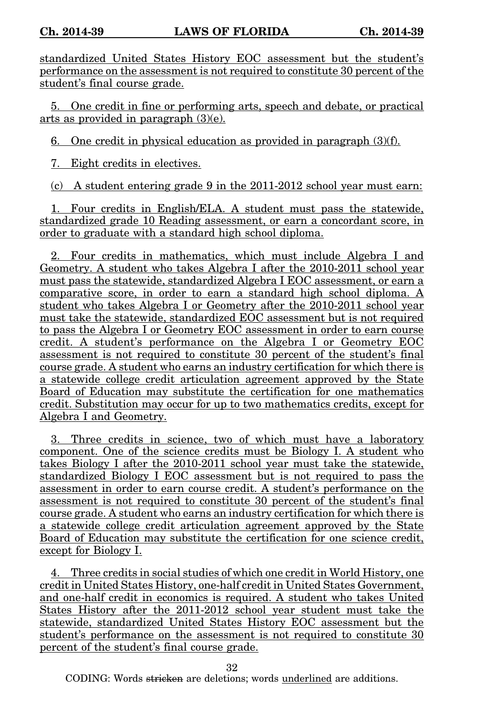standardized United States History EOC assessment but the student's performance on the assessment is not required to constitute 30 percent of the student's final course grade.

5. One credit in fine or performing arts, speech and debate, or practical arts as provided in paragraph (3)(e).

6. One credit in physical education as provided in paragraph (3)(f).

7. Eight credits in electives.

(c) A student entering grade 9 in the 2011-2012 school year must earn:

1. Four credits in English/ELA. A student must pass the statewide, standardized grade 10 Reading assessment, or earn a concordant score, in order to graduate with a standard high school diploma.

2. Four credits in mathematics, which must include Algebra I and Geometry. A student who takes Algebra I after the 2010-2011 school year must pass the statewide, standardized Algebra I EOC assessment, or earn a comparative score, in order to earn a standard high school diploma. A student who takes Algebra I or Geometry after the 2010-2011 school year must take the statewide, standardized EOC assessment but is not required to pass the Algebra I or Geometry EOC assessment in order to earn course credit. A student's performance on the Algebra I or Geometry EOC assessment is not required to constitute 30 percent of the student's final course grade. A student who earns an industry certification for which there is a statewide college credit articulation agreement approved by the State Board of Education may substitute the certification for one mathematics credit. Substitution may occur for up to two mathematics credits, except for Algebra I and Geometry.

3. Three credits in science, two of which must have a laboratory component. One of the science credits must be Biology I. A student who takes Biology I after the 2010-2011 school year must take the statewide, standardized Biology I EOC assessment but is not required to pass the assessment in order to earn course credit. A student's performance on the assessment is not required to constitute 30 percent of the student's final course grade. A student who earns an industry certification for which there is a statewide college credit articulation agreement approved by the State Board of Education may substitute the certification for one science credit, except for Biology I.

4. Three credits in social studies of which one credit in World History, one credit in United States History, one-half credit in United States Government, and one-half credit in economics is required. A student who takes United States History after the 2011-2012 school year student must take the statewide, standardized United States History EOC assessment but the student's performance on the assessment is not required to constitute 30 percent of the student's final course grade.

32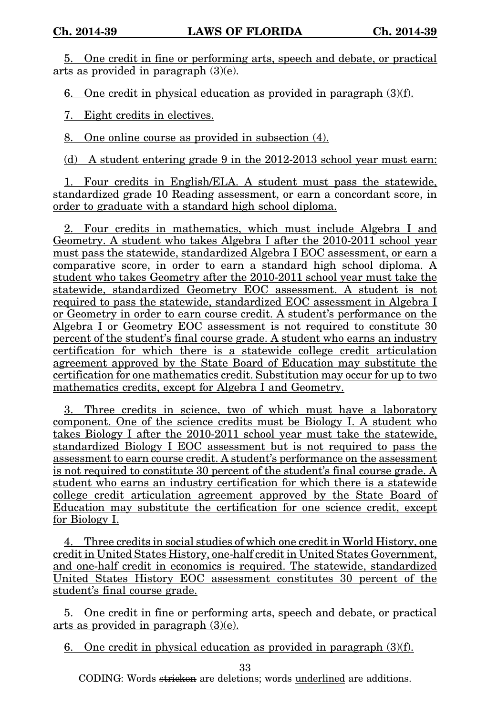5. One credit in fine or performing arts, speech and debate, or practical arts as provided in paragraph (3)(e).

6. One credit in physical education as provided in paragraph (3)(f).

7. Eight credits in electives.

8. One online course as provided in subsection (4).

(d) A student entering grade 9 in the 2012-2013 school year must earn:

1. Four credits in English/ELA. A student must pass the statewide, standardized grade 10 Reading assessment, or earn a concordant score, in order to graduate with a standard high school diploma.

2. Four credits in mathematics, which must include Algebra I and Geometry. A student who takes Algebra I after the 2010-2011 school year must pass the statewide, standardized Algebra I EOC assessment, or earn a comparative score, in order to earn a standard high school diploma. A student who takes Geometry after the 2010-2011 school year must take the statewide, standardized Geometry EOC assessment. A student is not required to pass the statewide, standardized EOC assessment in Algebra I or Geometry in order to earn course credit. A student's performance on the Algebra I or Geometry EOC assessment is not required to constitute 30 percent of the student's final course grade. A student who earns an industry certification for which there is a statewide college credit articulation agreement approved by the State Board of Education may substitute the certification for one mathematics credit. Substitution may occur for up to two mathematics credits, except for Algebra I and Geometry.

3. Three credits in science, two of which must have a laboratory component. One of the science credits must be Biology I. A student who takes Biology I after the 2010-2011 school year must take the statewide, standardized Biology I EOC assessment but is not required to pass the assessment to earn course credit. A student's performance on the assessment is not required to constitute 30 percent of the student's final course grade. A student who earns an industry certification for which there is a statewide college credit articulation agreement approved by the State Board of Education may substitute the certification for one science credit, except for Biology I.

4. Three credits in social studies of which one credit in World History, one credit in United States History, one-half credit in United States Government, and one-half credit in economics is required. The statewide, standardized United States History EOC assessment constitutes 30 percent of the student's final course grade.

5. One credit in fine or performing arts, speech and debate, or practical arts as provided in paragraph (3)(e).

6. One credit in physical education as provided in paragraph (3)(f).

33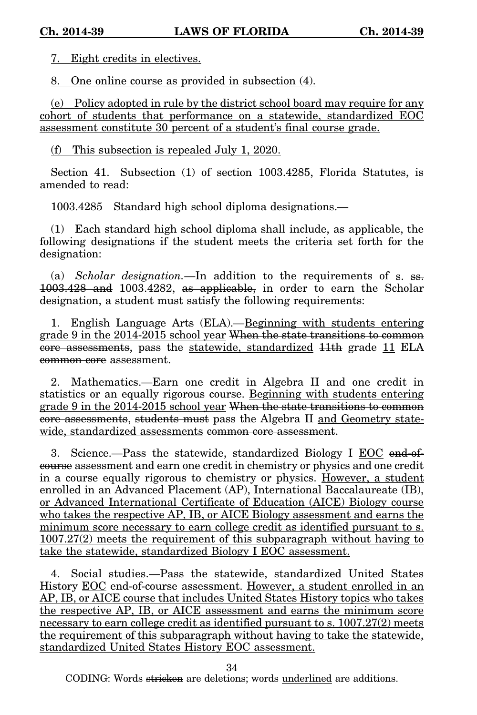7. Eight credits in electives.

8. One online course as provided in subsection (4).

(e) Policy adopted in rule by the district school board may require for any cohort of students that performance on a statewide, standardized EOC assessment constitute 30 percent of a student's final course grade.

(f) This subsection is repealed July 1, 2020.

Section 41. Subsection (1) of section 1003.4285, Florida Statutes, is amended to read:

1003.4285 Standard high school diploma designations.—

(1) Each standard high school diploma shall include, as applicable, the following designations if the student meets the criteria set forth for the designation:

(a) Scholar designation.—In addition to the requirements of  $\overline{s}$ , ss. 1003.428 and 1003.4282, as applicable, in order to earn the Scholar designation, a student must satisfy the following requirements:

1. English Language Arts (ELA).—Beginning with students entering grade 9 in the 2014-2015 school year When the state transitions to common core assessments, pass the statewide, standardized 11th grade 11 ELA common core assessment.

2. Mathematics.—Earn one credit in Algebra II and one credit in statistics or an equally rigorous course. Beginning with students entering grade 9 in the 2014-2015 school year When the state transitions to common core assessments, students must pass the Algebra II and Geometry statewide, standardized assessments common core assessment.

3. Science.—Pass the statewide, standardized Biology I EOC end-ofcourse assessment and earn one credit in chemistry or physics and one credit in a course equally rigorous to chemistry or physics. However, a student enrolled in an Advanced Placement (AP), International Baccalaureate (IB), or Advanced International Certificate of Education (AICE) Biology course who takes the respective AP, IB, or AICE Biology assessment and earns the minimum score necessary to earn college credit as identified pursuant to s. 1007.27(2) meets the requirement of this subparagraph without having to take the statewide, standardized Biology I EOC assessment.

4. Social studies.—Pass the statewide, standardized United States History EOC end-of-course assessment. However, a student enrolled in an AP, IB, or AICE course that includes United States History topics who takes the respective AP, IB, or AICE assessment and earns the minimum score necessary to earn college credit as identified pursuant to s. 1007.27(2) meets the requirement of this subparagraph without having to take the statewide, standardized United States History EOC assessment.

34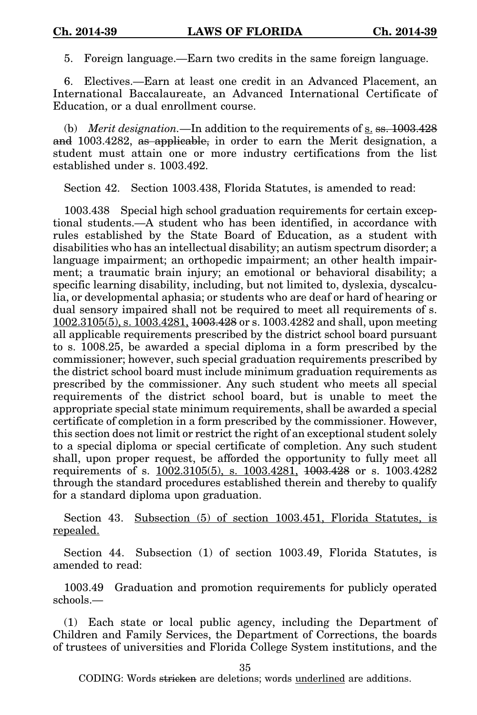5. Foreign language.—Earn two credits in the same foreign language.

6. Electives.—Earn at least one credit in an Advanced Placement, an International Baccalaureate, an Advanced International Certificate of Education, or a dual enrollment course.

(b) Merit designation.—In addition to the requirements of  $s$ ,  $ss. 1003.428$ and 1003.4282, as applicable, in order to earn the Merit designation, a student must attain one or more industry certifications from the list established under s. 1003.492.

Section 42. Section 1003.438, Florida Statutes, is amended to read:

1003.438 Special high school graduation requirements for certain exceptional students.—A student who has been identified, in accordance with rules established by the State Board of Education, as a student with disabilities who has an intellectual disability; an autism spectrum disorder; a language impairment; an orthopedic impairment; an other health impairment; a traumatic brain injury; an emotional or behavioral disability; a specific learning disability, including, but not limited to, dyslexia, dyscalculia, or developmental aphasia; or students who are deaf or hard of hearing or dual sensory impaired shall not be required to meet all requirements of s. 1002.3105(5), s. 1003.4281, 1003.428 or s. 1003.4282 and shall, upon meeting all applicable requirements prescribed by the district school board pursuant to s. 1008.25, be awarded a special diploma in a form prescribed by the commissioner; however, such special graduation requirements prescribed by the district school board must include minimum graduation requirements as prescribed by the commissioner. Any such student who meets all special requirements of the district school board, but is unable to meet the appropriate special state minimum requirements, shall be awarded a special certificate of completion in a form prescribed by the commissioner. However, this section does not limit or restrict the right of an exceptional student solely to a special diploma or special certificate of completion. Any such student shall, upon proper request, be afforded the opportunity to fully meet all requirements of s. 1002.3105(5), s. 1003.4281, 1003.428 or s. 1003.4282 through the standard procedures established therein and thereby to qualify for a standard diploma upon graduation.

Section 43. Subsection (5) of section 1003.451, Florida Statutes, is repealed.

Section 44. Subsection (1) of section 1003.49, Florida Statutes, is amended to read:

1003.49 Graduation and promotion requirements for publicly operated schools.—

(1) Each state or local public agency, including the Department of Children and Family Services, the Department of Corrections, the boards of trustees of universities and Florida College System institutions, and the

35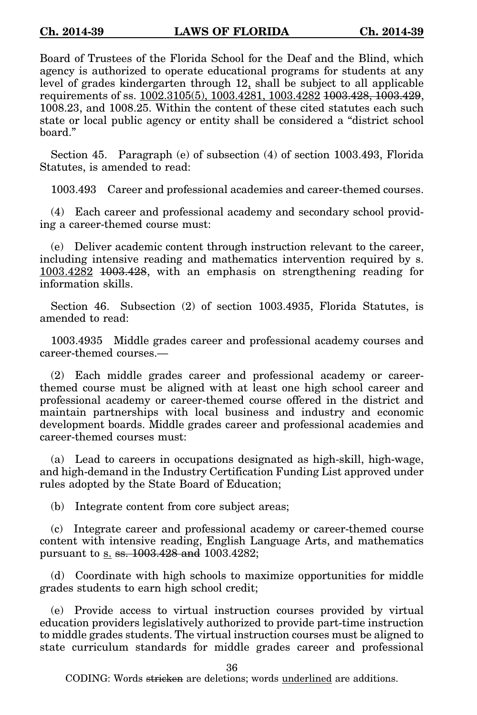Board of Trustees of the Florida School for the Deaf and the Blind, which agency is authorized to operate educational programs for students at any level of grades kindergarten through 12, shall be subject to all applicable requirements of ss. 1002.3105(5), 1003.4281, 1003.4282 1003.428, 1003.429, 1008.23, and 1008.25. Within the content of these cited statutes each such state or local public agency or entity shall be considered a "district school board."

Section 45. Paragraph (e) of subsection (4) of section 1003.493, Florida Statutes, is amended to read:

1003.493 Career and professional academies and career-themed courses.

(4) Each career and professional academy and secondary school providing a career-themed course must:

(e) Deliver academic content through instruction relevant to the career, including intensive reading and mathematics intervention required by s. 1003.4282 1003.428, with an emphasis on strengthening reading for information skills.

Section 46. Subsection (2) of section 1003.4935, Florida Statutes, is amended to read:

1003.4935 Middle grades career and professional academy courses and career-themed courses.—

(2) Each middle grades career and professional academy or careerthemed course must be aligned with at least one high school career and professional academy or career-themed course offered in the district and maintain partnerships with local business and industry and economic development boards. Middle grades career and professional academies and career-themed courses must:

(a) Lead to careers in occupations designated as high-skill, high-wage, and high-demand in the Industry Certification Funding List approved under rules adopted by the State Board of Education;

(b) Integrate content from core subject areas;

(c) Integrate career and professional academy or career-themed course content with intensive reading, English Language Arts, and mathematics pursuant to s. ss. 1003.428 and 1003.4282;

(d) Coordinate with high schools to maximize opportunities for middle grades students to earn high school credit;

(e) Provide access to virtual instruction courses provided by virtual education providers legislatively authorized to provide part-time instruction to middle grades students. The virtual instruction courses must be aligned to state curriculum standards for middle grades career and professional

36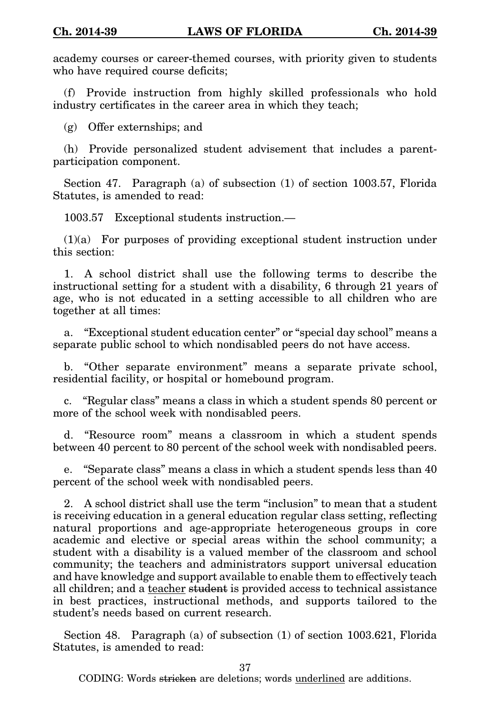academy courses or career-themed courses, with priority given to students who have required course deficits;

(f) Provide instruction from highly skilled professionals who hold industry certificates in the career area in which they teach;

(g) Offer externships; and

(h) Provide personalized student advisement that includes a parentparticipation component.

Section 47. Paragraph (a) of subsection (1) of section 1003.57, Florida Statutes, is amended to read:

1003.57 Exceptional students instruction.—

(1)(a) For purposes of providing exceptional student instruction under this section:

1. A school district shall use the following terms to describe the instructional setting for a student with a disability, 6 through 21 years of age, who is not educated in a setting accessible to all children who are together at all times:

a. "Exceptional student education center" or "special day school" means a separate public school to which nondisabled peers do not have access.

b. "Other separate environment" means a separate private school, residential facility, or hospital or homebound program.

c. "Regular class" means a class in which a student spends 80 percent or more of the school week with nondisabled peers.

d. "Resource room" means a classroom in which a student spends between 40 percent to 80 percent of the school week with nondisabled peers.

"Separate class" means a class in which a student spends less than 40 percent of the school week with nondisabled peers.

2. A school district shall use the term "inclusion" to mean that a student is receiving education in a general education regular class setting, reflecting natural proportions and age-appropriate heterogeneous groups in core academic and elective or special areas within the school community; a student with a disability is a valued member of the classroom and school community; the teachers and administrators support universal education and have knowledge and support available to enable them to effectively teach all children; and a teacher student is provided access to technical assistance in best practices, instructional methods, and supports tailored to the student's needs based on current research.

Section 48. Paragraph (a) of subsection (1) of section 1003.621, Florida Statutes, is amended to read:

37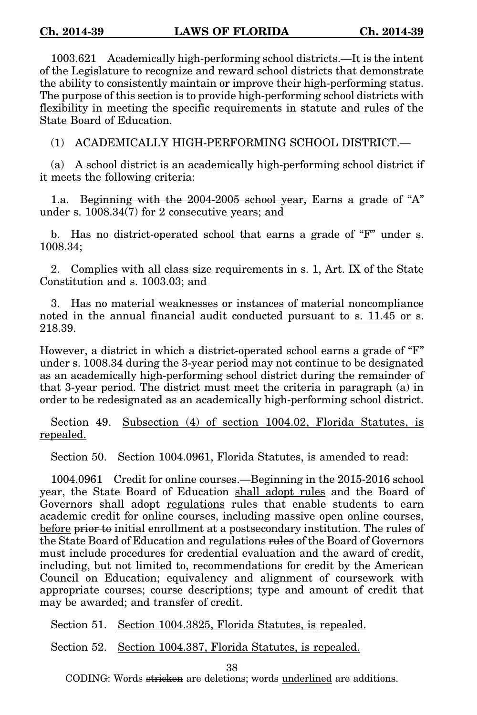1003.621 Academically high-performing school districts.—It is the intent of the Legislature to recognize and reward school districts that demonstrate the ability to consistently maintain or improve their high-performing status. The purpose of this section is to provide high-performing school districts with flexibility in meeting the specific requirements in statute and rules of the State Board of Education.

(1) ACADEMICALLY HIGH-PERFORMING SCHOOL DISTRICT.—

(a) A school district is an academically high-performing school district if it meets the following criteria:

1.a. Beginning with the 2004-2005 school year, Earns a grade of "A" under s. 1008.34(7) for 2 consecutive years; and

b. Has no district-operated school that earns a grade of "F" under s. 1008.34;

2. Complies with all class size requirements in s. 1, Art. IX of the State Constitution and s. 1003.03; and

3. Has no material weaknesses or instances of material noncompliance noted in the annual financial audit conducted pursuant to s. 11.45 or s. 218.39.

However, a district in which a district-operated school earns a grade of "F" under s. 1008.34 during the 3-year period may not continue to be designated as an academically high-performing school district during the remainder of that 3-year period. The district must meet the criteria in paragraph (a) in order to be redesignated as an academically high-performing school district.

Section 49. Subsection (4) of section 1004.02, Florida Statutes, is repealed.

Section 50. Section 1004.0961, Florida Statutes, is amended to read:

1004.0961 Credit for online courses.—Beginning in the 2015-2016 school year, the State Board of Education shall adopt rules and the Board of Governors shall adopt regulations rules that enable students to earn academic credit for online courses, including massive open online courses, before prior to initial enrollment at a postsecondary institution. The rules of the State Board of Education and regulations rules of the Board of Governors must include procedures for credential evaluation and the award of credit, including, but not limited to, recommendations for credit by the American Council on Education; equivalency and alignment of coursework with appropriate courses; course descriptions; type and amount of credit that may be awarded; and transfer of credit.

Section 51. Section 1004.3825, Florida Statutes, is repealed.

Section 52. Section 1004.387, Florida Statutes, is repealed.

38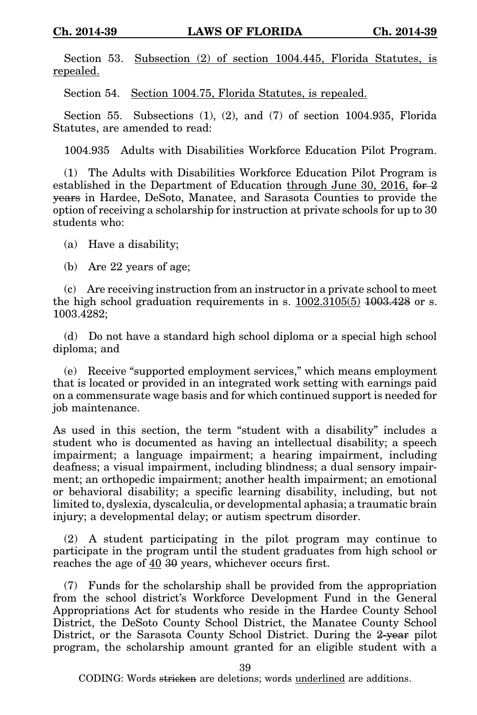Section 53. Subsection (2) of section 1004.445, Florida Statutes, is repealed.

Section 54. Section 1004.75, Florida Statutes, is repealed.

Section 55. Subsections (1), (2), and (7) of section 1004.935, Florida Statutes, are amended to read:

1004.935 Adults with Disabilities Workforce Education Pilot Program.

(1) The Adults with Disabilities Workforce Education Pilot Program is established in the Department of Education through June 30, 2016, for 2 years in Hardee, DeSoto, Manatee, and Sarasota Counties to provide the option of receiving a scholarship for instruction at private schools for up to 30 students who:

(a) Have a disability;

(b) Are 22 years of age;

(c) Are receiving instruction from an instructor in a private school to meet the high school graduation requirements in s.  $1002.3105(5)$   $\overline{1003.428}$  or s. 1003.4282;

(d) Do not have a standard high school diploma or a special high school diploma; and

(e) Receive "supported employment services," which means employment that is located or provided in an integrated work setting with earnings paid on a commensurate wage basis and for which continued support is needed for job maintenance.

As used in this section, the term "student with a disability" includes a student who is documented as having an intellectual disability; a speech impairment; a language impairment; a hearing impairment, including deafness; a visual impairment, including blindness; a dual sensory impairment; an orthopedic impairment; another health impairment; an emotional or behavioral disability; a specific learning disability, including, but not limited to, dyslexia, dyscalculia, or developmental aphasia; a traumatic brain injury; a developmental delay; or autism spectrum disorder.

(2) A student participating in the pilot program may continue to participate in the program until the student graduates from high school or reaches the age of 40 30 years, whichever occurs first.

(7) Funds for the scholarship shall be provided from the appropriation from the school district's Workforce Development Fund in the General Appropriations Act for students who reside in the Hardee County School District, the DeSoto County School District, the Manatee County School District, or the Sarasota County School District. During the 2-year pilot program, the scholarship amount granted for an eligible student with a

39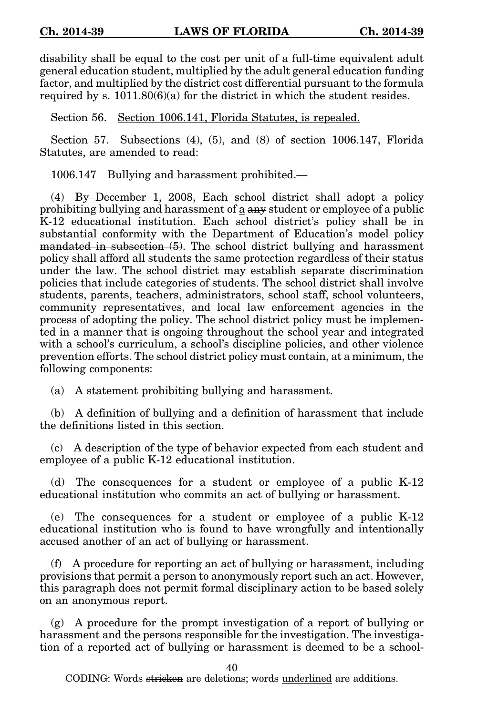disability shall be equal to the cost per unit of a full-time equivalent adult general education student, multiplied by the adult general education funding factor, and multiplied by the district cost differential pursuant to the formula required by s.  $1011.80(6)(a)$  for the district in which the student resides.

Section 56. Section 1006.141, Florida Statutes, is repealed.

Section 57. Subsections (4), (5), and (8) of section 1006.147, Florida Statutes, are amended to read:

1006.147 Bullying and harassment prohibited.—

 $(4)$  By December 1, 2008, Each school district shall adopt a policy prohibiting bullying and harassment of  $\underline{a}$  any student or employee of a public K-12 educational institution. Each school district's policy shall be in substantial conformity with the Department of Education's model policy mandated in subsection (5). The school district bullying and harassment policy shall afford all students the same protection regardless of their status under the law. The school district may establish separate discrimination policies that include categories of students. The school district shall involve students, parents, teachers, administrators, school staff, school volunteers, community representatives, and local law enforcement agencies in the process of adopting the policy. The school district policy must be implemented in a manner that is ongoing throughout the school year and integrated with a school's curriculum, a school's discipline policies, and other violence prevention efforts. The school district policy must contain, at a minimum, the following components:

(a) A statement prohibiting bullying and harassment.

(b) A definition of bullying and a definition of harassment that include the definitions listed in this section.

(c) A description of the type of behavior expected from each student and employee of a public K-12 educational institution.

(d) The consequences for a student or employee of a public K-12 educational institution who commits an act of bullying or harassment.

(e) The consequences for a student or employee of a public K-12 educational institution who is found to have wrongfully and intentionally accused another of an act of bullying or harassment.

(f) A procedure for reporting an act of bullying or harassment, including provisions that permit a person to anonymously report such an act. However, this paragraph does not permit formal disciplinary action to be based solely on an anonymous report.

(g) A procedure for the prompt investigation of a report of bullying or harassment and the persons responsible for the investigation. The investigation of a reported act of bullying or harassment is deemed to be a school-

40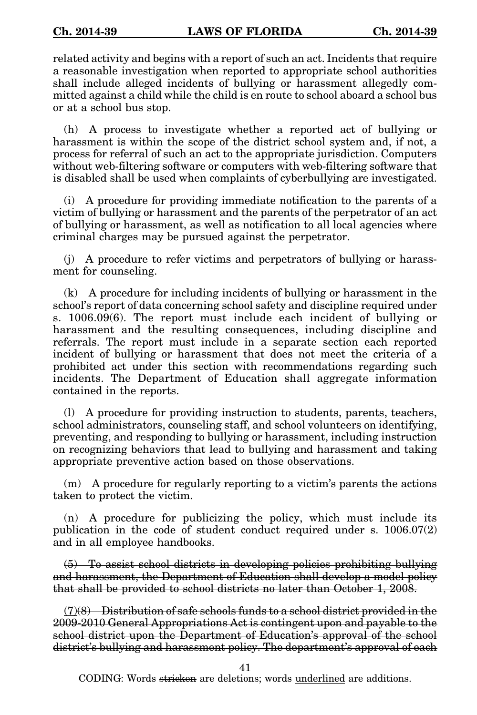related activity and begins with a report of such an act. Incidents that require a reasonable investigation when reported to appropriate school authorities shall include alleged incidents of bullying or harassment allegedly committed against a child while the child is en route to school aboard a school bus or at a school bus stop.

(h) A process to investigate whether a reported act of bullying or harassment is within the scope of the district school system and, if not, a process for referral of such an act to the appropriate jurisdiction. Computers without web-filtering software or computers with web-filtering software that is disabled shall be used when complaints of cyberbullying are investigated.

(i) A procedure for providing immediate notification to the parents of a victim of bullying or harassment and the parents of the perpetrator of an act of bullying or harassment, as well as notification to all local agencies where criminal charges may be pursued against the perpetrator.

(j) A procedure to refer victims and perpetrators of bullying or harassment for counseling.

(k) A procedure for including incidents of bullying or harassment in the school's report of data concerning school safety and discipline required under s. 1006.09(6). The report must include each incident of bullying or harassment and the resulting consequences, including discipline and referrals. The report must include in a separate section each reported incident of bullying or harassment that does not meet the criteria of a prohibited act under this section with recommendations regarding such incidents. The Department of Education shall aggregate information contained in the reports.

(l) A procedure for providing instruction to students, parents, teachers, school administrators, counseling staff, and school volunteers on identifying, preventing, and responding to bullying or harassment, including instruction on recognizing behaviors that lead to bullying and harassment and taking appropriate preventive action based on those observations.

(m) A procedure for regularly reporting to a victim's parents the actions taken to protect the victim.

(n) A procedure for publicizing the policy, which must include its publication in the code of student conduct required under s. 1006.07(2) and in all employee handbooks.

(5) To assist school districts in developing policies prohibiting bullying and harassment, the Department of Education shall develop a model policy that shall be provided to school districts no later than October 1, 2008.

 $(7)(8)$  Distribution of safe schools funds to a school district provided in the 2009-2010 General Appropriations Act is contingent upon and payable to the school district upon the Department of Education's approval of the school district's bullying and harassment policy. The department's approval of each

41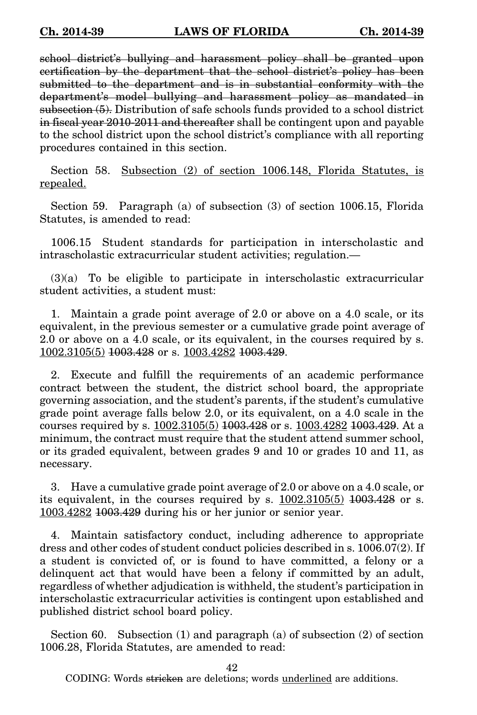school district's bullying and harassment policy shall be granted upon certification by the department that the school district's policy has been submitted to the department and is in substantial conformity with the department's model bullying and harassment policy as mandated in subsection (5). Distribution of safe schools funds provided to a school district in fiscal year 2010-2011 and thereafter shall be contingent upon and payable to the school district upon the school district's compliance with all reporting procedures contained in this section.

Section 58. Subsection (2) of section 1006.148, Florida Statutes, is repealed.

Section 59. Paragraph (a) of subsection (3) of section 1006.15, Florida Statutes, is amended to read:

1006.15 Student standards for participation in interscholastic and intrascholastic extracurricular student activities; regulation.—

(3)(a) To be eligible to participate in interscholastic extracurricular student activities, a student must:

1. Maintain a grade point average of 2.0 or above on a 4.0 scale, or its equivalent, in the previous semester or a cumulative grade point average of 2.0 or above on a 4.0 scale, or its equivalent, in the courses required by s. 1002.3105(5) 1003.428 or s. 1003.4282 1003.429.

2. Execute and fulfill the requirements of an academic performance contract between the student, the district school board, the appropriate governing association, and the student's parents, if the student's cumulative grade point average falls below 2.0, or its equivalent, on a 4.0 scale in the courses required by s. 1002.3105(5) 1003.428 or s. 1003.4282 1003.429. At a minimum, the contract must require that the student attend summer school, or its graded equivalent, between grades 9 and 10 or grades 10 and 11, as necessary.

3. Have a cumulative grade point average of 2.0 or above on a 4.0 scale, or its equivalent, in the courses required by s.  $1002.3105(5)$   $\overline{1003.428}$  or s. 1003.4282 1003.429 during his or her junior or senior year.

4. Maintain satisfactory conduct, including adherence to appropriate dress and other codes of student conduct policies described in s. 1006.07(2). If a student is convicted of, or is found to have committed, a felony or a delinquent act that would have been a felony if committed by an adult, regardless of whether adjudication is withheld, the student's participation in interscholastic extracurricular activities is contingent upon established and published district school board policy.

Section 60. Subsection (1) and paragraph (a) of subsection (2) of section 1006.28, Florida Statutes, are amended to read:

42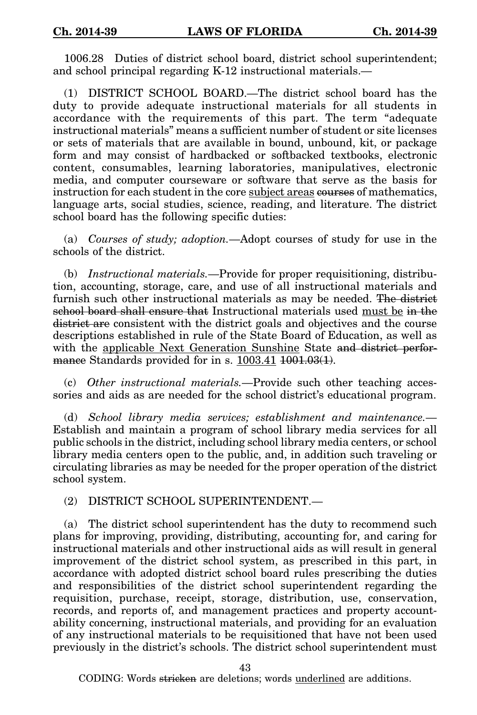1006.28 Duties of district school board, district school superintendent; and school principal regarding K-12 instructional materials.—

(1) DISTRICT SCHOOL BOARD.—The district school board has the duty to provide adequate instructional materials for all students in accordance with the requirements of this part. The term "adequate instructional materials" means a sufficient number of student or site licenses or sets of materials that are available in bound, unbound, kit, or package form and may consist of hardbacked or softbacked textbooks, electronic content, consumables, learning laboratories, manipulatives, electronic media, and computer courseware or software that serve as the basis for instruction for each student in the core subject areas courses of mathematics, language arts, social studies, science, reading, and literature. The district school board has the following specific duties:

(a) Courses of study; adoption.—Adopt courses of study for use in the schools of the district.

(b) Instructional materials.—Provide for proper requisitioning, distribution, accounting, storage, care, and use of all instructional materials and furnish such other instructional materials as may be needed. The district school board shall ensure that Instructional materials used must be in the district are consistent with the district goals and objectives and the course descriptions established in rule of the State Board of Education, as well as with the applicable Next Generation Sunshine State and district performance Standards provided for in s. 1003.41 1001.03(1).

(c) Other instructional materials.—Provide such other teaching accessories and aids as are needed for the school district's educational program.

(d) School library media services; establishment and maintenance.— Establish and maintain a program of school library media services for all public schools in the district, including school library media centers, or school library media centers open to the public, and, in addition such traveling or circulating libraries as may be needed for the proper operation of the district school system.

(2) DISTRICT SCHOOL SUPERINTENDENT.—

(a) The district school superintendent has the duty to recommend such plans for improving, providing, distributing, accounting for, and caring for instructional materials and other instructional aids as will result in general improvement of the district school system, as prescribed in this part, in accordance with adopted district school board rules prescribing the duties and responsibilities of the district school superintendent regarding the requisition, purchase, receipt, storage, distribution, use, conservation, records, and reports of, and management practices and property accountability concerning, instructional materials, and providing for an evaluation of any instructional materials to be requisitioned that have not been used previously in the district's schools. The district school superintendent must

43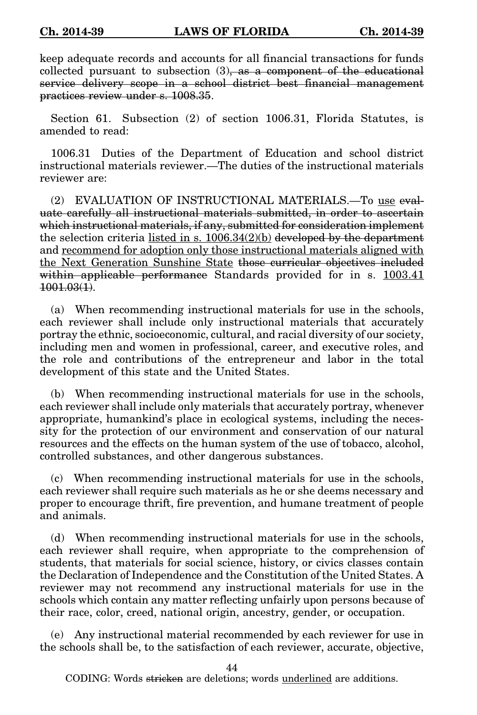keep adequate records and accounts for all financial transactions for funds collected pursuant to subsection  $(3)$ , as a component of the educational service delivery scope in a school district best financial management practices review under s. 1008.35.

Section 61. Subsection (2) of section 1006.31, Florida Statutes, is amended to read:

1006.31 Duties of the Department of Education and school district instructional materials reviewer.—The duties of the instructional materials reviewer are:

(2) EVALUATION OF INSTRUCTIONAL MATERIALS.—To use evaluate carefully all instructional materials submitted, in order to ascertain which instructional materials, if any, submitted for consideration implement the selection criteria listed in s.  $1006.34(2)(b)$  developed by the department and recommend for adoption only those instructional materials aligned with the Next Generation Sunshine State those curricular objectives included within applicable performance Standards provided for in s. 1003.41 1001.03(1).

(a) When recommending instructional materials for use in the schools, each reviewer shall include only instructional materials that accurately portray the ethnic, socioeconomic, cultural, and racial diversity of our society, including men and women in professional, career, and executive roles, and the role and contributions of the entrepreneur and labor in the total development of this state and the United States.

(b) When recommending instructional materials for use in the schools, each reviewer shall include only materials that accurately portray, whenever appropriate, humankind's place in ecological systems, including the necessity for the protection of our environment and conservation of our natural resources and the effects on the human system of the use of tobacco, alcohol, controlled substances, and other dangerous substances.

(c) When recommending instructional materials for use in the schools, each reviewer shall require such materials as he or she deems necessary and proper to encourage thrift, fire prevention, and humane treatment of people and animals.

(d) When recommending instructional materials for use in the schools, each reviewer shall require, when appropriate to the comprehension of students, that materials for social science, history, or civics classes contain the Declaration of Independence and the Constitution of the United States. A reviewer may not recommend any instructional materials for use in the schools which contain any matter reflecting unfairly upon persons because of their race, color, creed, national origin, ancestry, gender, or occupation.

(e) Any instructional material recommended by each reviewer for use in the schools shall be, to the satisfaction of each reviewer, accurate, objective,

44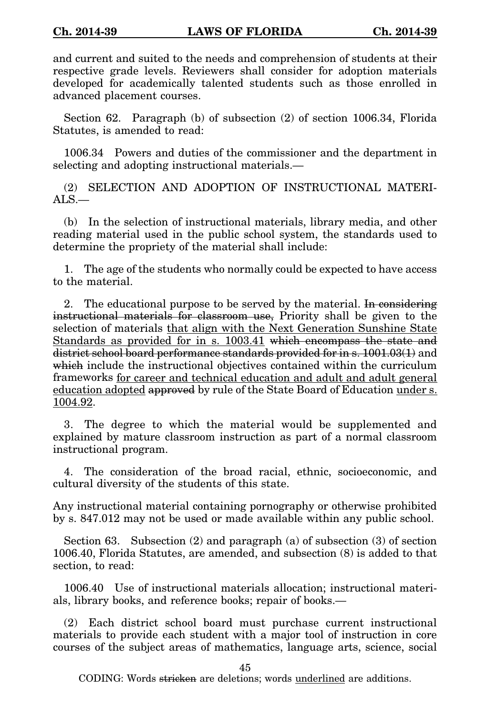and current and suited to the needs and comprehension of students at their respective grade levels. Reviewers shall consider for adoption materials developed for academically talented students such as those enrolled in advanced placement courses.

Section 62. Paragraph (b) of subsection (2) of section 1006.34, Florida Statutes, is amended to read:

1006.34 Powers and duties of the commissioner and the department in selecting and adopting instructional materials.—

(2) SELECTION AND ADOPTION OF INSTRUCTIONAL MATERI- $ALS$ —

(b) In the selection of instructional materials, library media, and other reading material used in the public school system, the standards used to determine the propriety of the material shall include:

1. The age of the students who normally could be expected to have access to the material.

2. The educational purpose to be served by the material. In considering instructional materials for classroom use, Priority shall be given to the selection of materials that align with the Next Generation Sunshine State Standards as provided for in s. 1003.41 which encompass the state and district school board performance standards provided for in s. 1001.03(1) and which include the instructional objectives contained within the curriculum frameworks for career and technical education and adult and adult general education adopted approved by rule of the State Board of Education under s. 1004.92.

3. The degree to which the material would be supplemented and explained by mature classroom instruction as part of a normal classroom instructional program.

4. The consideration of the broad racial, ethnic, socioeconomic, and cultural diversity of the students of this state.

Any instructional material containing pornography or otherwise prohibited by s. 847.012 may not be used or made available within any public school.

Section 63. Subsection (2) and paragraph (a) of subsection (3) of section 1006.40, Florida Statutes, are amended, and subsection (8) is added to that section, to read:

1006.40 Use of instructional materials allocation; instructional materials, library books, and reference books; repair of books.—

(2) Each district school board must purchase current instructional materials to provide each student with a major tool of instruction in core courses of the subject areas of mathematics, language arts, science, social

45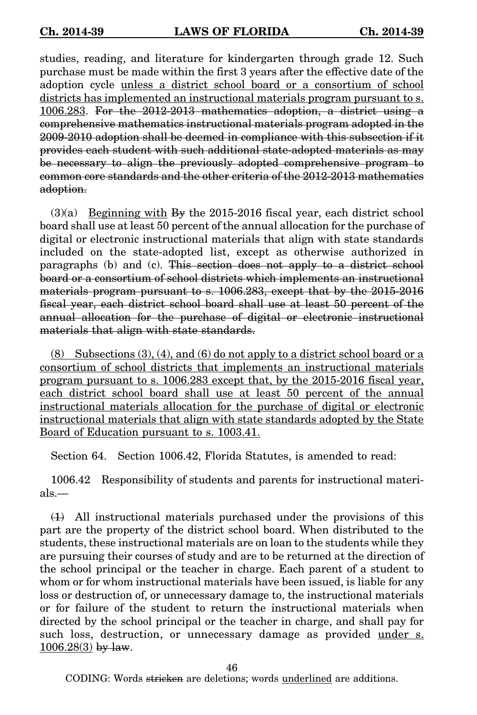studies, reading, and literature for kindergarten through grade 12. Such purchase must be made within the first 3 years after the effective date of the adoption cycle unless a district school board or a consortium of school districts has implemented an instructional materials program pursuant to s. 1006.283. For the 2012-2013 mathematics adoption, a district using a comprehensive mathematics instructional materials program adopted in the 2009-2010 adoption shall be deemed in compliance with this subsection if it provides each student with such additional state-adopted materials as may be necessary to align the previously adopted comprehensive program to common core standards and the other criteria of the 2012-2013 mathematics adoption.

 $(3)(a)$  Beginning with By the 2015-2016 fiscal year, each district school board shall use at least 50 percent of the annual allocation for the purchase of digital or electronic instructional materials that align with state standards included on the state-adopted list, except as otherwise authorized in paragraphs (b) and (c). This section does not apply to a district school board or a consortium of school districts which implements an instructional materials program pursuant to s. 1006.283, except that by the 2015-2016 fiscal year, each district school board shall use at least 50 percent of the annual allocation for the purchase of digital or electronic instructional materials that align with state standards.

(8) Subsections (3), (4), and (6) do not apply to a district school board or a consortium of school districts that implements an instructional materials program pursuant to s. 1006.283 except that, by the 2015-2016 fiscal year, each district school board shall use at least 50 percent of the annual instructional materials allocation for the purchase of digital or electronic instructional materials that align with state standards adopted by the State Board of Education pursuant to s. 1003.41.

Section 64. Section 1006.42, Florida Statutes, is amended to read:

1006.42 Responsibility of students and parents for instructional materi $als$ —

 $(1)$  All instructional materials purchased under the provisions of this part are the property of the district school board. When distributed to the students, these instructional materials are on loan to the students while they are pursuing their courses of study and are to be returned at the direction of the school principal or the teacher in charge. Each parent of a student to whom or for whom instructional materials have been issued, is liable for any loss or destruction of, or unnecessary damage to, the instructional materials or for failure of the student to return the instructional materials when directed by the school principal or the teacher in charge, and shall pay for such loss, destruction, or unnecessary damage as provided under s.  $1006.28(3)$  by law.

46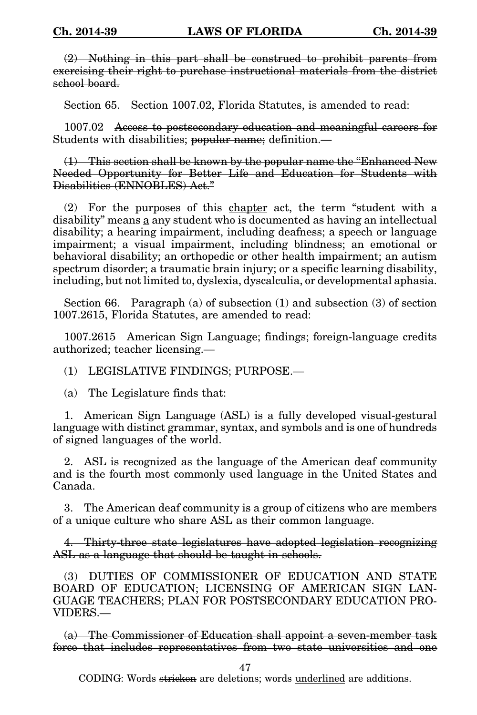(2) Nothing in this part shall be construed to prohibit parents from exercising their right to purchase instructional materials from the district school board.

Section 65. Section 1007.02, Florida Statutes, is amended to read:

1007.02 Access to postsecondary education and meaningful careers for Students with disabilities; popular name; definition.—

(1) This section shall be known by the popular name the "Enhanced New Needed Opportunity for Better Life and Education for Students with Disabilities (ENNOBLES) Act."

 $\left(2\right)$  For the purposes of this chapter act, the term "student with a disability" means a any student who is documented as having an intellectual disability; a hearing impairment, including deafness; a speech or language impairment; a visual impairment, including blindness; an emotional or behavioral disability; an orthopedic or other health impairment; an autism spectrum disorder; a traumatic brain injury; or a specific learning disability, including, but not limited to, dyslexia, dyscalculia, or developmental aphasia.

Section 66. Paragraph (a) of subsection (1) and subsection (3) of section 1007.2615, Florida Statutes, are amended to read:

1007.2615 American Sign Language; findings; foreign-language credits authorized; teacher licensing.—

(1) LEGISLATIVE FINDINGS; PURPOSE.—

(a) The Legislature finds that:

1. American Sign Language (ASL) is a fully developed visual-gestural language with distinct grammar, syntax, and symbols and is one of hundreds of signed languages of the world.

2. ASL is recognized as the language of the American deaf community and is the fourth most commonly used language in the United States and Canada.

3. The American deaf community is a group of citizens who are members of a unique culture who share ASL as their common language.

4. Thirty-three state legislatures have adopted legislation recognizing ASL as a language that should be taught in schools.

(3) DUTIES OF COMMISSIONER OF EDUCATION AND STATE BOARD OF EDUCATION; LICENSING OF AMERICAN SIGN LAN-GUAGE TEACHERS; PLAN FOR POSTSECONDARY EDUCATION PRO-VIDERS.—

(a) The Commissioner of Education shall appoint a seven-member task force that includes representatives from two state universities and one

47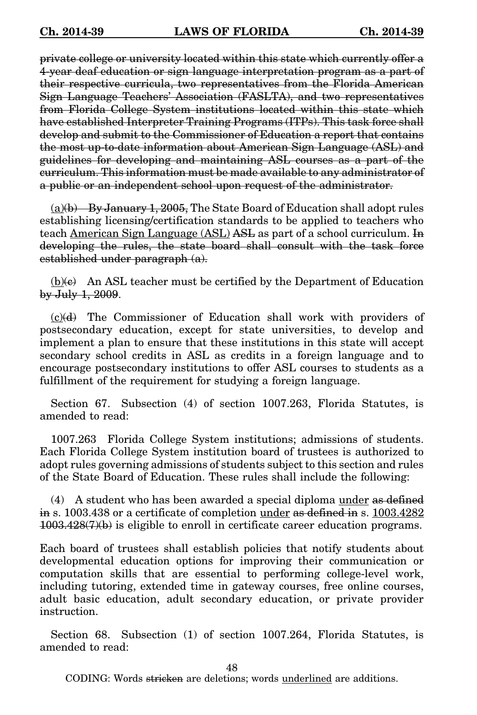private college or university located within this state which currently offer a 4-year deaf education or sign language interpretation program as a part of their respective curricula, two representatives from the Florida American Sign Language Teachers' Association (FASLTA), and two representatives from Florida College System institutions located within this state which have established Interpreter Training Programs (ITPs). This task force shall develop and submit to the Commissioner of Education a report that contains the most up-to-date information about American Sign Language (ASL) and guidelines for developing and maintaining ASL courses as a part of the curriculum. This information must be made available to any administrator of a public or an independent school upon request of the administrator.

 $(a)(b)$  By January 1, 2005, The State Board of Education shall adopt rules establishing licensing/certification standards to be applied to teachers who teach American Sign Language (ASL) ASL as part of a school curriculum. In developing the rules, the state board shall consult with the task force established under paragraph (a).

 $(b)(e)$  An ASL teacher must be certified by the Department of Education by July 1, 2009.

(c)(d) The Commissioner of Education shall work with providers of postsecondary education, except for state universities, to develop and implement a plan to ensure that these institutions in this state will accept secondary school credits in ASL as credits in a foreign language and to encourage postsecondary institutions to offer ASL courses to students as a fulfillment of the requirement for studying a foreign language.

Section 67. Subsection (4) of section 1007.263, Florida Statutes, is amended to read:

1007.263 Florida College System institutions; admissions of students. Each Florida College System institution board of trustees is authorized to adopt rules governing admissions of students subject to this section and rules of the State Board of Education. These rules shall include the following:

(4) A student who has been awarded a special diploma under as defined in s. 1003.438 or a certificate of completion under as defined in s. 1003.4282 1003.428(7)(b) is eligible to enroll in certificate career education programs.

Each board of trustees shall establish policies that notify students about developmental education options for improving their communication or computation skills that are essential to performing college-level work, including tutoring, extended time in gateway courses, free online courses, adult basic education, adult secondary education, or private provider instruction.

Section 68. Subsection (1) of section 1007.264, Florida Statutes, is amended to read:

48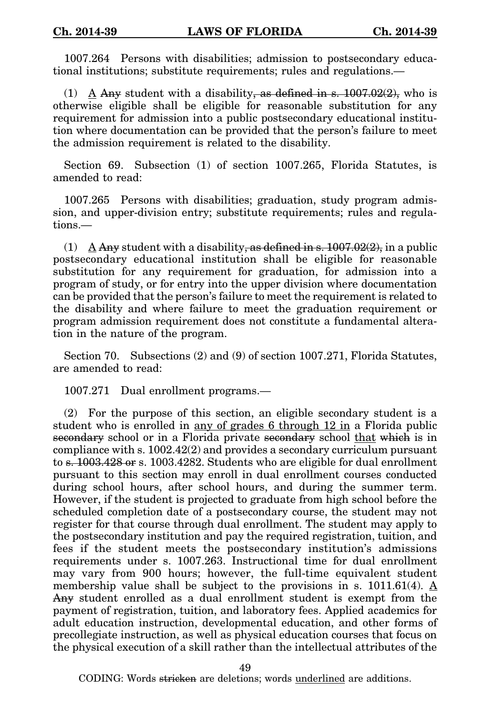1007.264 Persons with disabilities; admission to postsecondary educational institutions; substitute requirements; rules and regulations.—

(1) A Any student with a disability, as defined in s.  $1007.02(2)$ , who is otherwise eligible shall be eligible for reasonable substitution for any requirement for admission into a public postsecondary educational institution where documentation can be provided that the person's failure to meet the admission requirement is related to the disability.

Section 69. Subsection (1) of section 1007.265, Florida Statutes, is amended to read:

1007.265 Persons with disabilities; graduation, study program admission, and upper-division entry; substitute requirements; rules and regulations.—

(1) A Any student with a disability, as defined in s.  $1007.02(2)$ , in a public postsecondary educational institution shall be eligible for reasonable substitution for any requirement for graduation, for admission into a program of study, or for entry into the upper division where documentation can be provided that the person's failure to meet the requirement is related to the disability and where failure to meet the graduation requirement or program admission requirement does not constitute a fundamental alteration in the nature of the program.

Section 70. Subsections (2) and (9) of section 1007.271, Florida Statutes, are amended to read:

1007.271 Dual enrollment programs.—

(2) For the purpose of this section, an eligible secondary student is a student who is enrolled in any of grades 6 through 12 in a Florida public secondary school or in a Florida private secondary school that which is in compliance with s. 1002.42(2) and provides a secondary curriculum pursuant to s. 1003.428 or s. 1003.4282. Students who are eligible for dual enrollment pursuant to this section may enroll in dual enrollment courses conducted during school hours, after school hours, and during the summer term. However, if the student is projected to graduate from high school before the scheduled completion date of a postsecondary course, the student may not register for that course through dual enrollment. The student may apply to the postsecondary institution and pay the required registration, tuition, and fees if the student meets the postsecondary institution's admissions requirements under s. 1007.263. Instructional time for dual enrollment may vary from 900 hours; however, the full-time equivalent student membership value shall be subject to the provisions in s. 1011.61(4).  $\underline{A}$ Any student enrolled as a dual enrollment student is exempt from the payment of registration, tuition, and laboratory fees. Applied academics for adult education instruction, developmental education, and other forms of precollegiate instruction, as well as physical education courses that focus on the physical execution of a skill rather than the intellectual attributes of the

49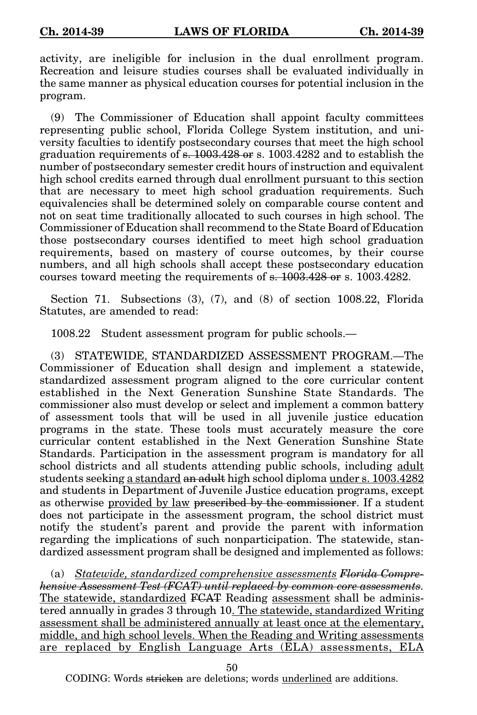activity, are ineligible for inclusion in the dual enrollment program. Recreation and leisure studies courses shall be evaluated individually in the same manner as physical education courses for potential inclusion in the program.

(9) The Commissioner of Education shall appoint faculty committees representing public school, Florida College System institution, and university faculties to identify postsecondary courses that meet the high school graduation requirements of s. 1003.428 or s. 1003.4282 and to establish the number of postsecondary semester credit hours of instruction and equivalent high school credits earned through dual enrollment pursuant to this section that are necessary to meet high school graduation requirements. Such equivalencies shall be determined solely on comparable course content and not on seat time traditionally allocated to such courses in high school. The Commissioner of Education shall recommend to the State Board of Education those postsecondary courses identified to meet high school graduation requirements, based on mastery of course outcomes, by their course numbers, and all high schools shall accept these postsecondary education courses toward meeting the requirements of s. 1003.428 or s. 1003.4282.

Section 71. Subsections (3), (7), and (8) of section 1008.22, Florida Statutes, are amended to read:

1008.22 Student assessment program for public schools.—

(3) STATEWIDE, STANDARDIZED ASSESSMENT PROGRAM.—The Commissioner of Education shall design and implement a statewide, standardized assessment program aligned to the core curricular content established in the Next Generation Sunshine State Standards. The commissioner also must develop or select and implement a common battery of assessment tools that will be used in all juvenile justice education programs in the state. These tools must accurately measure the core curricular content established in the Next Generation Sunshine State Standards. Participation in the assessment program is mandatory for all school districts and all students attending public schools, including adult students seeking a standard an adult high school diploma under s. 1003.4282 and students in Department of Juvenile Justice education programs, except as otherwise provided by law prescribed by the commissioner. If a student does not participate in the assessment program, the school district must notify the student's parent and provide the parent with information regarding the implications of such nonparticipation. The statewide, standardized assessment program shall be designed and implemented as follows:

(a) Statewide, standardized comprehensive assessments Florida Comprehensive Assessment Test (FCAT) until replaced by common core assessments. The statewide, standardized FCAT Reading assessment shall be administered annually in grades 3 through 10. The statewide, standardized Writing assessment shall be administered annually at least once at the elementary, middle, and high school levels. When the Reading and Writing assessments are replaced by English Language Arts (ELA) assessments, ELA

50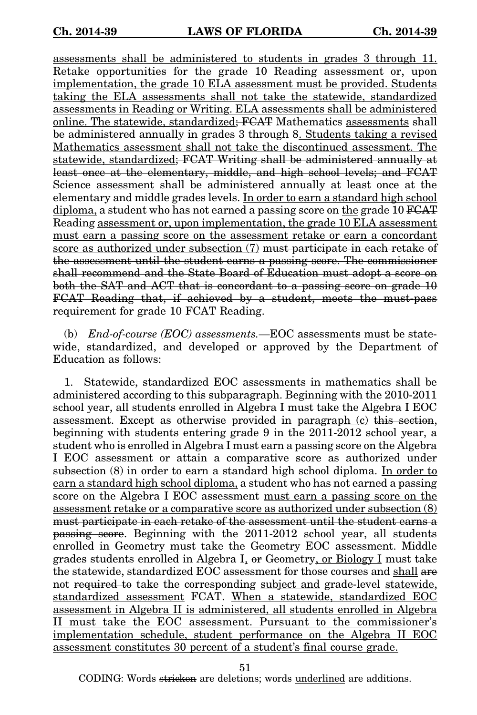assessments shall be administered to students in grades 3 through 11. Retake opportunities for the grade 10 Reading assessment or, upon implementation, the grade 10 ELA assessment must be provided. Students taking the ELA assessments shall not take the statewide, standardized assessments in Reading or Writing. ELA assessments shall be administered online. The statewide, standardized; FCAT Mathematics assessments shall be administered annually in grades 3 through 8. Students taking a revised Mathematics assessment shall not take the discontinued assessment. The statewide, standardized; FCAT Writing shall be administered annually at least once at the elementary, middle, and high school levels; and FCAT Science assessment shall be administered annually at least once at the elementary and middle grades levels. In order to earn a standard high school diploma, a student who has not earned a passing score on the grade 10 FCAT Reading assessment or, upon implementation, the grade 10 ELA assessment must earn a passing score on the assessment retake or earn a concordant score as authorized under subsection (7) must participate in each retake of the assessment until the student earns a passing score. The commissioner shall recommend and the State Board of Education must adopt a score on both the SAT and ACT that is concordant to a passing score on grade 10 FCAT Reading that, if achieved by a student, meets the must-pass requirement for grade 10 FCAT Reading.

(b)  $End-of-course (EOC)$  assessments.—EOC assessments must be statewide, standardized, and developed or approved by the Department of Education as follows:

1. Statewide, standardized EOC assessments in mathematics shall be administered according to this subparagraph. Beginning with the 2010-2011 school year, all students enrolled in Algebra I must take the Algebra I EOC assessment. Except as otherwise provided in paragraph (c) this section, beginning with students entering grade 9 in the 2011-2012 school year, a student who is enrolled in Algebra I must earn a passing score on the Algebra I EOC assessment or attain a comparative score as authorized under subsection (8) in order to earn a standard high school diploma. In order to earn a standard high school diploma, a student who has not earned a passing score on the Algebra I EOC assessment must earn a passing score on the assessment retake or a comparative score as authorized under subsection (8) must participate in each retake of the assessment until the student earns a passing score. Beginning with the 2011-2012 school year, all students enrolled in Geometry must take the Geometry EOC assessment. Middle grades students enrolled in Algebra I, or Geometry, or Biology I must take the statewide, standardized EOC assessment for those courses and shall are not required to take the corresponding subject and grade-level statewide, standardized assessment FCAT. When a statewide, standardized EOC assessment in Algebra II is administered, all students enrolled in Algebra II must take the EOC assessment. Pursuant to the commissioner's implementation schedule, student performance on the Algebra II EOC assessment constitutes 30 percent of a student's final course grade.

51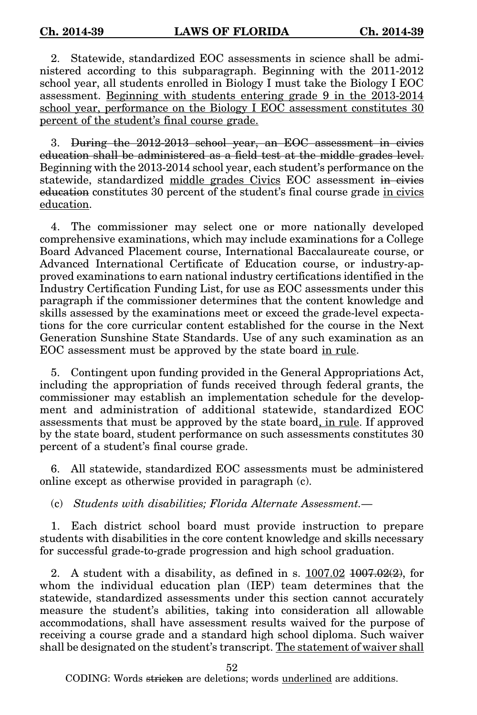2. Statewide, standardized EOC assessments in science shall be administered according to this subparagraph. Beginning with the 2011-2012 school year, all students enrolled in Biology I must take the Biology I EOC assessment. Beginning with students entering grade 9 in the 2013-2014 school year, performance on the Biology I EOC assessment constitutes 30 percent of the student's final course grade.

3. During the 2012-2013 school year, an EOC assessment in civics education shall be administered as a field test at the middle grades level. Beginning with the 2013-2014 school year, each student's performance on the statewide, standardized middle grades Civics EOC assessment in civics education constitutes 30 percent of the student's final course grade in civics education.

4. The commissioner may select one or more nationally developed comprehensive examinations, which may include examinations for a College Board Advanced Placement course, International Baccalaureate course, or Advanced International Certificate of Education course, or industry-approved examinations to earn national industry certifications identified in the Industry Certification Funding List, for use as EOC assessments under this paragraph if the commissioner determines that the content knowledge and skills assessed by the examinations meet or exceed the grade-level expectations for the core curricular content established for the course in the Next Generation Sunshine State Standards. Use of any such examination as an EOC assessment must be approved by the state board in rule.

5. Contingent upon funding provided in the General Appropriations Act, including the appropriation of funds received through federal grants, the commissioner may establish an implementation schedule for the development and administration of additional statewide, standardized EOC assessments that must be approved by the state board, in rule. If approved by the state board, student performance on such assessments constitutes 30 percent of a student's final course grade.

6. All statewide, standardized EOC assessments must be administered online except as otherwise provided in paragraph (c).

(c) Students with disabilities; Florida Alternate Assessment.—

1. Each district school board must provide instruction to prepare students with disabilities in the core content knowledge and skills necessary for successful grade-to-grade progression and high school graduation.

2. A student with a disability, as defined in s.  $1007.02 \frac{1007.02(2)}{1007.02(2)}$ , for whom the individual education plan (IEP) team determines that the statewide, standardized assessments under this section cannot accurately measure the student's abilities, taking into consideration all allowable accommodations, shall have assessment results waived for the purpose of receiving a course grade and a standard high school diploma. Such waiver shall be designated on the student's transcript. The statement of waiver shall

52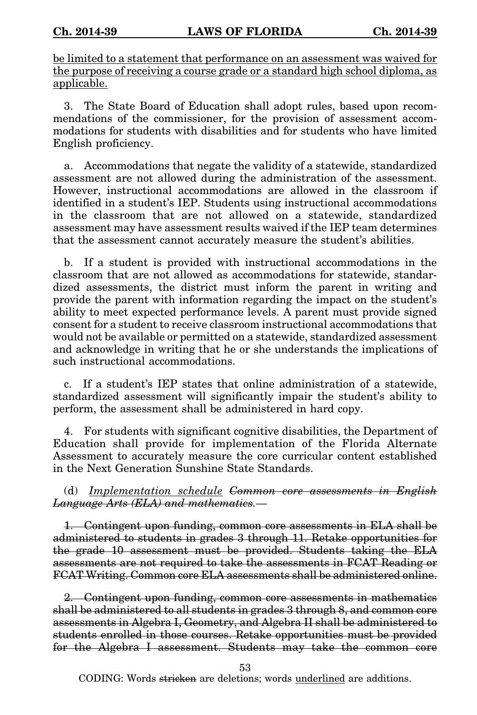be limited to a statement that performance on an assessment was waived for the purpose of receiving a course grade or a standard high school diploma, as applicable.

3. The State Board of Education shall adopt rules, based upon recommendations of the commissioner, for the provision of assessment accommodations for students with disabilities and for students who have limited English proficiency.

a. Accommodations that negate the validity of a statewide, standardized assessment are not allowed during the administration of the assessment. However, instructional accommodations are allowed in the classroom if identified in a student's IEP. Students using instructional accommodations in the classroom that are not allowed on a statewide, standardized assessment may have assessment results waived if the IEP team determines that the assessment cannot accurately measure the student's abilities.

b. If a student is provided with instructional accommodations in the classroom that are not allowed as accommodations for statewide, standardized assessments, the district must inform the parent in writing and provide the parent with information regarding the impact on the student's ability to meet expected performance levels. A parent must provide signed consent for a student to receive classroom instructional accommodations that would not be available or permitted on a statewide, standardized assessment and acknowledge in writing that he or she understands the implications of such instructional accommodations.

c. If a student's IEP states that online administration of a statewide, standardized assessment will significantly impair the student's ability to perform, the assessment shall be administered in hard copy.

4. For students with significant cognitive disabilities, the Department of Education shall provide for implementation of the Florida Alternate Assessment to accurately measure the core curricular content established in the Next Generation Sunshine State Standards.

(d) Implementation schedule Common core assessments in English Language Arts (ELA) and mathematics.—

1. Contingent upon funding, common core assessments in ELA shall be administered to students in grades 3 through 11. Retake opportunities for the grade 10 assessment must be provided. Students taking the ELA assessments are not required to take the assessments in FCAT Reading or FCAT Writing. Common core ELA assessments shall be administered online.

2. Contingent upon funding, common core assessments in mathematics shall be administered to all students in grades 3 through 8, and common core assessments in Algebra I, Geometry, and Algebra II shall be administered to students enrolled in those courses. Retake opportunities must be provided for the Algebra I assessment. Students may take the common core

53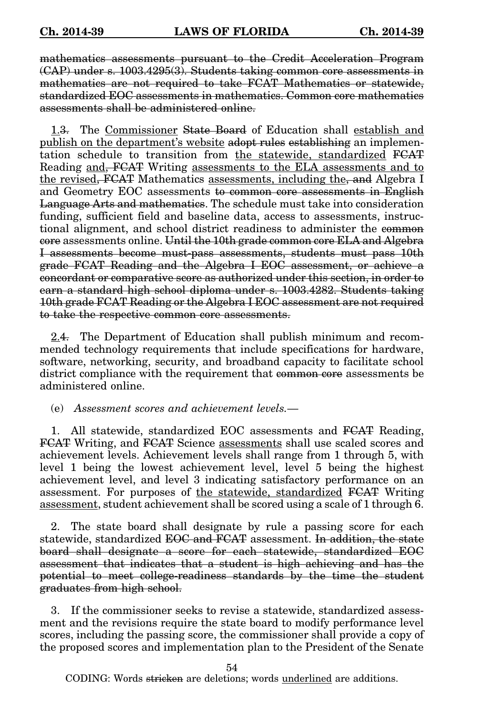mathematics assessments pursuant to the Credit Acceleration Program (CAP) under s. 1003.4295(3). Students taking common core assessments in mathematics are not required to take FCAT Mathematics or statewide, standardized EOC assessments in mathematics. Common core mathematics assessments shall be administered online.

1.3. The Commissioner State Board of Education shall establish and publish on the department's website adopt rules establishing an implementation schedule to transition from the statewide, standardized FCAT Reading and, FCAT Writing assessments to the ELA assessments and to the revised, FCAT Mathematics assessments, including the, and Algebra I and Geometry EOC assessments to common core assessments in English Language Arts and mathematics. The schedule must take into consideration funding, sufficient field and baseline data, access to assessments, instructional alignment, and school district readiness to administer the common core assessments online. Until the 10th grade common core ELA and Algebra I assessments become must-pass assessments, students must pass 10th grade FCAT Reading and the Algebra I EOC assessment, or achieve a concordant or comparative score as authorized under this section, in order to earn a standard high school diploma under s. 1003.4282. Students taking 10th grade FCAT Reading or the Algebra I EOC assessment are not required to take the respective common core assessments.

2.4. The Department of Education shall publish minimum and recommended technology requirements that include specifications for hardware, software, networking, security, and broadband capacity to facilitate school district compliance with the requirement that common core assessments be administered online.

(e) Assessment scores and achievement levels.—

1. All statewide, standardized EOC assessments and FCAT Reading, FCAT Writing, and FCAT Science assessments shall use scaled scores and achievement levels. Achievement levels shall range from 1 through 5, with level 1 being the lowest achievement level, level 5 being the highest achievement level, and level 3 indicating satisfactory performance on an assessment. For purposes of the statewide, standardized FCAT Writing assessment, student achievement shall be scored using a scale of 1 through 6.

2. The state board shall designate by rule a passing score for each statewide, standardized EOC and FCAT assessment. In addition, the state board shall designate a score for each statewide, standardized EOC assessment that indicates that a student is high achieving and has the potential to meet college-readiness standards by the time the student graduates from high school.

3. If the commissioner seeks to revise a statewide, standardized assessment and the revisions require the state board to modify performance level scores, including the passing score, the commissioner shall provide a copy of the proposed scores and implementation plan to the President of the Senate

54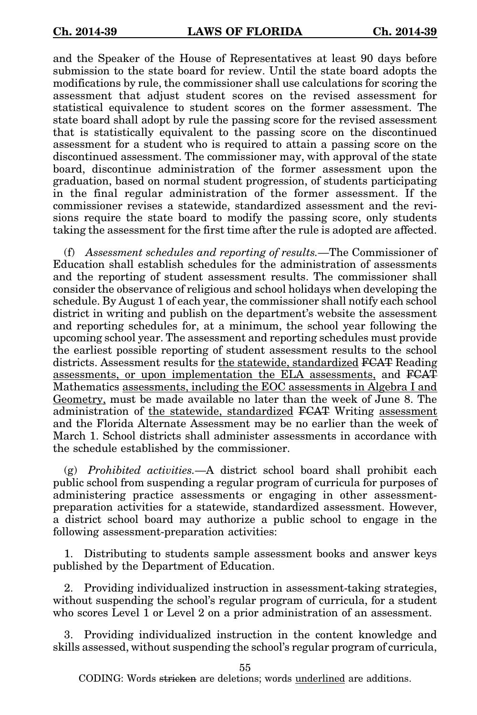and the Speaker of the House of Representatives at least 90 days before submission to the state board for review. Until the state board adopts the modifications by rule, the commissioner shall use calculations for scoring the assessment that adjust student scores on the revised assessment for statistical equivalence to student scores on the former assessment. The state board shall adopt by rule the passing score for the revised assessment that is statistically equivalent to the passing score on the discontinued assessment for a student who is required to attain a passing score on the discontinued assessment. The commissioner may, with approval of the state board, discontinue administration of the former assessment upon the graduation, based on normal student progression, of students participating in the final regular administration of the former assessment. If the commissioner revises a statewide, standardized assessment and the revisions require the state board to modify the passing score, only students taking the assessment for the first time after the rule is adopted are affected.

(f) Assessment schedules and reporting of results.—The Commissioner of Education shall establish schedules for the administration of assessments and the reporting of student assessment results. The commissioner shall consider the observance of religious and school holidays when developing the schedule. By August 1 of each year, the commissioner shall notify each school district in writing and publish on the department's website the assessment and reporting schedules for, at a minimum, the school year following the upcoming school year. The assessment and reporting schedules must provide the earliest possible reporting of student assessment results to the school districts. Assessment results for the statewide, standardized FCAT Reading assessments, or upon implementation the ELA assessments, and FCAT Mathematics assessments, including the EOC assessments in Algebra I and Geometry, must be made available no later than the week of June 8. The administration of the statewide, standardized FCAT Writing assessment and the Florida Alternate Assessment may be no earlier than the week of March 1. School districts shall administer assessments in accordance with the schedule established by the commissioner.

(g) Prohibited activities.—A district school board shall prohibit each public school from suspending a regular program of curricula for purposes of administering practice assessments or engaging in other assessmentpreparation activities for a statewide, standardized assessment. However, a district school board may authorize a public school to engage in the following assessment-preparation activities:

1. Distributing to students sample assessment books and answer keys published by the Department of Education.

2. Providing individualized instruction in assessment-taking strategies, without suspending the school's regular program of curricula, for a student who scores Level 1 or Level 2 on a prior administration of an assessment.

3. Providing individualized instruction in the content knowledge and skills assessed, without suspending the school's regular program of curricula,

55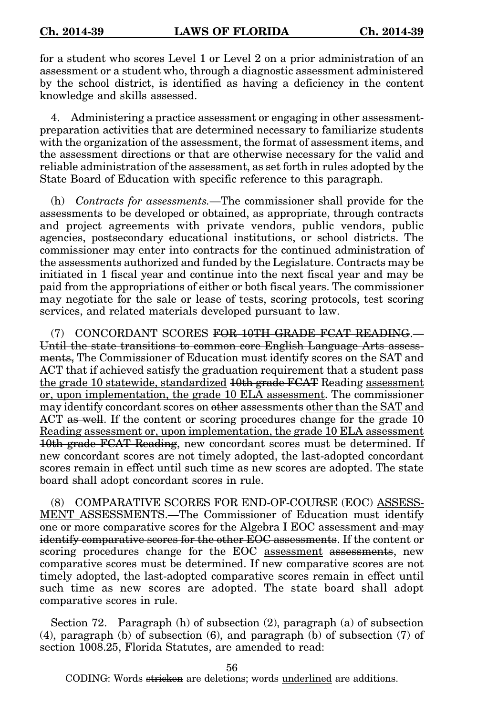for a student who scores Level 1 or Level 2 on a prior administration of an assessment or a student who, through a diagnostic assessment administered by the school district, is identified as having a deficiency in the content knowledge and skills assessed.

4. Administering a practice assessment or engaging in other assessmentpreparation activities that are determined necessary to familiarize students with the organization of the assessment, the format of assessment items, and the assessment directions or that are otherwise necessary for the valid and reliable administration of the assessment, as set forth in rules adopted by the State Board of Education with specific reference to this paragraph.

(h) Contracts for assessments.—The commissioner shall provide for the assessments to be developed or obtained, as appropriate, through contracts and project agreements with private vendors, public vendors, public agencies, postsecondary educational institutions, or school districts. The commissioner may enter into contracts for the continued administration of the assessments authorized and funded by the Legislature. Contracts may be initiated in 1 fiscal year and continue into the next fiscal year and may be paid from the appropriations of either or both fiscal years. The commissioner may negotiate for the sale or lease of tests, scoring protocols, test scoring services, and related materials developed pursuant to law.

(7) CONCORDANT SCORES FOR 10TH GRADE FCAT READING.— Until the state transitions to common core English Language Arts assessments, The Commissioner of Education must identify scores on the SAT and ACT that if achieved satisfy the graduation requirement that a student pass the grade 10 statewide, standardized 10th grade FCAT Reading assessment or, upon implementation, the grade 10 ELA assessment. The commissioner may identify concordant scores on other assessments other than the SAT and ACT as well. If the content or scoring procedures change for the grade 10 Reading assessment or, upon implementation, the grade 10 ELA assessment 10th grade FCAT Reading, new concordant scores must be determined. If new concordant scores are not timely adopted, the last-adopted concordant scores remain in effect until such time as new scores are adopted. The state board shall adopt concordant scores in rule.

(8) COMPARATIVE SCORES FOR END-OF-COURSE (EOC) ASSESS-MENT ASSESSMENTS.—The Commissioner of Education must identify one or more comparative scores for the Algebra I EOC assessment and may identify comparative scores for the other EOC assessments. If the content or scoring procedures change for the EOC assessment assessments, new comparative scores must be determined. If new comparative scores are not timely adopted, the last-adopted comparative scores remain in effect until such time as new scores are adopted. The state board shall adopt comparative scores in rule.

Section 72. Paragraph (h) of subsection (2), paragraph (a) of subsection (4), paragraph (b) of subsection (6), and paragraph (b) of subsection (7) of section 1008.25, Florida Statutes, are amended to read:

56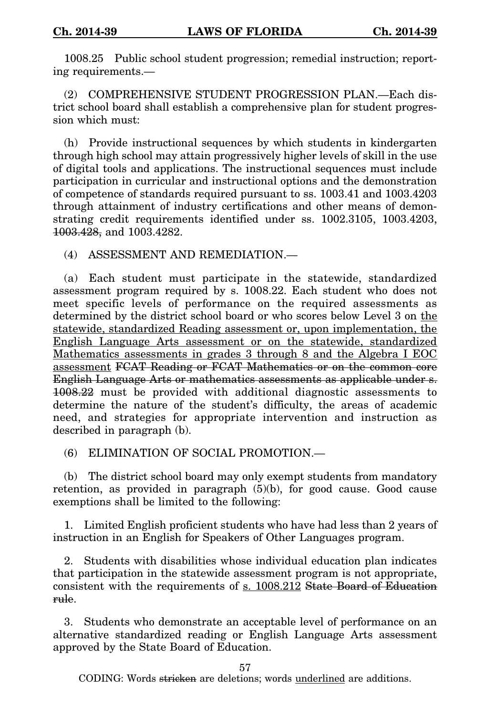1008.25 Public school student progression; remedial instruction; reporting requirements.—

(2) COMPREHENSIVE STUDENT PROGRESSION PLAN.—Each district school board shall establish a comprehensive plan for student progression which must:

(h) Provide instructional sequences by which students in kindergarten through high school may attain progressively higher levels of skill in the use of digital tools and applications. The instructional sequences must include participation in curricular and instructional options and the demonstration of competence of standards required pursuant to ss. 1003.41 and 1003.4203 through attainment of industry certifications and other means of demonstrating credit requirements identified under ss. 1002.3105, 1003.4203, 1003.428, and 1003.4282.

(4) ASSESSMENT AND REMEDIATION.—

(a) Each student must participate in the statewide, standardized assessment program required by s. 1008.22. Each student who does not meet specific levels of performance on the required assessments as determined by the district school board or who scores below Level 3 on the statewide, standardized Reading assessment or, upon implementation, the English Language Arts assessment or on the statewide, standardized Mathematics assessments in grades 3 through 8 and the Algebra I EOC assessment FCAT Reading or FCAT Mathematics or on the common core English Language Arts or mathematics assessments as applicable under s. 1008.22 must be provided with additional diagnostic assessments to determine the nature of the student's difficulty, the areas of academic need, and strategies for appropriate intervention and instruction as described in paragraph (b).

(6) ELIMINATION OF SOCIAL PROMOTION.—

(b) The district school board may only exempt students from mandatory retention, as provided in paragraph (5)(b), for good cause. Good cause exemptions shall be limited to the following:

1. Limited English proficient students who have had less than 2 years of instruction in an English for Speakers of Other Languages program.

2. Students with disabilities whose individual education plan indicates that participation in the statewide assessment program is not appropriate, consistent with the requirements of s. 1008.212 State Board of Education rule.

3. Students who demonstrate an acceptable level of performance on an alternative standardized reading or English Language Arts assessment approved by the State Board of Education.

57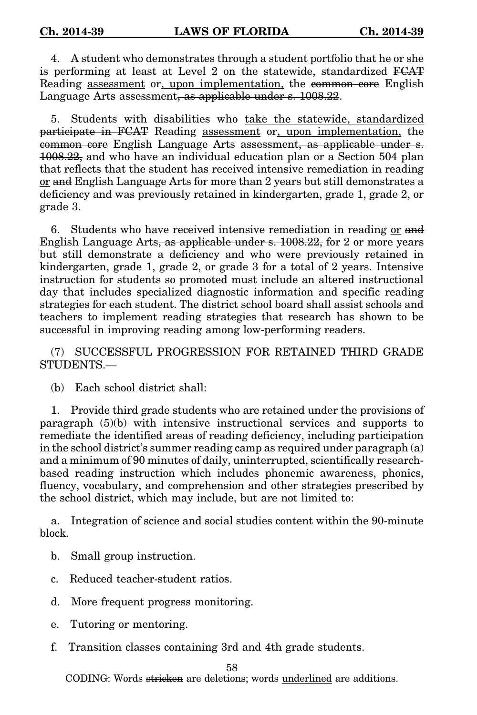4. A student who demonstrates through a student portfolio that he or she is performing at least at Level 2 on the statewide, standardized FCAT Reading assessment or, upon implementation, the common core English Language Arts assessment, as applicable under s. 1008.22.

5. Students with disabilities who take the statewide, standardized participate in FCAT Reading assessment or, upon implementation, the common core English Language Arts assessment, as applicable under s. 1008.22, and who have an individual education plan or a Section 504 plan that reflects that the student has received intensive remediation in reading or and English Language Arts for more than 2 years but still demonstrates a deficiency and was previously retained in kindergarten, grade 1, grade 2, or grade 3.

6. Students who have received intensive remediation in reading  $or$  and</u> English Language Arts, as applicable under s. 1008.22, for 2 or more years but still demonstrate a deficiency and who were previously retained in kindergarten, grade 1, grade 2, or grade 3 for a total of 2 years. Intensive instruction for students so promoted must include an altered instructional day that includes specialized diagnostic information and specific reading strategies for each student. The district school board shall assist schools and teachers to implement reading strategies that research has shown to be successful in improving reading among low-performing readers.

(7) SUCCESSFUL PROGRESSION FOR RETAINED THIRD GRADE STUDENTS-

(b) Each school district shall:

1. Provide third grade students who are retained under the provisions of paragraph (5)(b) with intensive instructional services and supports to remediate the identified areas of reading deficiency, including participation in the school district's summer reading camp as required under paragraph (a) and a minimum of 90 minutes of daily, uninterrupted, scientifically researchbased reading instruction which includes phonemic awareness, phonics, fluency, vocabulary, and comprehension and other strategies prescribed by the school district, which may include, but are not limited to:

a. Integration of science and social studies content within the 90-minute block.

- b. Small group instruction.
- c. Reduced teacher-student ratios.
- d. More frequent progress monitoring.
- e. Tutoring or mentoring.
- f. Transition classes containing 3rd and 4th grade students.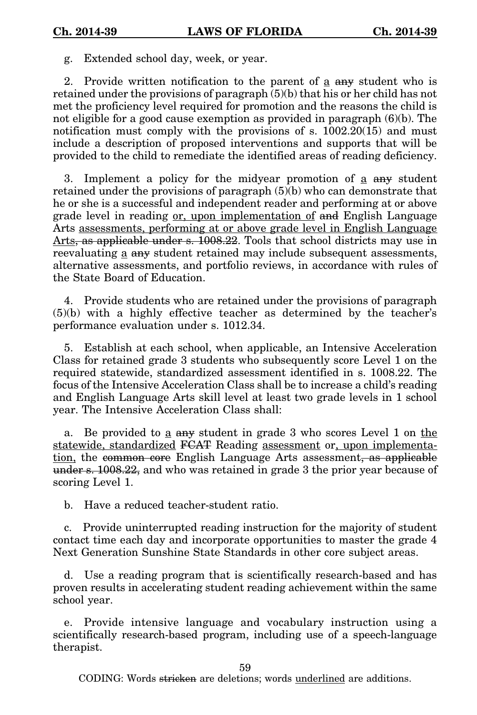g. Extended school day, week, or year.

2. Provide written notification to the parent of  $\underline{a}$  any student who is retained under the provisions of paragraph (5)(b) that his or her child has not met the proficiency level required for promotion and the reasons the child is not eligible for a good cause exemption as provided in paragraph (6)(b). The notification must comply with the provisions of s. 1002.20(15) and must include a description of proposed interventions and supports that will be provided to the child to remediate the identified areas of reading deficiency.

3. Implement a policy for the midyear promotion of a any student retained under the provisions of paragraph (5)(b) who can demonstrate that he or she is a successful and independent reader and performing at or above grade level in reading or, upon implementation of and English Language Arts assessments, performing at or above grade level in English Language Arts, as applicable under s. 1008.22. Tools that school districts may use in reevaluating a any student retained may include subsequent assessments, alternative assessments, and portfolio reviews, in accordance with rules of the State Board of Education.

4. Provide students who are retained under the provisions of paragraph (5)(b) with a highly effective teacher as determined by the teacher's performance evaluation under s. 1012.34.

5. Establish at each school, when applicable, an Intensive Acceleration Class for retained grade 3 students who subsequently score Level 1 on the required statewide, standardized assessment identified in s. 1008.22. The focus of the Intensive Acceleration Class shall be to increase a child's reading and English Language Arts skill level at least two grade levels in 1 school year. The Intensive Acceleration Class shall:

a. Be provided to a any student in grade 3 who scores Level 1 on the statewide, standardized FCAT Reading assessment or, upon implementation, the common core English Language Arts assessment, as applicable under s. 1008.22, and who was retained in grade 3 the prior year because of scoring Level 1.

b. Have a reduced teacher-student ratio.

c. Provide uninterrupted reading instruction for the majority of student contact time each day and incorporate opportunities to master the grade 4 Next Generation Sunshine State Standards in other core subject areas.

d. Use a reading program that is scientifically research-based and has proven results in accelerating student reading achievement within the same school year.

e. Provide intensive language and vocabulary instruction using a scientifically research-based program, including use of a speech-language therapist.

59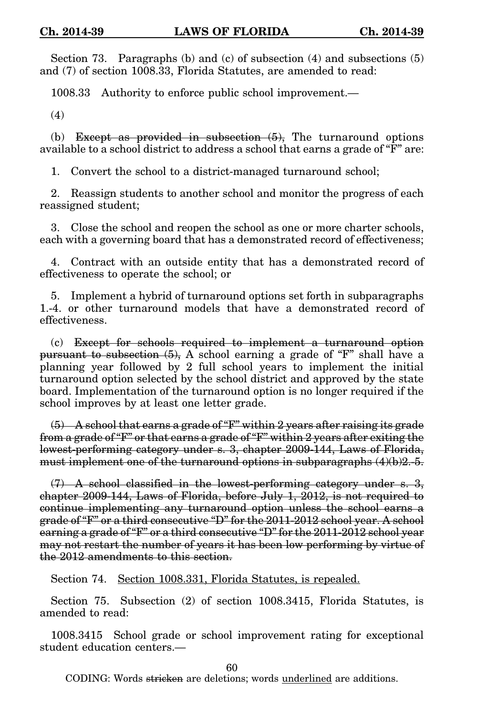Section 73. Paragraphs (b) and (c) of subsection (4) and subsections (5) and (7) of section 1008.33, Florida Statutes, are amended to read:

1008.33 Authority to enforce public school improvement.—

(4)

(b) Except as provided in subsection  $(5)$ , The turnaround options available to a school district to address a school that earns a grade of "F" are:

1. Convert the school to a district-managed turnaround school;

2. Reassign students to another school and monitor the progress of each reassigned student;

3. Close the school and reopen the school as one or more charter schools, each with a governing board that has a demonstrated record of effectiveness;

4. Contract with an outside entity that has a demonstrated record of effectiveness to operate the school; or

5. Implement a hybrid of turnaround options set forth in subparagraphs 1.-4. or other turnaround models that have a demonstrated record of effectiveness.

(c) Except for schools required to implement a turnaround option pursuant to subsection  $(5)$ , A school earning a grade of "F" shall have a planning year followed by 2 full school years to implement the initial turnaround option selected by the school district and approved by the state board. Implementation of the turnaround option is no longer required if the school improves by at least one letter grade.

 $(5)$  A school that earns a grade of "F" within 2 years after raising its grade from a grade of "F" or that earns a grade of "F" within 2 years after exiting the lowest-performing category under s. 3, chapter 2009-144, Laws of Florida, must implement one of the turnaround options in subparagraphs  $(4)(b)2,-5$ .

 $(7)$  A school classified in the lowest-performing category under s. 3, chapter 2009-144, Laws of Florida, before July 1, 2012, is not required to continue implementing any turnaround option unless the school earns a grade of "F" or a third consecutive "D" for the 2011-2012 school year. A school earning a grade of "F" or a third consecutive "D" for the 2011-2012 school year may not restart the number of years it has been low performing by virtue of the 2012 amendments to this section.

Section 74. Section 1008.331, Florida Statutes, is repealed.

Section 75. Subsection (2) of section 1008.3415, Florida Statutes, is amended to read:

1008.3415 School grade or school improvement rating for exceptional student education centers.—

60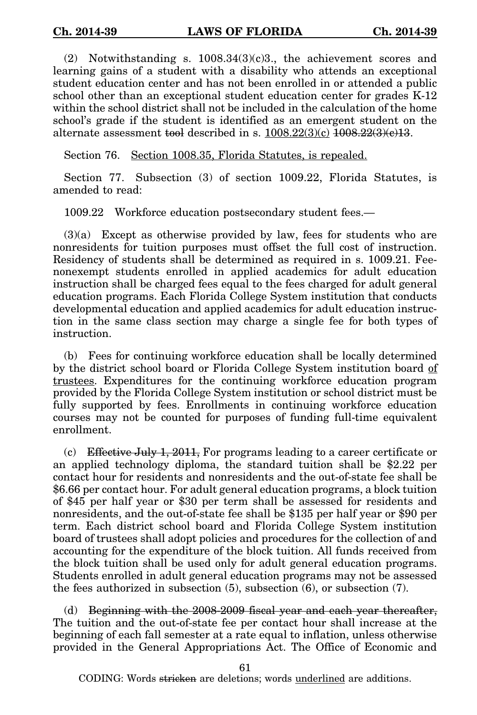(2) Notwithstanding s. 1008.34(3)(c)3., the achievement scores and learning gains of a student with a disability who attends an exceptional student education center and has not been enrolled in or attended a public school other than an exceptional student education center for grades K-12 within the school district shall not be included in the calculation of the home school's grade if the student is identified as an emergent student on the alternate assessment tool described in s.  $1008.22(3)(c)$   $1008.22(3)(e)$ 13.

Section 76. Section 1008.35, Florida Statutes, is repealed.

Section 77. Subsection (3) of section 1009.22, Florida Statutes, is amended to read:

1009.22 Workforce education postsecondary student fees.—

(3)(a) Except as otherwise provided by law, fees for students who are nonresidents for tuition purposes must offset the full cost of instruction. Residency of students shall be determined as required in s. 1009.21. Feenonexempt students enrolled in applied academics for adult education instruction shall be charged fees equal to the fees charged for adult general education programs. Each Florida College System institution that conducts developmental education and applied academics for adult education instruction in the same class section may charge a single fee for both types of instruction.

(b) Fees for continuing workforce education shall be locally determined by the district school board or Florida College System institution board of trustees. Expenditures for the continuing workforce education program provided by the Florida College System institution or school district must be fully supported by fees. Enrollments in continuing workforce education courses may not be counted for purposes of funding full-time equivalent enrollment.

(c) Effective July 1, 2011, For programs leading to a career certificate or an applied technology diploma, the standard tuition shall be \$2.22 per contact hour for residents and nonresidents and the out-of-state fee shall be \$6.66 per contact hour. For adult general education programs, a block tuition of \$45 per half year or \$30 per term shall be assessed for residents and nonresidents, and the out-of-state fee shall be \$135 per half year or \$90 per term. Each district school board and Florida College System institution board of trustees shall adopt policies and procedures for the collection of and accounting for the expenditure of the block tuition. All funds received from the block tuition shall be used only for adult general education programs. Students enrolled in adult general education programs may not be assessed the fees authorized in subsection (5), subsection (6), or subsection (7).

(d) Beginning with the 2008-2009 fiscal year and each year thereafter, The tuition and the out-of-state fee per contact hour shall increase at the beginning of each fall semester at a rate equal to inflation, unless otherwise provided in the General Appropriations Act. The Office of Economic and

61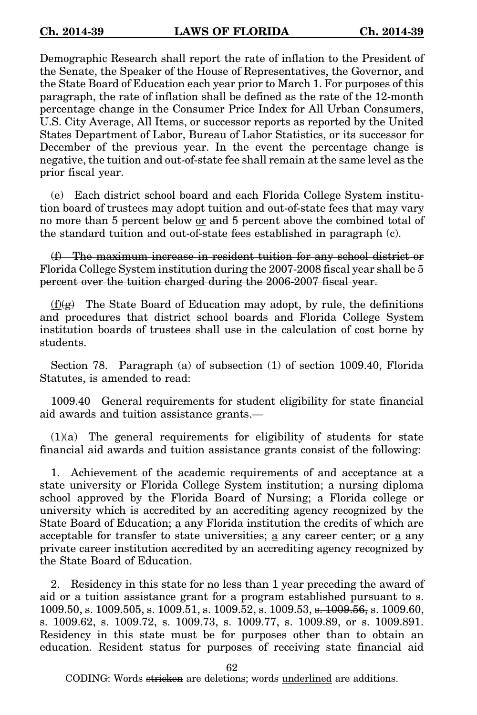Demographic Research shall report the rate of inflation to the President of the Senate, the Speaker of the House of Representatives, the Governor, and the State Board of Education each year prior to March 1. For purposes of this paragraph, the rate of inflation shall be defined as the rate of the 12-month percentage change in the Consumer Price Index for All Urban Consumers, U.S. City Average, All Items, or successor reports as reported by the United States Department of Labor, Bureau of Labor Statistics, or its successor for December of the previous year. In the event the percentage change is negative, the tuition and out-of-state fee shall remain at the same level as the prior fiscal year.

(e) Each district school board and each Florida College System institution board of trustees may adopt tuition and out-of-state fees that may vary no more than 5 percent below or and 5 percent above the combined total of the standard tuition and out-of-state fees established in paragraph (c).

(f) The maximum increase in resident tuition for any school district or Florida College System institution during the 2007-2008 fiscal year shall be 5 percent over the tuition charged during the 2006-2007 fiscal year.

 $(f)(g)$  The State Board of Education may adopt, by rule, the definitions and procedures that district school boards and Florida College System institution boards of trustees shall use in the calculation of cost borne by students.

Section 78. Paragraph (a) of subsection (1) of section 1009.40, Florida Statutes, is amended to read:

1009.40 General requirements for student eligibility for state financial aid awards and tuition assistance grants.—

 $(1)(a)$  The general requirements for eligibility of students for state financial aid awards and tuition assistance grants consist of the following:

1. Achievement of the academic requirements of and acceptance at a state university or Florida College System institution; a nursing diploma school approved by the Florida Board of Nursing; a Florida college or university which is accredited by an accrediting agency recognized by the State Board of Education; a any Florida institution the credits of which are acceptable for transfer to state universities;  $\underline{a}$  any career center; or a any private career institution accredited by an accrediting agency recognized by the State Board of Education.

2. Residency in this state for no less than 1 year preceding the award of aid or a tuition assistance grant for a program established pursuant to s. 1009.50, s. 1009.505, s. 1009.51, s. 1009.52, s. 1009.53, s. 1009.56, s. 1009.60, s. 1009.62, s. 1009.72, s. 1009.73, s. 1009.77, s. 1009.89, or s. 1009.891. Residency in this state must be for purposes other than to obtain an education. Resident status for purposes of receiving state financial aid

62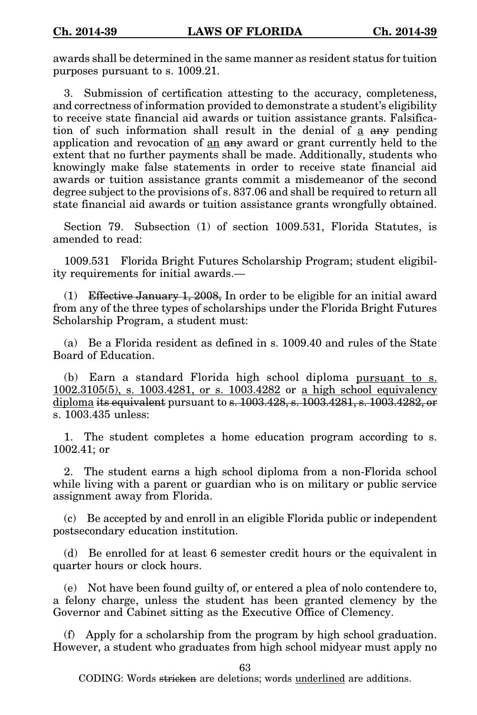awards shall be determined in the same manner as resident status for tuition purposes pursuant to s. 1009.21.

3. Submission of certification attesting to the accuracy, completeness, and correctness of information provided to demonstrate a student's eligibility to receive state financial aid awards or tuition assistance grants. Falsification of such information shall result in the denial of a any pending application and revocation of an any award or grant currently held to the extent that no further payments shall be made. Additionally, students who knowingly make false statements in order to receive state financial aid awards or tuition assistance grants commit a misdemeanor of the second degree subject to the provisions of s. 837.06 and shall be required to return all state financial aid awards or tuition assistance grants wrongfully obtained.

Section 79. Subsection (1) of section 1009.531, Florida Statutes, is amended to read:

1009.531 Florida Bright Futures Scholarship Program; student eligibility requirements for initial awards.—

(1) Effective January 1, 2008, In order to be eligible for an initial award from any of the three types of scholarships under the Florida Bright Futures Scholarship Program, a student must:

(a) Be a Florida resident as defined in s. 1009.40 and rules of the State Board of Education.

(b) Earn a standard Florida high school diploma pursuant to s. 1002.3105(5), s. 1003.4281, or s. 1003.4282 or a high school equivalency diploma its equivalent pursuant to s. 1003.428, s. 1003.4281, s. 1003.4282, or s. 1003.435 unless:

1. The student completes a home education program according to s. 1002.41; or

2. The student earns a high school diploma from a non-Florida school while living with a parent or guardian who is on military or public service assignment away from Florida.

(c) Be accepted by and enroll in an eligible Florida public or independent postsecondary education institution.

(d) Be enrolled for at least 6 semester credit hours or the equivalent in quarter hours or clock hours.

(e) Not have been found guilty of, or entered a plea of nolo contendere to, a felony charge, unless the student has been granted clemency by the Governor and Cabinet sitting as the Executive Office of Clemency.

(f) Apply for a scholarship from the program by high school graduation. However, a student who graduates from high school midyear must apply no

63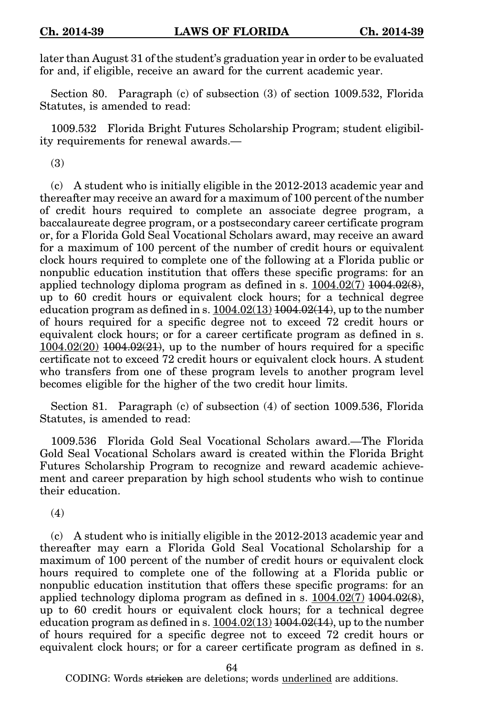later than August 31 of the student's graduation year in order to be evaluated for and, if eligible, receive an award for the current academic year.

Section 80. Paragraph (c) of subsection (3) of section 1009.532, Florida Statutes, is amended to read:

1009.532 Florida Bright Futures Scholarship Program; student eligibility requirements for renewal awards.—

(3)

(c) A student who is initially eligible in the 2012-2013 academic year and thereafter may receive an award for a maximum of 100 percent of the number of credit hours required to complete an associate degree program, a baccalaureate degree program, or a postsecondary career certificate program or, for a Florida Gold Seal Vocational Scholars award, may receive an award for a maximum of 100 percent of the number of credit hours or equivalent clock hours required to complete one of the following at a Florida public or nonpublic education institution that offers these specific programs: for an applied technology diploma program as defined in s.  $1004.02(7)$   $1004.02(8)$ , up to 60 credit hours or equivalent clock hours; for a technical degree education program as defined in s.  $1004.02(13)$   $1004.02(14)$ , up to the number of hours required for a specific degree not to exceed 72 credit hours or equivalent clock hours; or for a career certificate program as defined in s.  $1004.02(20)$   $1004.02(21)$ , up to the number of hours required for a specific certificate not to exceed 72 credit hours or equivalent clock hours. A student who transfers from one of these program levels to another program level becomes eligible for the higher of the two credit hour limits.

Section 81. Paragraph (c) of subsection (4) of section 1009.536, Florida Statutes, is amended to read:

1009.536 Florida Gold Seal Vocational Scholars award.—The Florida Gold Seal Vocational Scholars award is created within the Florida Bright Futures Scholarship Program to recognize and reward academic achievement and career preparation by high school students who wish to continue their education.

(4)

(c) A student who is initially eligible in the 2012-2013 academic year and thereafter may earn a Florida Gold Seal Vocational Scholarship for a maximum of 100 percent of the number of credit hours or equivalent clock hours required to complete one of the following at a Florida public or nonpublic education institution that offers these specific programs: for an applied technology diploma program as defined in s.  $1004.02(7)$   $1004.02(8)$ , up to 60 credit hours or equivalent clock hours; for a technical degree education program as defined in s.  $1004.02(13)$   $\overline{1004.02(14)}$ , up to the number of hours required for a specific degree not to exceed 72 credit hours or equivalent clock hours; or for a career certificate program as defined in s.

64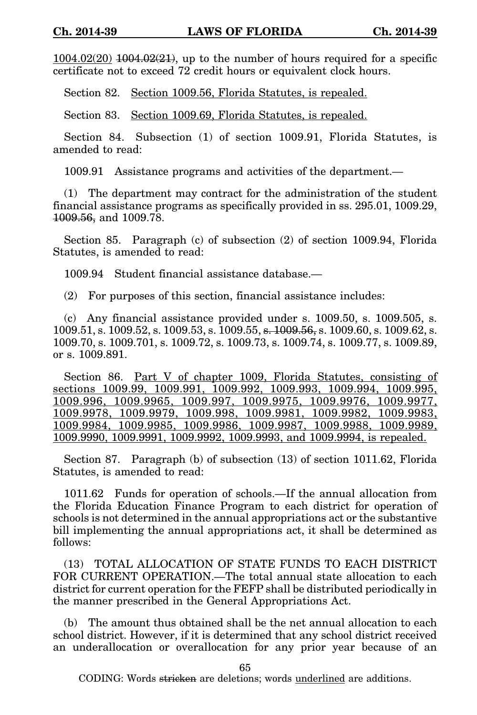$1004.02(20)$   $\overline{1004.02(21)}$ , up to the number of hours required for a specific certificate not to exceed 72 credit hours or equivalent clock hours.

Section 82. Section 1009.56, Florida Statutes, is repealed.

Section 83. Section 1009.69, Florida Statutes, is repealed.

Section 84. Subsection (1) of section 1009.91, Florida Statutes, is amended to read:

1009.91 Assistance programs and activities of the department.—

(1) The department may contract for the administration of the student financial assistance programs as specifically provided in ss. 295.01, 1009.29, 1009.56, and 1009.78.

Section 85. Paragraph (c) of subsection (2) of section 1009.94, Florida Statutes, is amended to read:

1009.94 Student financial assistance database.—

(2) For purposes of this section, financial assistance includes:

(c) Any financial assistance provided under s. 1009.50, s. 1009.505, s. 1009.51, s. 1009.52, s. 1009.53, s. 1009.55, s. 1009.56, s. 1009.60, s. 1009.62, s. 1009.70, s. 1009.701, s. 1009.72, s. 1009.73, s. 1009.74, s. 1009.77, s. 1009.89, or s. 1009.891.

Section 86. <u>Part V of chapter 1009, Florida Statutes</u>, consisting of sections 1009.99, 1009.991, 1009.992, 1009.993, 1009.994, 1009.995, 1009.996, 1009.9965, 1009.997, 1009.9975, 1009.9976, 1009.9977, 1009.9978, 1009.9979, 1009.998, 1009.9981, 1009.9982, 1009.9983, 1009.9984, 1009.9985, 1009.9986, 1009.9987, 1009.9988, 1009.9989, 1009.9990, 1009.9991, 1009.9992, 1009.9993, and 1009.9994, is repealed.

Section 87. Paragraph (b) of subsection (13) of section 1011.62, Florida Statutes, is amended to read:

1011.62 Funds for operation of schools.—If the annual allocation from the Florida Education Finance Program to each district for operation of schools is not determined in the annual appropriations act or the substantive bill implementing the annual appropriations act, it shall be determined as follows:

(13) TOTAL ALLOCATION OF STATE FUNDS TO EACH DISTRICT FOR CURRENT OPERATION.—The total annual state allocation to each district for current operation for the FEFP shall be distributed periodically in the manner prescribed in the General Appropriations Act.

(b) The amount thus obtained shall be the net annual allocation to each school district. However, if it is determined that any school district received an underallocation or overallocation for any prior year because of an

65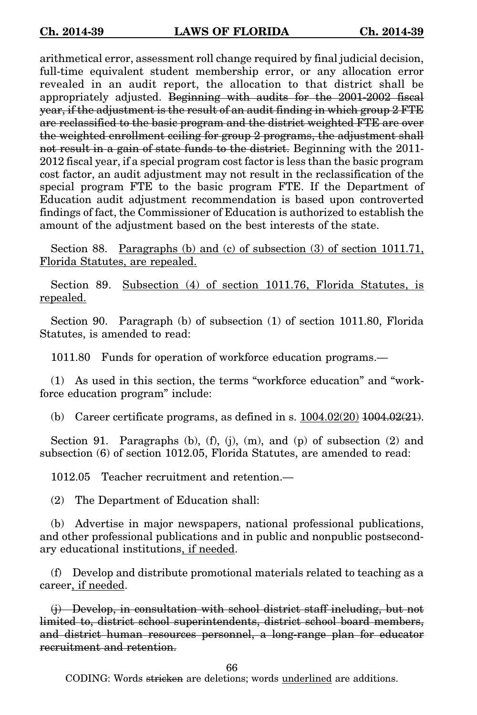arithmetical error, assessment roll change required by final judicial decision, full-time equivalent student membership error, or any allocation error revealed in an audit report, the allocation to that district shall be appropriately adjusted. Beginning with audits for the 2001-2002 fiscal year, if the adjustment is the result of an audit finding in which group 2 FTE are reclassified to the basic program and the district weighted FTE are over the weighted enrollment ceiling for group 2 programs, the adjustment shall not result in a gain of state funds to the district. Beginning with the 2011- 2012 fiscal year, if a special program cost factor is less than the basic program cost factor, an audit adjustment may not result in the reclassification of the special program FTE to the basic program FTE. If the Department of Education audit adjustment recommendation is based upon controverted findings of fact, the Commissioner of Education is authorized to establish the amount of the adjustment based on the best interests of the state.

Section 88. Paragraphs (b) and (c) of subsection (3) of section 1011.71, Florida Statutes, are repealed.

Section 89. Subsection (4) of section 1011.76, Florida Statutes, is repealed.

Section 90. Paragraph (b) of subsection (1) of section 1011.80, Florida Statutes, is amended to read:

1011.80 Funds for operation of workforce education programs.—

(1) As used in this section, the terms "workforce education" and "workforce education program" include:

(b) Career certificate programs, as defined in s.  $1004.02(20)$   $1004.02(21)$ .

Section 91. Paragraphs (b), (f), (j), (m), and (p) of subsection (2) and subsection (6) of section 1012.05, Florida Statutes, are amended to read:

1012.05 Teacher recruitment and retention.—

(2) The Department of Education shall:

(b) Advertise in major newspapers, national professional publications, and other professional publications and in public and nonpublic postsecondary educational institutions, if needed.

(f) Develop and distribute promotional materials related to teaching as a career, if needed.

(j) Develop, in consultation with school district staff including, but not limited to, district school superintendents, district school board members, and district human resources personnel, a long-range plan for educator recruitment and retention.

66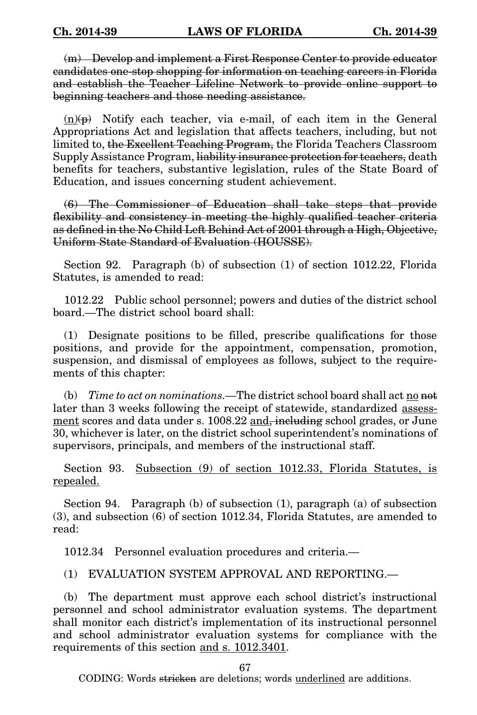(m) Develop and implement a First Response Center to provide educator candidates one-stop shopping for information on teaching careers in Florida and establish the Teacher Lifeline Network to provide online support to beginning teachers and those needing assistance.

 $(n)(p)$  Notify each teacher, via e-mail, of each item in the General Appropriations Act and legislation that affects teachers, including, but not limited to, the Excellent Teaching Program, the Florida Teachers Classroom Supply Assistance Program, liability insurance protection for teachers, death benefits for teachers, substantive legislation, rules of the State Board of Education, and issues concerning student achievement.

(6) The Commissioner of Education shall take steps that provide flexibility and consistency in meeting the highly qualified teacher criteria as defined in the No Child Left Behind Act of 2001 through a High, Objective, Uniform State Standard of Evaluation (HOUSSE).

Section 92. Paragraph (b) of subsection (1) of section 1012.22, Florida Statutes, is amended to read:

1012.22 Public school personnel; powers and duties of the district school board.—The district school board shall:

(1) Designate positions to be filled, prescribe qualifications for those positions, and provide for the appointment, compensation, promotion, suspension, and dismissal of employees as follows, subject to the requirements of this chapter:

(b) Time to act on nominations.—The district school board shall act no not later than 3 weeks following the receipt of statewide, standardized assessment scores and data under s. 1008.22 and, including school grades, or June 30, whichever is later, on the district school superintendent's nominations of supervisors, principals, and members of the instructional staff.

Section 93. Subsection (9) of section 1012.33, Florida Statutes, is repealed.

Section 94. Paragraph (b) of subsection (1), paragraph (a) of subsection (3), and subsection (6) of section 1012.34, Florida Statutes, are amended to read:

1012.34 Personnel evaluation procedures and criteria.—

(1) EVALUATION SYSTEM APPROVAL AND REPORTING.—

(b) The department must approve each school district's instructional personnel and school administrator evaluation systems. The department shall monitor each district's implementation of its instructional personnel and school administrator evaluation systems for compliance with the requirements of this section and s. 1012.3401.

67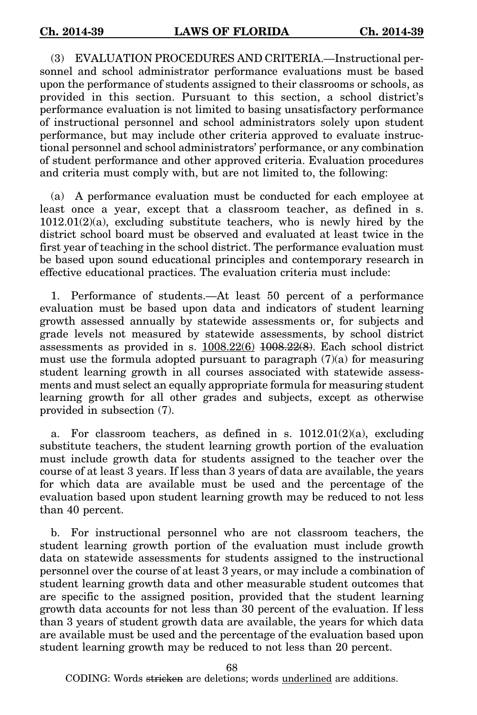(3) EVALUATION PROCEDURES AND CRITERIA.—Instructional personnel and school administrator performance evaluations must be based upon the performance of students assigned to their classrooms or schools, as provided in this section. Pursuant to this section, a school district's performance evaluation is not limited to basing unsatisfactory performance of instructional personnel and school administrators solely upon student performance, but may include other criteria approved to evaluate instructional personnel and school administrators' performance, or any combination of student performance and other approved criteria. Evaluation procedures and criteria must comply with, but are not limited to, the following:

(a) A performance evaluation must be conducted for each employee at least once a year, except that a classroom teacher, as defined in s.  $1012.01(2)(a)$ , excluding substitute teachers, who is newly hired by the district school board must be observed and evaluated at least twice in the first year of teaching in the school district. The performance evaluation must be based upon sound educational principles and contemporary research in effective educational practices. The evaluation criteria must include:

1. Performance of students.—At least 50 percent of a performance evaluation must be based upon data and indicators of student learning growth assessed annually by statewide assessments or, for subjects and grade levels not measured by statewide assessments, by school district assessments as provided in s. 1008.22(6) 1008.22(8). Each school district must use the formula adopted pursuant to paragraph (7)(a) for measuring student learning growth in all courses associated with statewide assessments and must select an equally appropriate formula for measuring student learning growth for all other grades and subjects, except as otherwise provided in subsection (7).

a. For classroom teachers, as defined in s.  $1012.01(2)(a)$ , excluding substitute teachers, the student learning growth portion of the evaluation must include growth data for students assigned to the teacher over the course of at least 3 years. If less than 3 years of data are available, the years for which data are available must be used and the percentage of the evaluation based upon student learning growth may be reduced to not less than 40 percent.

b. For instructional personnel who are not classroom teachers, the student learning growth portion of the evaluation must include growth data on statewide assessments for students assigned to the instructional personnel over the course of at least 3 years, or may include a combination of student learning growth data and other measurable student outcomes that are specific to the assigned position, provided that the student learning growth data accounts for not less than 30 percent of the evaluation. If less than 3 years of student growth data are available, the years for which data are available must be used and the percentage of the evaluation based upon student learning growth may be reduced to not less than 20 percent.

68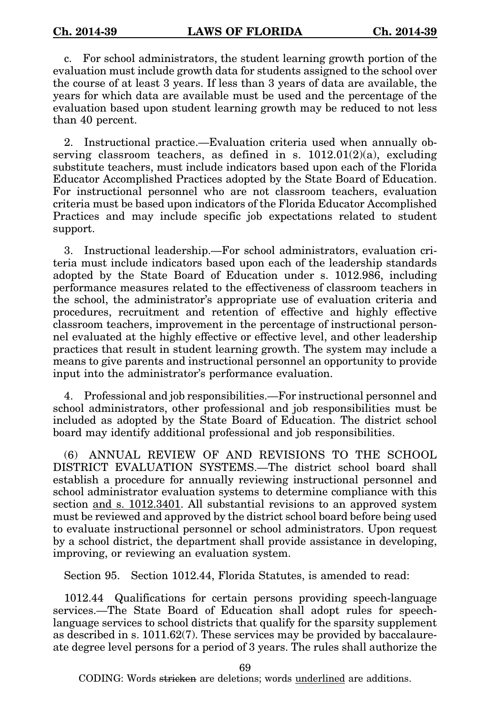c. For school administrators, the student learning growth portion of the evaluation must include growth data for students assigned to the school over the course of at least 3 years. If less than 3 years of data are available, the years for which data are available must be used and the percentage of the evaluation based upon student learning growth may be reduced to not less than 40 percent.

2. Instructional practice.—Evaluation criteria used when annually observing classroom teachers, as defined in s.  $1012.01(2)(a)$ , excluding substitute teachers, must include indicators based upon each of the Florida Educator Accomplished Practices adopted by the State Board of Education. For instructional personnel who are not classroom teachers, evaluation criteria must be based upon indicators of the Florida Educator Accomplished Practices and may include specific job expectations related to student support.

3. Instructional leadership.—For school administrators, evaluation criteria must include indicators based upon each of the leadership standards adopted by the State Board of Education under s. 1012.986, including performance measures related to the effectiveness of classroom teachers in the school, the administrator's appropriate use of evaluation criteria and procedures, recruitment and retention of effective and highly effective classroom teachers, improvement in the percentage of instructional personnel evaluated at the highly effective or effective level, and other leadership practices that result in student learning growth. The system may include a means to give parents and instructional personnel an opportunity to provide input into the administrator's performance evaluation.

4. Professional and job responsibilities.—For instructional personnel and school administrators, other professional and job responsibilities must be included as adopted by the State Board of Education. The district school board may identify additional professional and job responsibilities.

(6) ANNUAL REVIEW OF AND REVISIONS TO THE SCHOOL DISTRICT EVALUATION SYSTEMS.—The district school board shall establish a procedure for annually reviewing instructional personnel and school administrator evaluation systems to determine compliance with this section and s. 1012.3401. All substantial revisions to an approved system must be reviewed and approved by the district school board before being used to evaluate instructional personnel or school administrators. Upon request by a school district, the department shall provide assistance in developing, improving, or reviewing an evaluation system.

Section 95. Section 1012.44, Florida Statutes, is amended to read:

1012.44 Qualifications for certain persons providing speech-language services.—The State Board of Education shall adopt rules for speechlanguage services to school districts that qualify for the sparsity supplement as described in s. 1011.62(7). These services may be provided by baccalaureate degree level persons for a period of 3 years. The rules shall authorize the

69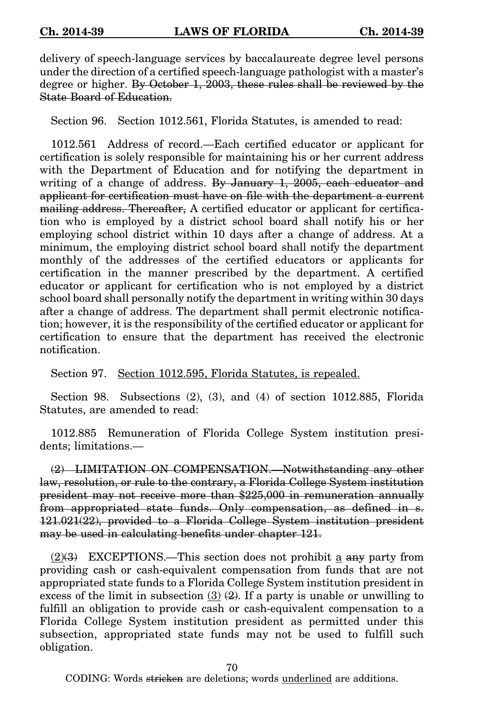delivery of speech-language services by baccalaureate degree level persons under the direction of a certified speech-language pathologist with a master's degree or higher. By October 1, 2003, these rules shall be reviewed by the State Board of Education.

Section 96. Section 1012.561, Florida Statutes, is amended to read:

1012.561 Address of record.—Each certified educator or applicant for certification is solely responsible for maintaining his or her current address with the Department of Education and for notifying the department in writing of a change of address. By January 1, 2005, each educator and applicant for certification must have on file with the department a current mailing address. Thereafter, A certified educator or applicant for certification who is employed by a district school board shall notify his or her employing school district within 10 days after a change of address. At a minimum, the employing district school board shall notify the department monthly of the addresses of the certified educators or applicants for certification in the manner prescribed by the department. A certified educator or applicant for certification who is not employed by a district school board shall personally notify the department in writing within 30 days after a change of address. The department shall permit electronic notification; however, it is the responsibility of the certified educator or applicant for certification to ensure that the department has received the electronic notification.

Section 97. Section 1012.595, Florida Statutes, is repealed.

Section 98. Subsections (2), (3), and (4) of section 1012.885, Florida Statutes, are amended to read:

1012.885 Remuneration of Florida College System institution presidents; limitations.—

(2) LIMITATION ON COMPENSATION.—Notwithstanding any other law, resolution, or rule to the contrary, a Florida College System institution president may not receive more than \$225,000 in remuneration annually from appropriated state funds. Only compensation, as defined in s. 121.021(22), provided to a Florida College System institution president may be used in calculating benefits under chapter 121.

 $(2)$ (3) EXCEPTIONS.—This section does not prohibit a any party from providing cash or cash-equivalent compensation from funds that are not appropriated state funds to a Florida College System institution president in excess of the limit in subsection  $(3)$   $(2)$ . If a party is unable or unwilling to fulfill an obligation to provide cash or cash-equivalent compensation to a Florida College System institution president as permitted under this subsection, appropriated state funds may not be used to fulfill such obligation.

70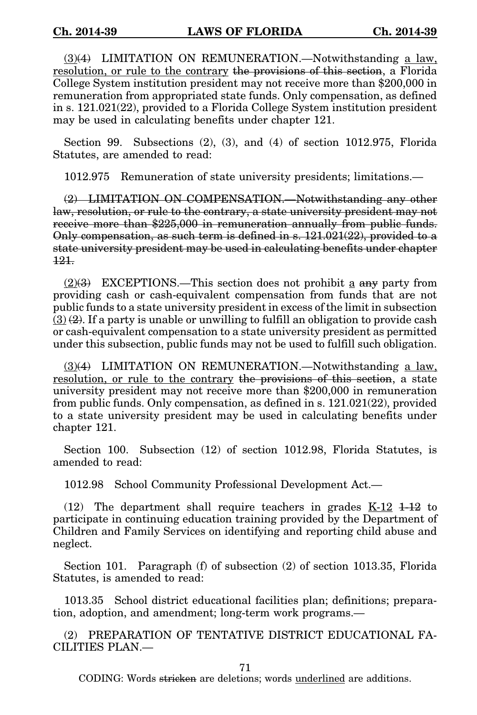(3)(4) LIMITATION ON REMUNERATION.—Notwithstanding a law, resolution, or rule to the contrary the provisions of this section, a Florida College System institution president may not receive more than \$200,000 in remuneration from appropriated state funds. Only compensation, as defined in s. 121.021(22), provided to a Florida College System institution president may be used in calculating benefits under chapter 121.

Section 99. Subsections (2), (3), and (4) of section 1012.975, Florida Statutes, are amended to read:

1012.975 Remuneration of state university presidents; limitations.—

(2) LIMITATION ON COMPENSATION.—Notwithstanding any other law, resolution, or rule to the contrary, a state university president may not receive more than \$225,000 in remuneration annually from public funds. Only compensation, as such term is defined in s. 121.021(22), provided to a state university president may be used in calculating benefits under chapter 121.

 $(2)$ (3) EXCEPTIONS.—This section does not prohibit a any party from providing cash or cash-equivalent compensation from funds that are not public funds to a state university president in excess of the limit in subsection  $(3)(2)$ . If a party is unable or unwilling to fulfill an obligation to provide cash or cash-equivalent compensation to a state university president as permitted under this subsection, public funds may not be used to fulfill such obligation.

(3)(4) LIMITATION ON REMUNERATION.—Notwithstanding a law, resolution, or rule to the contrary the provisions of this section, a state university president may not receive more than \$200,000 in remuneration from public funds. Only compensation, as defined in s. 121.021(22), provided to a state university president may be used in calculating benefits under chapter 121.

Section 100. Subsection (12) of section 1012.98, Florida Statutes, is amended to read:

1012.98 School Community Professional Development Act.—

(12) The department shall require teachers in grades K-12 1-12 to participate in continuing education training provided by the Department of Children and Family Services on identifying and reporting child abuse and neglect.

Section 101. Paragraph (f) of subsection (2) of section 1013.35, Florida Statutes, is amended to read:

1013.35 School district educational facilities plan; definitions; preparation, adoption, and amendment; long-term work programs.—

(2) PREPARATION OF TENTATIVE DISTRICT EDUCATIONAL FA-CILITIES PLAN.—

71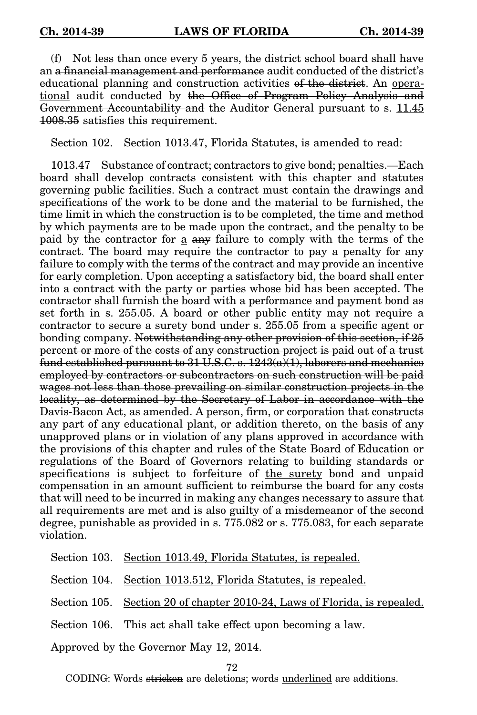(f) Not less than once every 5 years, the district school board shall have an a financial management and performance audit conducted of the district's educational planning and construction activities of the district. An operational audit conducted by the Office of Program Policy Analysis and Government Accountability and the Auditor General pursuant to s. 11.45 1008.35 satisfies this requirement.

Section 102. Section 1013.47, Florida Statutes, is amended to read:

1013.47 Substance of contract; contractors to give bond; penalties.—Each board shall develop contracts consistent with this chapter and statutes governing public facilities. Such a contract must contain the drawings and specifications of the work to be done and the material to be furnished, the time limit in which the construction is to be completed, the time and method by which payments are to be made upon the contract, and the penalty to be paid by the contractor for a any failure to comply with the terms of the contract. The board may require the contractor to pay a penalty for any failure to comply with the terms of the contract and may provide an incentive for early completion. Upon accepting a satisfactory bid, the board shall enter into a contract with the party or parties whose bid has been accepted. The contractor shall furnish the board with a performance and payment bond as set forth in s. 255.05. A board or other public entity may not require a contractor to secure a surety bond under s. 255.05 from a specific agent or bonding company. Notwithstanding any other provision of this section, if 25 percent or more of the costs of any construction project is paid out of a trust fund established pursuant to 31 U.S.C. s.  $1243(a)(1)$ , laborers and mechanics employed by contractors or subcontractors on such construction will be paid wages not less than those prevailing on similar construction projects in the locality, as determined by the Secretary of Labor in accordance with the Davis-Bacon Act, as amended. A person, firm, or corporation that constructs any part of any educational plant, or addition thereto, on the basis of any unapproved plans or in violation of any plans approved in accordance with the provisions of this chapter and rules of the State Board of Education or regulations of the Board of Governors relating to building standards or specifications is subject to forfeiture of the surety bond and unpaid compensation in an amount sufficient to reimburse the board for any costs that will need to be incurred in making any changes necessary to assure that all requirements are met and is also guilty of a misdemeanor of the second degree, punishable as provided in s. 775.082 or s. 775.083, for each separate violation.

|                                        | Section 103. Section 1013.49, Florida Statutes, is repealed.              |
|----------------------------------------|---------------------------------------------------------------------------|
|                                        | Section 104. Section 1013.512, Florida Statutes, is repealed.             |
|                                        | Section 105. Section 20 of chapter 2010-24, Laws of Florida, is repealed. |
|                                        | Section 106. This act shall take effect upon becoming a law.              |
| Approved by the Governor May 12, 2014. |                                                                           |

72